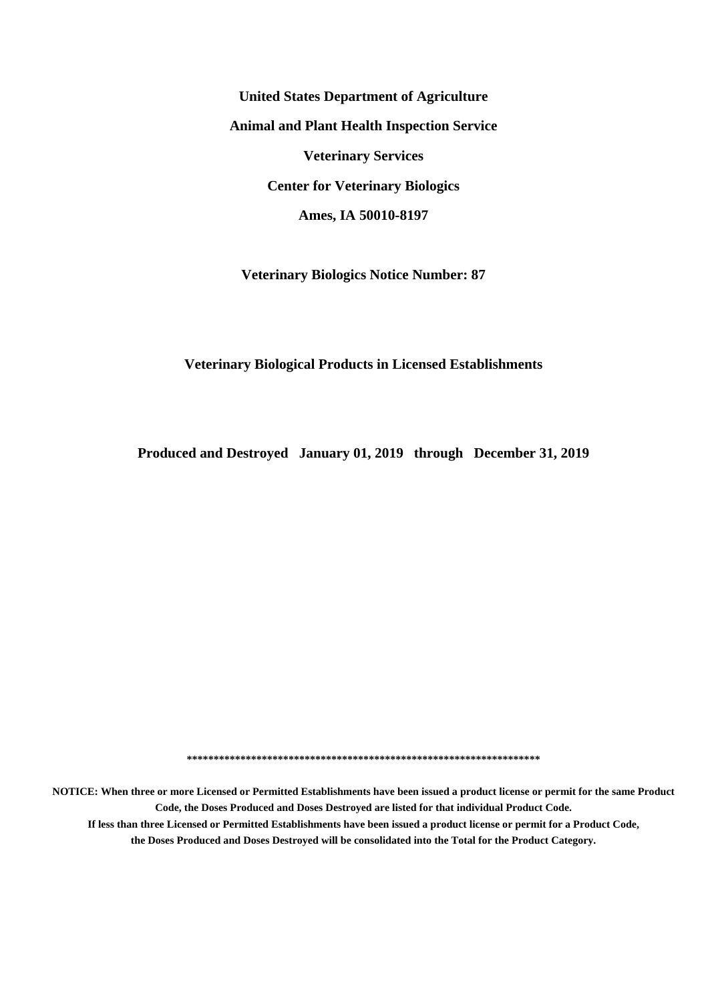**United States Department of Agriculture Animal and Plant Health Inspection Service Veterinary Services Center for Veterinary Biologics Ames, IA 50010-8197**

**Veterinary Biologics Notice Number: 87**

#### **Veterinary Biological Products in Licensed Establishments**

**Produced and Destroyed January 01, 2019 through December 31, 2019**

**\*\*\*\*\*\*\*\*\*\*\*\*\*\*\*\*\*\*\*\*\*\*\*\*\*\*\*\*\*\*\*\*\*\*\*\*\*\*\*\*\*\*\*\*\*\*\*\*\*\*\*\*\*\*\*\*\*\*\*\*\*\*\*\*\*\***

**NOTICE: When three or more Licensed or Permitted Establishments have been issued a product license or permit for the same Product Code, the Doses Produced and Doses Destroyed are listed for that individual Product Code. If less than three Licensed or Permitted Establishments have been issued a product license or permit for a Product Code, the Doses Produced and Doses Destroyed will be consolidated into the Total for the Product Category.**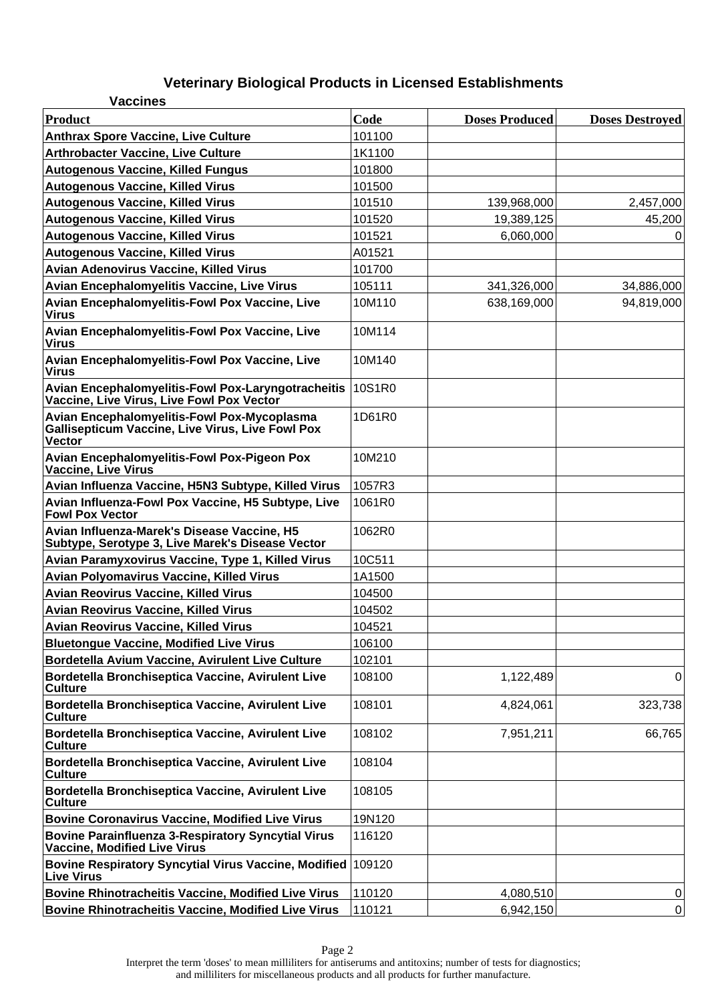| <b>Vaccines</b>                                                                                                         |        |                       |                        |
|-------------------------------------------------------------------------------------------------------------------------|--------|-----------------------|------------------------|
| <b>Product</b>                                                                                                          | Code   | <b>Doses Produced</b> | <b>Doses Destroyed</b> |
| <b>Anthrax Spore Vaccine, Live Culture</b>                                                                              | 101100 |                       |                        |
| <b>Arthrobacter Vaccine, Live Culture</b>                                                                               | 1K1100 |                       |                        |
| <b>Autogenous Vaccine, Killed Fungus</b>                                                                                | 101800 |                       |                        |
| <b>Autogenous Vaccine, Killed Virus</b>                                                                                 | 101500 |                       |                        |
| <b>Autogenous Vaccine, Killed Virus</b>                                                                                 | 101510 | 139,968,000           | 2,457,000              |
| <b>Autogenous Vaccine, Killed Virus</b>                                                                                 | 101520 | 19,389,125            | 45,200                 |
| <b>Autogenous Vaccine, Killed Virus</b>                                                                                 | 101521 | 6,060,000             | 0                      |
| <b>Autogenous Vaccine, Killed Virus</b>                                                                                 | A01521 |                       |                        |
| Avian Adenovirus Vaccine, Killed Virus                                                                                  | 101700 |                       |                        |
| Avian Encephalomyelitis Vaccine, Live Virus                                                                             | 105111 | 341,326,000           | 34,886,000             |
| Avian Encephalomyelitis-Fowl Pox Vaccine, Live<br><b>Virus</b>                                                          | 10M110 | 638,169,000           | 94,819,000             |
| Avian Encephalomyelitis-Fowl Pox Vaccine, Live<br><b>Virus</b>                                                          | 10M114 |                       |                        |
| Avian Encephalomyelitis-Fowl Pox Vaccine, Live<br><b>Virus</b>                                                          | 10M140 |                       |                        |
| Avian Encephalomyelitis-Fowl Pox-Laryngotracheitis<br>Vaccine, Live Virus, Live Fowl Pox Vector                         | 10S1R0 |                       |                        |
| Avian Encephalomyelitis-Fowl Pox-Mycoplasma<br><b>Gallisepticum Vaccine, Live Virus, Live Fowl Pox</b><br><b>Vector</b> | 1D61R0 |                       |                        |
| <b>Avian Encephalomyelitis-Fowl Pox-Pigeon Pox</b><br>Vaccine, Live Virus                                               | 10M210 |                       |                        |
| Avian Influenza Vaccine, H5N3 Subtype, Killed Virus                                                                     | 1057R3 |                       |                        |
| Avian Influenza-Fowl Pox Vaccine, H5 Subtype, Live<br><b>Fowl Pox Vector</b>                                            | 1061R0 |                       |                        |
| Avian Influenza-Marek's Disease Vaccine, H5<br>Subtype, Serotype 3, Live Marek's Disease Vector                         | 1062R0 |                       |                        |
| Avian Paramyxovirus Vaccine, Type 1, Killed Virus                                                                       | 10C511 |                       |                        |
| <b>Avian Polyomavirus Vaccine, Killed Virus</b>                                                                         | 1A1500 |                       |                        |
| <b>Avian Reovirus Vaccine, Killed Virus</b>                                                                             | 104500 |                       |                        |
| <b>Avian Reovirus Vaccine, Killed Virus</b>                                                                             | 104502 |                       |                        |
| <b>Avian Reovirus Vaccine, Killed Virus</b>                                                                             | 104521 |                       |                        |
| <b>Bluetongue Vaccine, Modified Live Virus</b>                                                                          | 106100 |                       |                        |
| Bordetella Avium Vaccine, Avirulent Live Culture                                                                        | 102101 |                       |                        |
| Bordetella Bronchiseptica Vaccine, Avirulent Live<br><b>Culture</b>                                                     | 108100 | 1,122,489             | 0                      |
| Bordetella Bronchiseptica Vaccine, Avirulent Live<br><b>Culture</b>                                                     | 108101 | 4,824,061             | 323,738                |
| Bordetella Bronchiseptica Vaccine, Avirulent Live<br><b>Culture</b>                                                     | 108102 | 7,951,211             | 66,765                 |
| Bordetella Bronchiseptica Vaccine, Avirulent Live<br><b>Culture</b>                                                     | 108104 |                       |                        |
| Bordetella Bronchiseptica Vaccine, Avirulent Live<br><b>Culture</b>                                                     | 108105 |                       |                        |
| <b>Bovine Coronavirus Vaccine, Modified Live Virus</b>                                                                  | 19N120 |                       |                        |
| <b>Bovine Parainfluenza 3-Respiratory Syncytial Virus</b><br><b>Vaccine, Modified Live Virus</b>                        | 116120 |                       |                        |
| Bovine Respiratory Syncytial Virus Vaccine, Modified<br><b>Live Virus</b>                                               | 109120 |                       |                        |
| <b>Bovine Rhinotracheitis Vaccine, Modified Live Virus</b>                                                              | 110120 | 4,080,510             | 0                      |
| <b>Bovine Rhinotracheitis Vaccine, Modified Live Virus</b>                                                              | 110121 | 6,942,150             | $\mathbf 0$            |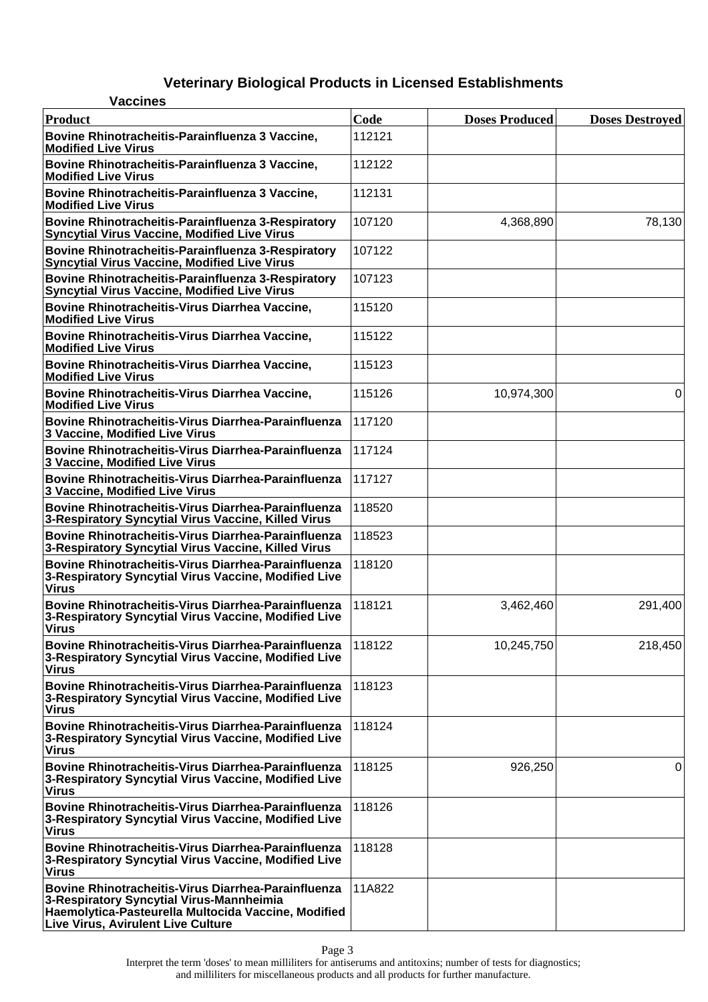| <b>Vaccines</b>                                                                                                                                                                                     |        |                       |                        |
|-----------------------------------------------------------------------------------------------------------------------------------------------------------------------------------------------------|--------|-----------------------|------------------------|
| <b>Product</b>                                                                                                                                                                                      | Code   | <b>Doses Produced</b> | <b>Doses Destroyed</b> |
| Bovine Rhinotracheitis-Parainfluenza 3 Vaccine,<br><b>Modified Live Virus</b>                                                                                                                       | 112121 |                       |                        |
| Bovine Rhinotracheitis-Parainfluenza 3 Vaccine,<br><b>Modified Live Virus</b>                                                                                                                       | 112122 |                       |                        |
| Bovine Rhinotracheitis-Parainfluenza 3 Vaccine,<br><b>Modified Live Virus</b>                                                                                                                       | 112131 |                       |                        |
| Bovine Rhinotracheitis-Parainfluenza 3-Respiratory<br>Syncytial Virus Vaccine, Modified Live Virus                                                                                                  | 107120 | 4,368,890             | 78,130                 |
| Bovine Rhinotracheitis-Parainfluenza 3-Respiratory<br><b>Syncytial Virus Vaccine, Modified Live Virus</b>                                                                                           | 107122 |                       |                        |
| Bovine Rhinotracheitis-Parainfluenza 3-Respiratory<br><b>Syncytial Virus Vaccine, Modified Live Virus</b>                                                                                           | 107123 |                       |                        |
| Bovine Rhinotracheitis-Virus Diarrhea Vaccine,<br><b>Modified Live Virus</b>                                                                                                                        | 115120 |                       |                        |
| Bovine Rhinotracheitis-Virus Diarrhea Vaccine,<br><b>Modified Live Virus</b>                                                                                                                        | 115122 |                       |                        |
| Bovine Rhinotracheitis-Virus Diarrhea Vaccine,<br><b>Modified Live Virus</b>                                                                                                                        | 115123 |                       |                        |
| Bovine Rhinotracheitis-Virus Diarrhea Vaccine,<br><b>Modified Live Virus</b>                                                                                                                        | 115126 | 10,974,300            | 0                      |
| Bovine Rhinotracheitis-Virus Diarrhea-Parainfluenza<br>3 Vaccine, Modified Live Virus                                                                                                               | 117120 |                       |                        |
| Bovine Rhinotracheitis-Virus Diarrhea-Parainfluenza<br>3 Vaccine, Modified Live Virus                                                                                                               | 117124 |                       |                        |
| Bovine Rhinotracheitis-Virus Diarrhea-Parainfluenza<br>3 Vaccine, Modified Live Virus                                                                                                               | 117127 |                       |                        |
| Bovine Rhinotracheitis-Virus Diarrhea-Parainfluenza<br>3-Respiratory Syncytial Virus Vaccine, Killed Virus                                                                                          | 118520 |                       |                        |
| Bovine Rhinotracheitis-Virus Diarrhea-Parainfluenza<br>3-Respiratory Syncytial Virus Vaccine, Killed Virus                                                                                          | 118523 |                       |                        |
| Bovine Rhinotracheitis-Virus Diarrhea-Parainfluenza<br>3-Respiratory Syncytial Virus Vaccine, Modified Live<br><b>Virus</b>                                                                         | 118120 |                       |                        |
| <b>Bovine Rhinotracheitis-Virus Diarrhea-Parainfluenza</b><br>3-Respiratory Syncytial Virus Vaccine, Modified Live<br>Virus                                                                         | 118121 | 3,462,460             | 291,400                |
| Bovine Rhinotracheitis-Virus Diarrhea-Parainfluenza<br>3-Respiratory Syncytial Virus Vaccine, Modified Live<br><b>Virus</b>                                                                         | 118122 | 10,245,750            | 218,450                |
| Bovine Rhinotracheitis-Virus Diarrhea-Parainfluenza<br>3-Respiratory Syncytial Virus Vaccine, Modified Live<br><b>Virus</b>                                                                         | 118123 |                       |                        |
| <b>Bovine Rhinotracheitis-Virus Diarrhea-Parainfluenza</b><br>3-Respiratory Syncytial Virus Vaccine, Modified Live<br><b>Virus</b>                                                                  | 118124 |                       |                        |
| Bovine Rhinotracheitis-Virus Diarrhea-Parainfluenza<br>3-Respiratory Syncytial Virus Vaccine, Modified Live<br><b>Virus</b>                                                                         | 118125 | 926,250               | 0                      |
| Bovine Rhinotracheitis-Virus Diarrhea-Parainfluenza<br>3-Respiratory Syncytial Virus Vaccine, Modified Live<br><b>Virus</b>                                                                         | 118126 |                       |                        |
| <b>Bovine Rhinotracheitis-Virus Diarrhea-Parainfluenza</b><br>3-Respiratory Syncytial Virus Vaccine, Modified Live<br><b>Virus</b>                                                                  | 118128 |                       |                        |
| Bovine Rhinotracheitis-Virus Diarrhea-Parainfluenza<br>3-Respiratory Syncytial Virus-Mannheimia<br>Haemolytica-Pasteurella Multocida Vaccine, Modified<br><b>Live Virus, Avirulent Live Culture</b> | 11A822 |                       |                        |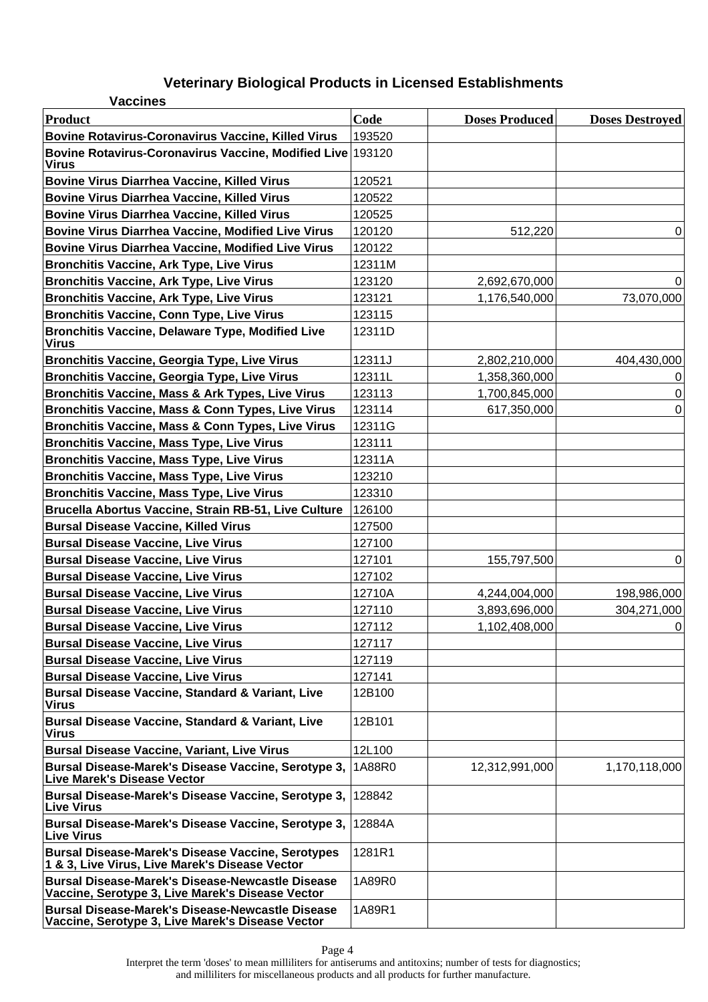| <b>Vaccines</b>                                                                                             |        |                       |                        |
|-------------------------------------------------------------------------------------------------------------|--------|-----------------------|------------------------|
| <b>Product</b>                                                                                              | Code   | <b>Doses Produced</b> | <b>Doses Destroyed</b> |
| <b>Bovine Rotavirus-Coronavirus Vaccine, Killed Virus</b>                                                   | 193520 |                       |                        |
| Bovine Rotavirus-Coronavirus Vaccine, Modified Live 193120<br>Virus                                         |        |                       |                        |
| <b>Bovine Virus Diarrhea Vaccine, Killed Virus</b>                                                          | 120521 |                       |                        |
| <b>Bovine Virus Diarrhea Vaccine, Killed Virus</b>                                                          | 120522 |                       |                        |
| <b>Bovine Virus Diarrhea Vaccine, Killed Virus</b>                                                          | 120525 |                       |                        |
| <b>Bovine Virus Diarrhea Vaccine, Modified Live Virus</b>                                                   | 120120 | 512,220               | 0                      |
| <b>Bovine Virus Diarrhea Vaccine, Modified Live Virus</b>                                                   | 120122 |                       |                        |
| <b>Bronchitis Vaccine, Ark Type, Live Virus</b>                                                             | 12311M |                       |                        |
| <b>Bronchitis Vaccine, Ark Type, Live Virus</b>                                                             | 123120 | 2,692,670,000         | 0                      |
| <b>Bronchitis Vaccine, Ark Type, Live Virus</b>                                                             | 123121 | 1,176,540,000         | 73,070,000             |
| <b>Bronchitis Vaccine, Conn Type, Live Virus</b>                                                            | 123115 |                       |                        |
| <b>Bronchitis Vaccine, Delaware Type, Modified Live</b><br><b>Virus</b>                                     | 12311D |                       |                        |
| <b>Bronchitis Vaccine, Georgia Type, Live Virus</b>                                                         | 12311J | 2,802,210,000         | 404,430,000            |
| <b>Bronchitis Vaccine, Georgia Type, Live Virus</b>                                                         | 12311L | 1,358,360,000         | 0                      |
| Bronchitis Vaccine, Mass & Ark Types, Live Virus                                                            | 123113 | 1,700,845,000         | 0                      |
| Bronchitis Vaccine, Mass & Conn Types, Live Virus                                                           | 123114 | 617,350,000           | 0                      |
| Bronchitis Vaccine, Mass & Conn Types, Live Virus                                                           | 12311G |                       |                        |
| <b>Bronchitis Vaccine, Mass Type, Live Virus</b>                                                            | 123111 |                       |                        |
| <b>Bronchitis Vaccine, Mass Type, Live Virus</b>                                                            | 12311A |                       |                        |
| <b>Bronchitis Vaccine, Mass Type, Live Virus</b>                                                            | 123210 |                       |                        |
| <b>Bronchitis Vaccine, Mass Type, Live Virus</b>                                                            | 123310 |                       |                        |
| Brucella Abortus Vaccine, Strain RB-51, Live Culture                                                        | 126100 |                       |                        |
| <b>Bursal Disease Vaccine, Killed Virus</b>                                                                 | 127500 |                       |                        |
| <b>Bursal Disease Vaccine, Live Virus</b>                                                                   | 127100 |                       |                        |
| <b>Bursal Disease Vaccine, Live Virus</b>                                                                   | 127101 | 155,797,500           | 0                      |
| <b>Bursal Disease Vaccine, Live Virus</b>                                                                   | 127102 |                       |                        |
| <b>Bursal Disease Vaccine, Live Virus</b>                                                                   | 12710A | 4,244,004,000         | 198,986,000            |
| <b>Bursal Disease Vaccine, Live Virus</b>                                                                   | 127110 | 3,893,696,000         | 304,271,000            |
| <b>Bursal Disease Vaccine, Live Virus</b>                                                                   | 127112 | 1,102,408,000         | 0                      |
| <b>Bursal Disease Vaccine, Live Virus</b>                                                                   | 127117 |                       |                        |
| <b>Bursal Disease Vaccine, Live Virus</b>                                                                   | 127119 |                       |                        |
| <b>Bursal Disease Vaccine, Live Virus</b>                                                                   | 127141 |                       |                        |
| Bursal Disease Vaccine, Standard & Variant, Live<br><b>Virus</b>                                            | 12B100 |                       |                        |
| <b>Bursal Disease Vaccine, Standard &amp; Variant, Live</b><br><b>Virus</b>                                 | 12B101 |                       |                        |
| <b>Bursal Disease Vaccine, Variant, Live Virus</b>                                                          | 12L100 |                       |                        |
| Bursal Disease-Marek's Disease Vaccine, Serotype 3,<br><b>Live Marek's Disease Vector</b>                   | 1A88R0 | 12,312,991,000        | 1,170,118,000          |
| Bursal Disease-Marek's Disease Vaccine, Serotype 3,<br><b>Live Virus</b>                                    | 128842 |                       |                        |
| Bursal Disease-Marek's Disease Vaccine, Serotype 3,<br><b>Live Virus</b>                                    | 12884A |                       |                        |
| <b>Bursal Disease-Marek's Disease Vaccine, Serotypes</b><br>1 & 3, Live Virus, Live Marek's Disease Vector  | 1281R1 |                       |                        |
| <b>Bursal Disease-Marek's Disease-Newcastle Disease</b><br>Vaccine, Serotype 3, Live Marek's Disease Vector | 1A89R0 |                       |                        |
| <b>Bursal Disease-Marek's Disease-Newcastle Disease</b><br>Vaccine, Serotype 3, Live Marek's Disease Vector | 1A89R1 |                       |                        |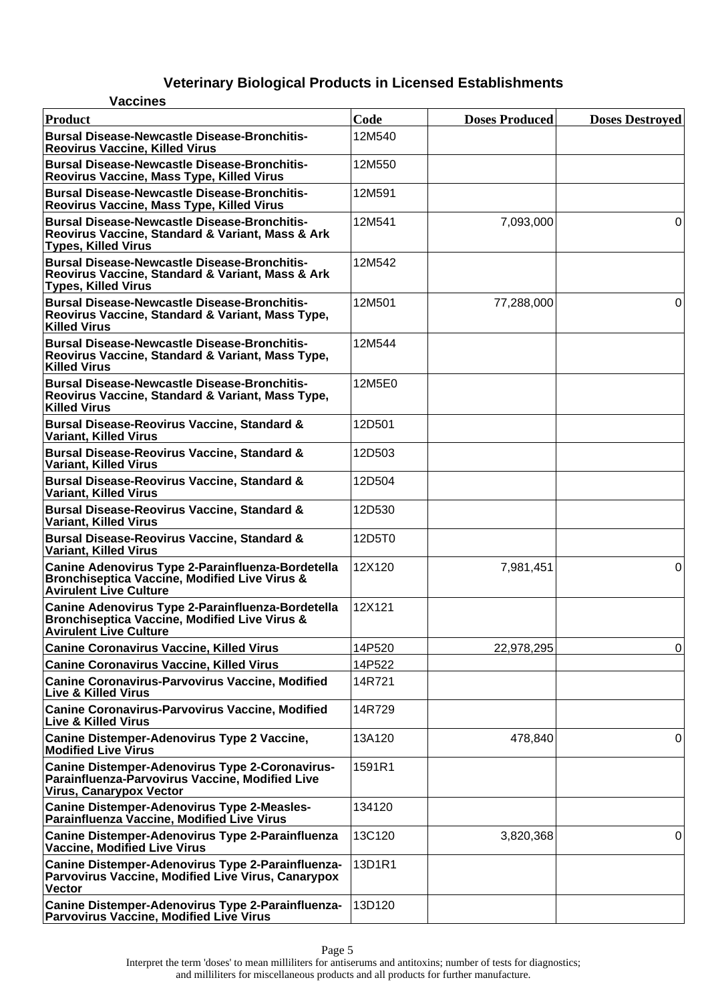#### **Vaccines Product Code Doses Produced Doses Destroyed Bursal Disease-Newcastle Disease-Bronchitis-Reovirus Vaccine, Killed Virus** 12M540 **Bursal Disease-Newcastle Disease-Bronchitis-Reovirus Vaccine, Mass Type, Killed Virus** 12M550 **Bursal Disease-Newcastle Disease-Bronchitis-Reovirus Vaccine, Mass Type, Killed Virus** 12M591 **Bursal Disease-Newcastle Disease-Bronchitis-Reovirus Vaccine, Standard & Variant, Mass & Ark Types, Killed Virus** 12M541 7,093,000 0 **Bursal Disease-Newcastle Disease-Bronchitis-Reovirus Vaccine, Standard & Variant, Mass & Ark Types, Killed Virus** 12M542 **Bursal Disease-Newcastle Disease-Bronchitis-Reovirus Vaccine, Standard & Variant, Mass Type, Killed Virus** 12M501 77,288,000 0 **Bursal Disease-Newcastle Disease-Bronchitis-Reovirus Vaccine, Standard & Variant, Mass Type, Killed Virus** 12M544 **Bursal Disease-Newcastle Disease-Bronchitis-Reovirus Vaccine, Standard & Variant, Mass Type, Killed Virus** 12M5E0 **Bursal Disease-Reovirus Vaccine, Standard & Variant, Killed Virus** 12D501 **Bursal Disease-Reovirus Vaccine, Standard & Variant, Killed Virus** 12D503 **Bursal Disease-Reovirus Vaccine, Standard & Variant, Killed Virus** 12D504 **Bursal Disease-Reovirus Vaccine, Standard & Variant, Killed Virus** 12D530 **Bursal Disease-Reovirus Vaccine, Standard & Variant, Killed Virus** 12D5T0 **Canine Adenovirus Type 2-Parainfluenza-Bordetella Bronchiseptica Vaccine, Modified Live Virus & Avirulent Live Culture** 12X120 7,981,451 0 **Canine Adenovirus Type 2-Parainfluenza-Bordetella Bronchiseptica Vaccine, Modified Live Virus & Avirulent Live Culture** 12X121 **Canine Coronavirus Vaccine, Killed Virus** 14P520 22,978,295 22,978,295 **Canine Coronavirus Vaccine, Killed Virus** 14P522 **Canine Coronavirus-Parvovirus Vaccine, Modified Live & Killed Virus** 14R721 **Canine Coronavirus-Parvovirus Vaccine, Modified Live & Killed Virus** 14R729 **Canine Distemper-Adenovirus Type 2 Vaccine, Modified Live Virus** 13A120 are the 478,840 **Canine Distemper-Adenovirus Type 2-Coronavirus-Parainfluenza-Parvovirus Vaccine, Modified Live Virus, Canarypox Vector** 1591R1 **Canine Distemper-Adenovirus Type 2-Measles-Parainfluenza Vaccine, Modified Live Virus** 134120 **Canine Distemper-Adenovirus Type 2-Parainfluenza Vaccine, Modified Live Virus** 13C120 | 3,820,368 | 0 **Canine Distemper-Adenovirus Type 2-Parainfluenza-Parvovirus Vaccine, Modified Live Virus, Canarypox Vector** 13D1R1 **Canine Distemper-Adenovirus Type 2-Parainfluenza-Parvovirus Vaccine, Modified Live Virus** 13D120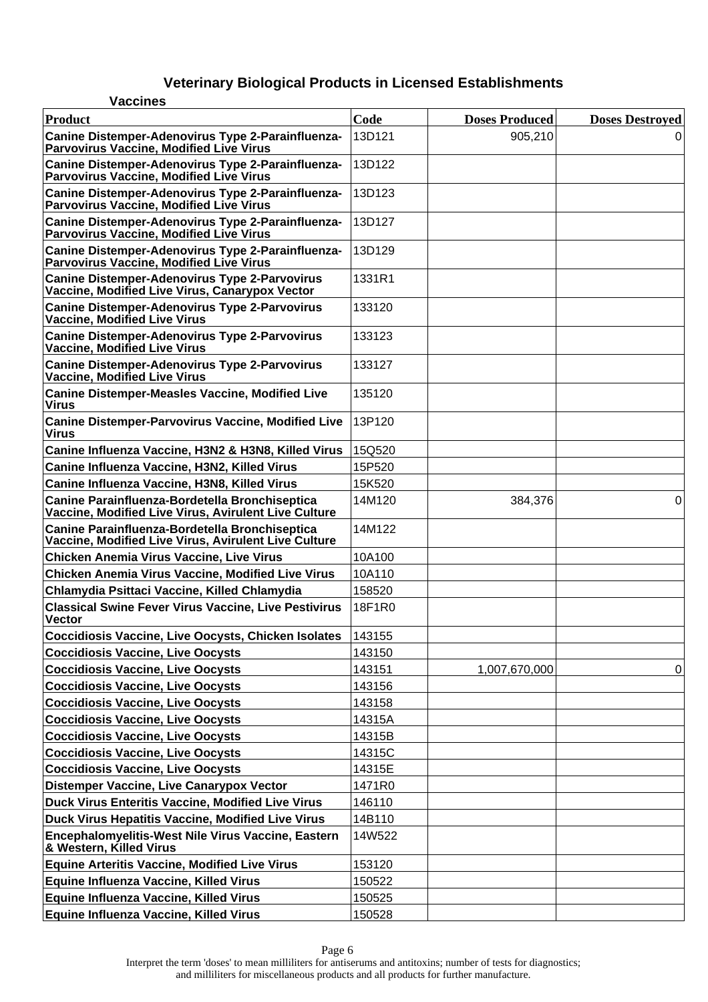| <b>Vaccines</b>                                                                                        |        |                       |                        |
|--------------------------------------------------------------------------------------------------------|--------|-----------------------|------------------------|
| Product                                                                                                | Code   | <b>Doses Produced</b> | <b>Doses Destroyed</b> |
| Canine Distemper-Adenovirus Type 2-Parainfluenza-<br><b>Parvovirus Vaccine, Modified Live Virus</b>    | 13D121 | 905,210               |                        |
| Canine Distemper-Adenovirus Type 2-Parainfluenza-<br><b>Parvovirus Vaccine, Modified Live Virus</b>    | 13D122 |                       |                        |
| Canine Distemper-Adenovirus Type 2-Parainfluenza-<br>Parvovirus Vaccine, Modified Live Virus           | 13D123 |                       |                        |
| Canine Distemper-Adenovirus Type 2-Parainfluenza-<br>Parvovirus Vaccine, Modified Live Virus           | 13D127 |                       |                        |
| Canine Distemper-Adenovirus Type 2-Parainfluenza-<br><b>Parvovirus Vaccine, Modified Live Virus</b>    | 13D129 |                       |                        |
| <b>Canine Distemper-Adenovirus Type 2-Parvovirus</b><br>Vaccine, Modified Live Virus, Canarypox Vector | 1331R1 |                       |                        |
| <b>Canine Distemper-Adenovirus Type 2-Parvovirus</b><br><b>Vaccine, Modified Live Virus</b>            | 133120 |                       |                        |
| <b>Canine Distemper-Adenovirus Type 2-Parvovirus</b><br><b>Vaccine, Modified Live Virus</b>            | 133123 |                       |                        |
| <b>Canine Distemper-Adenovirus Type 2-Parvovirus</b><br><b>Vaccine, Modified Live Virus</b>            | 133127 |                       |                        |
| <b>Canine Distemper-Measles Vaccine, Modified Live</b><br><b>Virus</b>                                 | 135120 |                       |                        |
| <b>Canine Distemper-Parvovirus Vaccine, Modified Live</b><br><b>Virus</b>                              | 13P120 |                       |                        |
| Canine Influenza Vaccine, H3N2 & H3N8, Killed Virus                                                    | 15Q520 |                       |                        |
| Canine Influenza Vaccine, H3N2, Killed Virus                                                           | 15P520 |                       |                        |
| Canine Influenza Vaccine, H3N8, Killed Virus                                                           | 15K520 |                       |                        |
| Canine Parainfluenza-Bordetella Bronchiseptica<br>Vaccine, Modified Live Virus, Avirulent Live Culture | 14M120 | 384,376               | 0                      |
| Canine Parainfluenza-Bordetella Bronchiseptica<br>Vaccine, Modified Live Virus, Avirulent Live Culture | 14M122 |                       |                        |
| <b>Chicken Anemia Virus Vaccine, Live Virus</b>                                                        | 10A100 |                       |                        |
| <b>Chicken Anemia Virus Vaccine, Modified Live Virus</b>                                               | 10A110 |                       |                        |
| Chlamydia Psittaci Vaccine, Killed Chlamydia                                                           | 158520 |                       |                        |
| <b>Classical Swine Fever Virus Vaccine, Live Pestivirus</b><br><b>Vector</b>                           | 18F1R0 |                       |                        |
| <b>Coccidiosis Vaccine, Live Oocysts, Chicken Isolates</b>                                             | 143155 |                       |                        |
| <b>Coccidiosis Vaccine, Live Oocysts</b>                                                               | 143150 |                       |                        |
| <b>Coccidiosis Vaccine, Live Oocysts</b>                                                               | 143151 | 1,007,670,000         | 0                      |
| <b>Coccidiosis Vaccine, Live Oocysts</b>                                                               | 143156 |                       |                        |
| <b>Coccidiosis Vaccine, Live Oocysts</b>                                                               | 143158 |                       |                        |
| <b>Coccidiosis Vaccine, Live Oocysts</b>                                                               | 14315A |                       |                        |
| <b>Coccidiosis Vaccine, Live Oocysts</b>                                                               | 14315B |                       |                        |
| <b>Coccidiosis Vaccine, Live Oocysts</b>                                                               | 14315C |                       |                        |
| <b>Coccidiosis Vaccine, Live Oocysts</b>                                                               | 14315E |                       |                        |
| Distemper Vaccine, Live Canarypox Vector                                                               | 1471R0 |                       |                        |
| <b>Duck Virus Enteritis Vaccine, Modified Live Virus</b>                                               | 146110 |                       |                        |
| Duck Virus Hepatitis Vaccine, Modified Live Virus                                                      | 14B110 |                       |                        |
| Encephalomyelitis-West Nile Virus Vaccine, Eastern<br>& Western, Killed Virus                          | 14W522 |                       |                        |
| <b>Equine Arteritis Vaccine, Modified Live Virus</b>                                                   | 153120 |                       |                        |
| Equine Influenza Vaccine, Killed Virus                                                                 | 150522 |                       |                        |
| Equine Influenza Vaccine, Killed Virus                                                                 | 150525 |                       |                        |
| Equine Influenza Vaccine, Killed Virus                                                                 | 150528 |                       |                        |

Page 6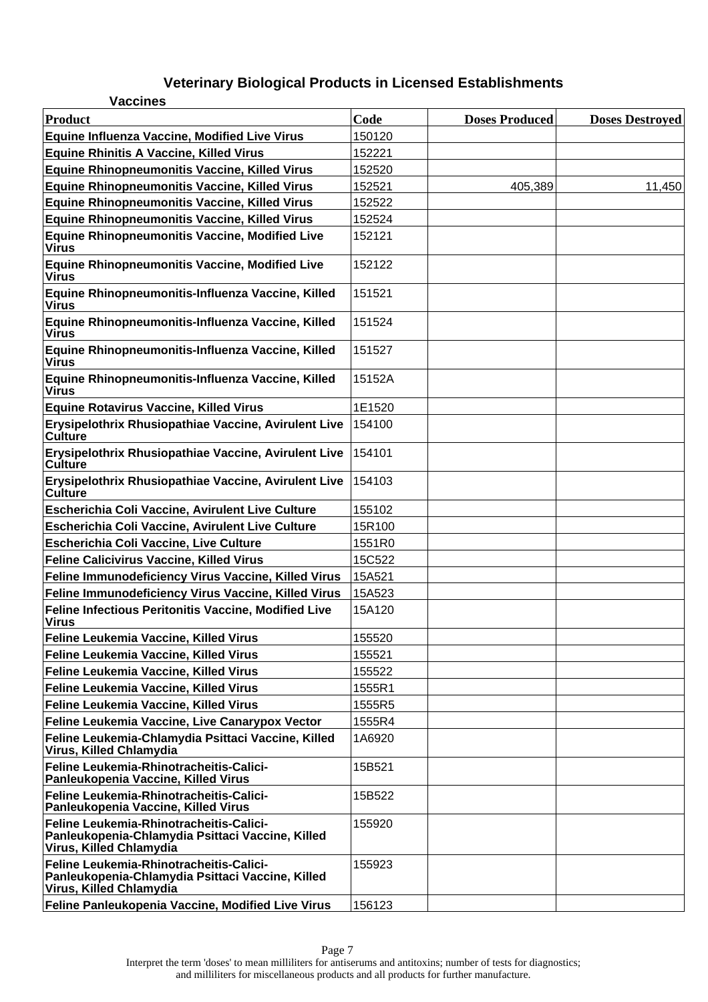| <b>Vaccines</b>                                                                                                        |        |                       |                        |
|------------------------------------------------------------------------------------------------------------------------|--------|-----------------------|------------------------|
| <b>Product</b>                                                                                                         | Code   | <b>Doses Produced</b> | <b>Doses Destroyed</b> |
| <b>Equine Influenza Vaccine, Modified Live Virus</b>                                                                   | 150120 |                       |                        |
| <b>Equine Rhinitis A Vaccine, Killed Virus</b>                                                                         | 152221 |                       |                        |
| <b>Equine Rhinopneumonitis Vaccine, Killed Virus</b>                                                                   | 152520 |                       |                        |
| <b>Equine Rhinopneumonitis Vaccine, Killed Virus</b>                                                                   | 152521 | 405,389               | 11,450                 |
| <b>Equine Rhinopneumonitis Vaccine, Killed Virus</b>                                                                   | 152522 |                       |                        |
| <b>Equine Rhinopneumonitis Vaccine, Killed Virus</b>                                                                   | 152524 |                       |                        |
| <b>Equine Rhinopneumonitis Vaccine, Modified Live</b><br><b>Virus</b>                                                  | 152121 |                       |                        |
| <b>Equine Rhinopneumonitis Vaccine, Modified Live</b><br><b>Virus</b>                                                  | 152122 |                       |                        |
| Equine Rhinopneumonitis-Influenza Vaccine, Killed<br><b>Virus</b>                                                      | 151521 |                       |                        |
| Equine Rhinopneumonitis-Influenza Vaccine, Killed<br><b>Virus</b>                                                      | 151524 |                       |                        |
| Equine Rhinopneumonitis-Influenza Vaccine, Killed<br><b>Virus</b>                                                      | 151527 |                       |                        |
| Equine Rhinopneumonitis-Influenza Vaccine, Killed<br><b>Virus</b>                                                      | 15152A |                       |                        |
| <b>Equine Rotavirus Vaccine, Killed Virus</b>                                                                          | 1E1520 |                       |                        |
| Erysipelothrix Rhusiopathiae Vaccine, Avirulent Live<br>Culture                                                        | 154100 |                       |                        |
| Erysipelothrix Rhusiopathiae Vaccine, Avirulent Live<br>Culture                                                        | 154101 |                       |                        |
| Erysipelothrix Rhusiopathiae Vaccine, Avirulent Live<br>Culture                                                        | 154103 |                       |                        |
| Escherichia Coli Vaccine, Avirulent Live Culture                                                                       | 155102 |                       |                        |
| Escherichia Coli Vaccine, Avirulent Live Culture                                                                       | 15R100 |                       |                        |
| Escherichia Coli Vaccine, Live Culture                                                                                 | 1551R0 |                       |                        |
| <b>Feline Calicivirus Vaccine, Killed Virus</b>                                                                        | 15C522 |                       |                        |
| Feline Immunodeficiency Virus Vaccine, Killed Virus                                                                    | 15A521 |                       |                        |
| Feline Immunodeficiency Virus Vaccine, Killed Virus                                                                    | 15A523 |                       |                        |
| Feline Infectious Peritonitis Vaccine, Modified Live<br><b>Virus</b>                                                   | 15A120 |                       |                        |
| Feline Leukemia Vaccine, Killed Virus                                                                                  | 155520 |                       |                        |
| Feline Leukemia Vaccine, Killed Virus                                                                                  | 155521 |                       |                        |
| Feline Leukemia Vaccine, Killed Virus                                                                                  | 155522 |                       |                        |
| Feline Leukemia Vaccine, Killed Virus                                                                                  | 1555R1 |                       |                        |
| Feline Leukemia Vaccine, Killed Virus                                                                                  | 1555R5 |                       |                        |
| Feline Leukemia Vaccine, Live Canarypox Vector                                                                         | 1555R4 |                       |                        |
| Feline Leukemia-Chlamydia Psittaci Vaccine, Killed<br>Virus, Killed Chlamydia                                          | 1A6920 |                       |                        |
| Feline Leukemia-Rhinotracheitis-Calici-<br>Panleukopenia Vaccine, Killed Virus                                         | 15B521 |                       |                        |
| Feline Leukemia-Rhinotracheitis-Calici-<br>Panleukopenia Vaccine, Killed Virus                                         | 15B522 |                       |                        |
| Feline Leukemia-Rhinotracheitis-Calici-<br>Panleukopenia-Chlamydia Psittaci Vaccine, Killed<br>Virus, Killed Chlamydia | 155920 |                       |                        |
| Feline Leukemia-Rhinotracheitis-Calici-<br>Panleukopenia-Chlamydia Psittaci Vaccine, Killed<br>Virus, Killed Chlamydia | 155923 |                       |                        |
| Feline Panleukopenia Vaccine, Modified Live Virus                                                                      | 156123 |                       |                        |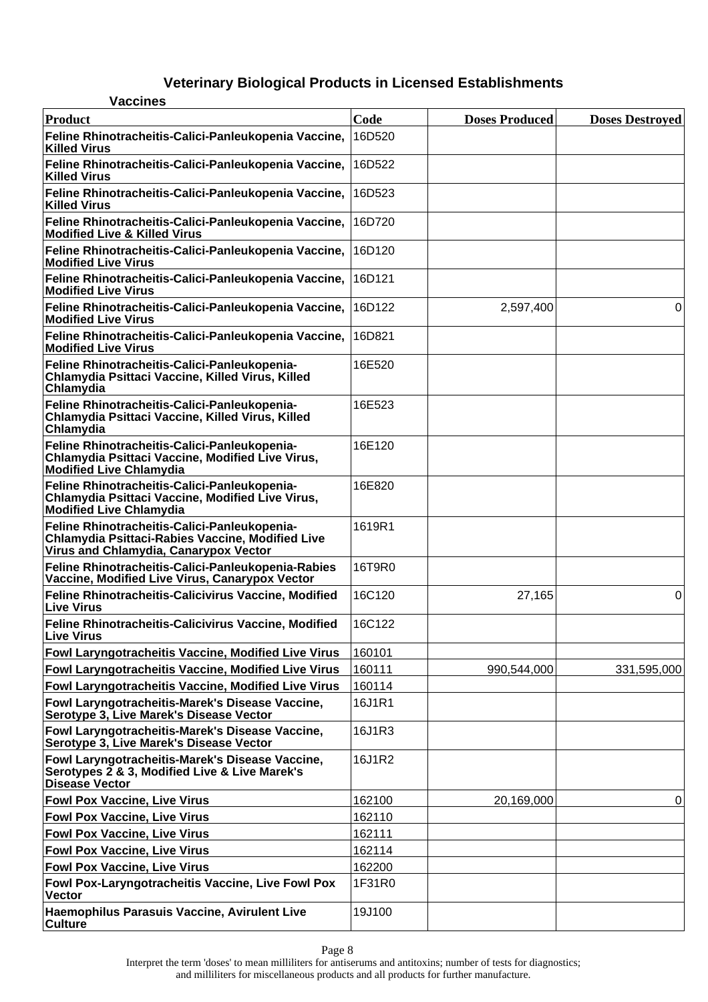| <b>Vaccines</b>                                                                                                                                  |        |                       |                        |
|--------------------------------------------------------------------------------------------------------------------------------------------------|--------|-----------------------|------------------------|
| Product                                                                                                                                          | Code   | <b>Doses Produced</b> | <b>Doses Destroyed</b> |
| Feline Rhinotracheitis-Calici-Panleukopenia Vaccine,<br><b>Killed Virus</b>                                                                      | 16D520 |                       |                        |
| Feline Rhinotracheitis-Calici-Panleukopenia Vaccine,<br><b>Killed Virus</b>                                                                      | 16D522 |                       |                        |
| Feline Rhinotracheitis-Calici-Panleukopenia Vaccine,<br><b>Killed Virus</b>                                                                      | 16D523 |                       |                        |
| Feline Rhinotracheitis-Calici-Panleukopenia Vaccine,<br><b>Modified Live &amp; Killed Virus</b>                                                  | 16D720 |                       |                        |
| Feline Rhinotracheitis-Calici-Panleukopenia Vaccine,<br><b>Modified Live Virus</b>                                                               | 16D120 |                       |                        |
| Feline Rhinotracheitis-Calici-Panleukopenia Vaccine,<br><b>Modified Live Virus</b>                                                               | 16D121 |                       |                        |
| Feline Rhinotracheitis-Calici-Panleukopenia Vaccine,<br><b>Modified Live Virus</b>                                                               | 16D122 | 2,597,400             | 0                      |
| Feline Rhinotracheitis-Calici-Panleukopenia Vaccine,<br><b>Modified Live Virus</b>                                                               | 16D821 |                       |                        |
| Feline Rhinotracheitis-Calici-Panleukopenia-<br>Chlamydia Psittaci Vaccine, Killed Virus, Killed<br>Chlamydia                                    | 16E520 |                       |                        |
| Feline Rhinotracheitis-Calici-Panleukopenia-<br>Chlamydia Psittaci Vaccine, Killed Virus, Killed<br>Chlamydia                                    | 16E523 |                       |                        |
| Feline Rhinotracheitis-Calici-Panleukopenia-<br>Chlamydia Psittaci Vaccine, Modified Live Virus,<br><b>Modified Live Chlamydia</b>               | 16E120 |                       |                        |
| Feline Rhinotracheitis-Calici-Panleukopenia-<br>Chlamydia Psittaci Vaccine, Modified Live Virus,<br><b>Modified Live Chlamydia</b>               | 16E820 |                       |                        |
| Feline Rhinotracheitis-Calici-Panleukopenia-<br><b>Chlamydia Psittaci-Rabies Vaccine, Modified Live</b><br>Virus and Chlamydia, Canarypox Vector | 1619R1 |                       |                        |
| Feline Rhinotracheitis-Calici-Panleukopenia-Rabies<br>Vaccine, Modified Live Virus, Canarypox Vector                                             | 16T9R0 |                       |                        |
| Feline Rhinotracheitis-Calicivirus Vaccine, Modified<br><b>Live Virus</b>                                                                        | 16C120 | 27,165                | 0                      |
| <b>Feline Rhinotracheitis-Calicivirus Vaccine, Modified</b><br><b>Live Virus</b>                                                                 | 16C122 |                       |                        |
| <b>Fowl Laryngotracheitis Vaccine, Modified Live Virus</b>                                                                                       | 160101 |                       |                        |
| Fowl Laryngotracheitis Vaccine, Modified Live Virus                                                                                              | 160111 | 990,544,000           | 331,595,000            |
| Fowl Laryngotracheitis Vaccine, Modified Live Virus                                                                                              | 160114 |                       |                        |
| Fowl Laryngotracheitis-Marek's Disease Vaccine,<br>Serotype 3, Live Marek's Disease Vector                                                       | 16J1R1 |                       |                        |
| Fowl Laryngotracheitis-Marek's Disease Vaccine,<br>Serotype 3, Live Marek's Disease Vector                                                       | 16J1R3 |                       |                        |
| Fowl Laryngotracheitis-Marek's Disease Vaccine,<br>Serotypes 2 & 3, Modified Live & Live Marek's<br><b>Disease Vector</b>                        | 16J1R2 |                       |                        |
| <b>Fowl Pox Vaccine, Live Virus</b>                                                                                                              | 162100 | 20,169,000            | 0                      |
| <b>Fowl Pox Vaccine, Live Virus</b>                                                                                                              | 162110 |                       |                        |
| <b>Fowl Pox Vaccine, Live Virus</b>                                                                                                              | 162111 |                       |                        |
| <b>Fowl Pox Vaccine, Live Virus</b>                                                                                                              | 162114 |                       |                        |
| <b>Fowl Pox Vaccine, Live Virus</b>                                                                                                              | 162200 |                       |                        |
| Fowl Pox-Laryngotracheitis Vaccine, Live Fowl Pox<br><b>Vector</b>                                                                               | 1F31R0 |                       |                        |
| Haemophilus Parasuis Vaccine, Avirulent Live<br><b>Culture</b>                                                                                   | 19J100 |                       |                        |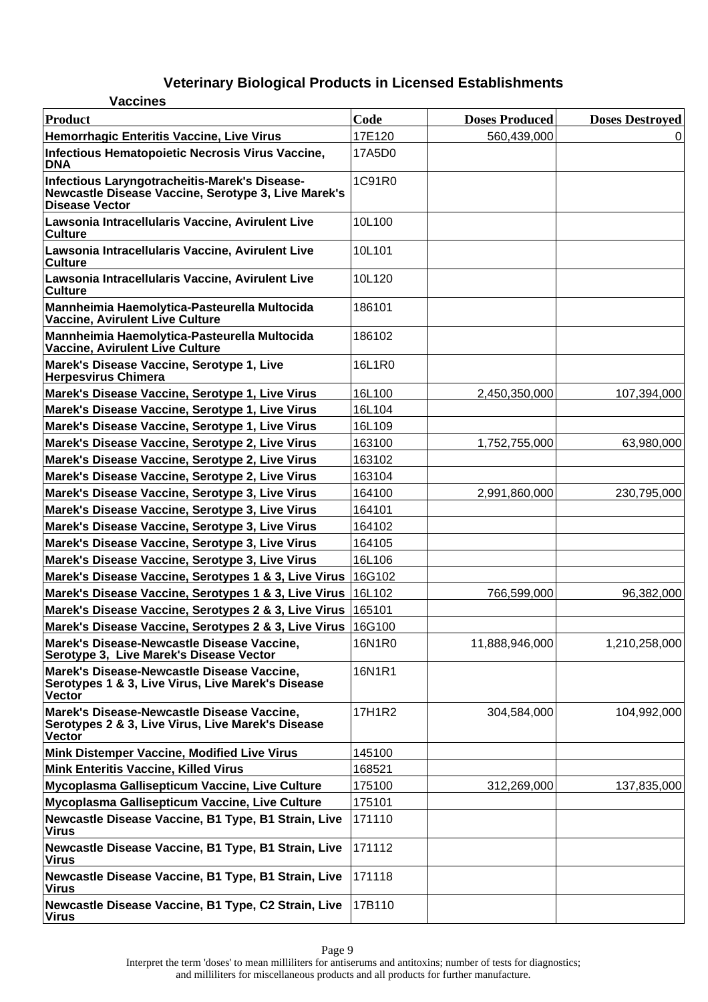| <b>Vaccines</b>                                                                                                               |        |                       |                        |
|-------------------------------------------------------------------------------------------------------------------------------|--------|-----------------------|------------------------|
| Product                                                                                                                       | Code   | <b>Doses Produced</b> | <b>Doses Destroyed</b> |
| <b>Hemorrhagic Enteritis Vaccine, Live Virus</b>                                                                              | 17E120 | 560,439,000           | 0                      |
| Infectious Hematopoietic Necrosis Virus Vaccine,<br><b>DNA</b>                                                                | 17A5D0 |                       |                        |
| Infectious Laryngotracheitis-Marek's Disease-<br>Newcastle Disease Vaccine, Serotype 3, Live Marek's<br><b>Disease Vector</b> | 1C91R0 |                       |                        |
| Lawsonia Intracellularis Vaccine, Avirulent Live<br><b>Culture</b>                                                            | 10L100 |                       |                        |
| Lawsonia Intracellularis Vaccine, Avirulent Live<br><b>Culture</b>                                                            | 10L101 |                       |                        |
| Lawsonia Intracellularis Vaccine, Avirulent Live<br><b>Culture</b>                                                            | 10L120 |                       |                        |
| Mannheimia Haemolytica-Pasteurella Multocida<br>Vaccine, Avirulent Live Culture                                               | 186101 |                       |                        |
| Mannheimia Haemolytica-Pasteurella Multocida<br>Vaccine, Avirulent Live Culture                                               | 186102 |                       |                        |
| Marek's Disease Vaccine, Serotype 1, Live<br><b>Herpesvirus Chimera</b>                                                       | 16L1R0 |                       |                        |
| Marek's Disease Vaccine, Serotype 1, Live Virus                                                                               | 16L100 | 2,450,350,000         | 107,394,000            |
| Marek's Disease Vaccine, Serotype 1, Live Virus                                                                               | 16L104 |                       |                        |
| Marek's Disease Vaccine, Serotype 1, Live Virus                                                                               | 16L109 |                       |                        |
| Marek's Disease Vaccine, Serotype 2, Live Virus                                                                               | 163100 | 1,752,755,000         | 63,980,000             |
| Marek's Disease Vaccine, Serotype 2, Live Virus                                                                               | 163102 |                       |                        |
| Marek's Disease Vaccine, Serotype 2, Live Virus                                                                               | 163104 |                       |                        |
| Marek's Disease Vaccine, Serotype 3, Live Virus                                                                               | 164100 | 2,991,860,000         | 230,795,000            |
| Marek's Disease Vaccine, Serotype 3, Live Virus                                                                               | 164101 |                       |                        |
| Marek's Disease Vaccine, Serotype 3, Live Virus                                                                               | 164102 |                       |                        |
| Marek's Disease Vaccine, Serotype 3, Live Virus                                                                               | 164105 |                       |                        |
| Marek's Disease Vaccine, Serotype 3, Live Virus                                                                               | 16L106 |                       |                        |
| Marek's Disease Vaccine, Serotypes 1 & 3, Live Virus                                                                          | 16G102 |                       |                        |
| Marek's Disease Vaccine, Serotypes 1 & 3, Live Virus                                                                          | 16L102 | 766,599,000           | 96,382,000             |
| Marek's Disease Vaccine, Serotypes 2 & 3, Live Virus   165101                                                                 |        |                       |                        |
| Marek's Disease Vaccine, Serotypes 2 & 3, Live Virus   16G100                                                                 |        |                       |                        |
| Marek's Disease-Newcastle Disease Vaccine,<br>Serotype 3, Live Marek's Disease Vector                                         | 16N1R0 | 11,888,946,000        | 1,210,258,000          |
| Marek's Disease-Newcastle Disease Vaccine,<br>Serotypes 1 & 3, Live Virus, Live Marek's Disease<br><b>Vector</b>              | 16N1R1 |                       |                        |
| Marek's Disease-Newcastle Disease Vaccine,<br>Serotypes 2 & 3, Live Virus, Live Marek's Disease<br>Vector                     | 17H1R2 | 304,584,000           | 104,992,000            |
| <b>Mink Distemper Vaccine, Modified Live Virus</b>                                                                            | 145100 |                       |                        |
| <b>Mink Enteritis Vaccine, Killed Virus</b>                                                                                   | 168521 |                       |                        |
| Mycoplasma Gallisepticum Vaccine, Live Culture                                                                                | 175100 | 312,269,000           | 137,835,000            |
| Mycoplasma Gallisepticum Vaccine, Live Culture                                                                                | 175101 |                       |                        |
| Newcastle Disease Vaccine, B1 Type, B1 Strain, Live<br><b>Virus</b>                                                           | 171110 |                       |                        |
| Newcastle Disease Vaccine, B1 Type, B1 Strain, Live<br><b>Virus</b>                                                           | 171112 |                       |                        |
| Newcastle Disease Vaccine, B1 Type, B1 Strain, Live<br><b>Virus</b>                                                           | 171118 |                       |                        |
| Newcastle Disease Vaccine, B1 Type, C2 Strain, Live<br><b>Virus</b>                                                           | 17B110 |                       |                        |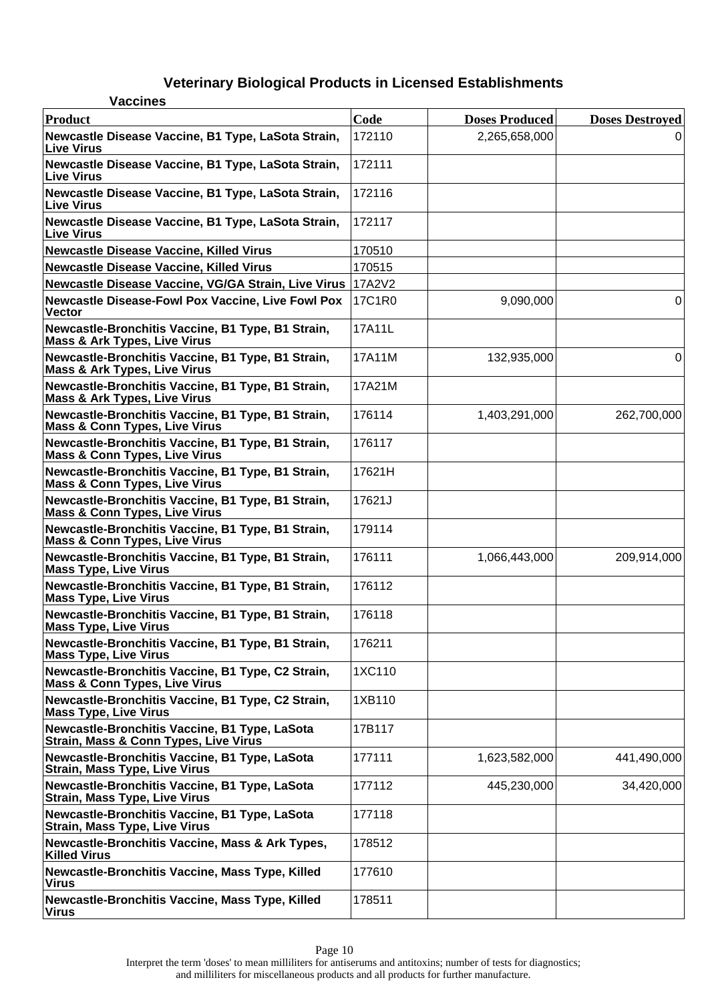| <b>Vaccines</b>                                                                               |        |                       |                        |
|-----------------------------------------------------------------------------------------------|--------|-----------------------|------------------------|
| <b>Product</b>                                                                                | Code   | <b>Doses Produced</b> | <b>Doses Destroyed</b> |
| Newcastle Disease Vaccine, B1 Type, LaSota Strain,<br><b>Live Virus</b>                       | 172110 | 2,265,658,000         | 0                      |
| Newcastle Disease Vaccine, B1 Type, LaSota Strain,<br><b>Live Virus</b>                       | 172111 |                       |                        |
| Newcastle Disease Vaccine, B1 Type, LaSota Strain,<br><b>Live Virus</b>                       | 172116 |                       |                        |
| Newcastle Disease Vaccine, B1 Type, LaSota Strain,<br><b>Live Virus</b>                       | 172117 |                       |                        |
| <b>Newcastle Disease Vaccine, Killed Virus</b>                                                | 170510 |                       |                        |
| <b>Newcastle Disease Vaccine, Killed Virus</b>                                                | 170515 |                       |                        |
| Newcastle Disease Vaccine, VG/GA Strain, Live Virus 17A2V2                                    |        |                       |                        |
| <b>Newcastle Disease-Fowl Pox Vaccine, Live Fowl Pox</b><br><b>Vector</b>                     | 17C1R0 | 9,090,000             | $\Omega$               |
| Newcastle-Bronchitis Vaccine, B1 Type, B1 Strain,<br><b>Mass &amp; Ark Types, Live Virus</b>  | 17A11L |                       |                        |
| Newcastle-Bronchitis Vaccine, B1 Type, B1 Strain,<br><b>Mass &amp; Ark Types, Live Virus</b>  | 17A11M | 132,935,000           | $\Omega$               |
| Newcastle-Bronchitis Vaccine, B1 Type, B1 Strain,<br><b>Mass &amp; Ark Types, Live Virus</b>  | 17A21M |                       |                        |
| Newcastle-Bronchitis Vaccine, B1 Type, B1 Strain,<br><b>Mass &amp; Conn Types, Live Virus</b> | 176114 | 1,403,291,000         | 262,700,000            |
| Newcastle-Bronchitis Vaccine, B1 Type, B1 Strain,<br><b>Mass &amp; Conn Types, Live Virus</b> | 176117 |                       |                        |
| Newcastle-Bronchitis Vaccine, B1 Type, B1 Strain,<br><b>Mass &amp; Conn Types, Live Virus</b> | 17621H |                       |                        |
| Newcastle-Bronchitis Vaccine, B1 Type, B1 Strain,<br>Mass & Conn Types, Live Virus            | 17621J |                       |                        |
| Newcastle-Bronchitis Vaccine, B1 Type, B1 Strain,<br><b>Mass &amp; Conn Types, Live Virus</b> | 179114 |                       |                        |
| Newcastle-Bronchitis Vaccine, B1 Type, B1 Strain,<br><b>Mass Type, Live Virus</b>             | 176111 | 1,066,443,000         | 209,914,000            |
| Newcastle-Bronchitis Vaccine, B1 Type, B1 Strain,<br><b>Mass Type, Live Virus</b>             | 176112 |                       |                        |
| Newcastle-Bronchitis Vaccine, B1 Type, B1 Strain,<br><b>Mass Type, Live Virus</b>             | 176118 |                       |                        |
| Newcastle-Bronchitis Vaccine, B1 Type, B1 Strain,<br><b>Mass Type, Live Virus</b>             | 176211 |                       |                        |
| Newcastle-Bronchitis Vaccine, B1 Type, C2 Strain,<br><b>Mass &amp; Conn Types, Live Virus</b> | 1XC110 |                       |                        |
| Newcastle-Bronchitis Vaccine, B1 Type, C2 Strain,<br><b>Mass Type, Live Virus</b>             | 1XB110 |                       |                        |
| Newcastle-Bronchitis Vaccine, B1 Type, LaSota<br>Strain, Mass & Conn Types, Live Virus        | 17B117 |                       |                        |
| Newcastle-Bronchitis Vaccine, B1 Type, LaSota<br><b>Strain, Mass Type, Live Virus</b>         | 177111 | 1,623,582,000         | 441,490,000            |
| Newcastle-Bronchitis Vaccine, B1 Type, LaSota<br><b>Strain, Mass Type, Live Virus</b>         | 177112 | 445,230,000           | 34,420,000             |
| Newcastle-Bronchitis Vaccine, B1 Type, LaSota<br><b>Strain, Mass Type, Live Virus</b>         | 177118 |                       |                        |
| Newcastle-Bronchitis Vaccine, Mass & Ark Types,<br><b>Killed Virus</b>                        | 178512 |                       |                        |
| Newcastle-Bronchitis Vaccine, Mass Type, Killed<br><b>Virus</b>                               | 177610 |                       |                        |
| Newcastle-Bronchitis Vaccine, Mass Type, Killed<br><b>Virus</b>                               | 178511 |                       |                        |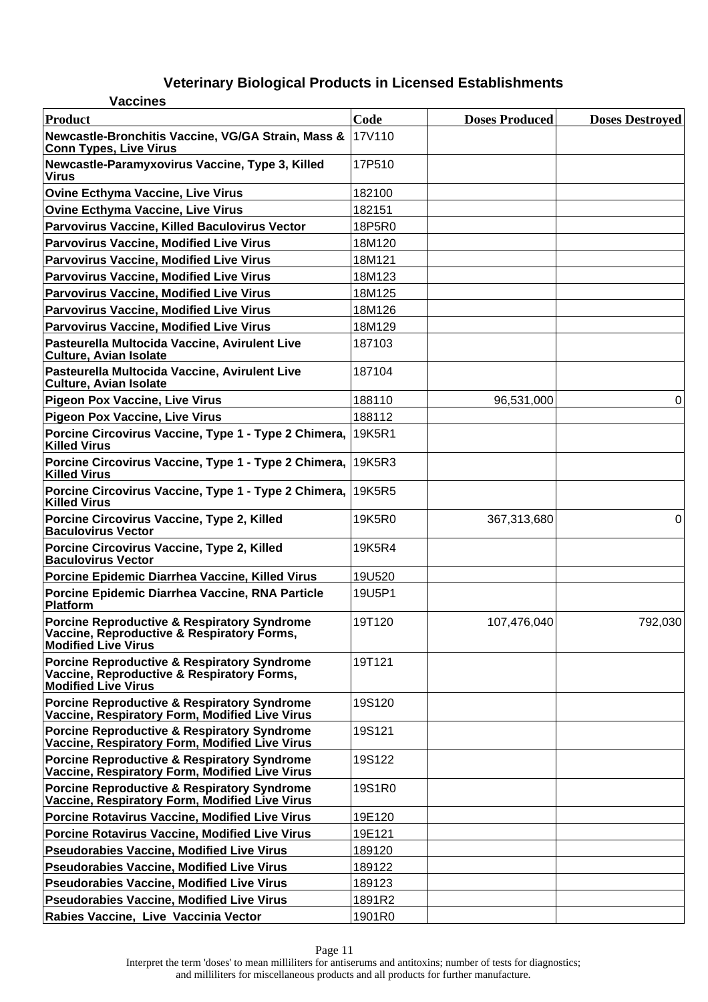| <b>Vaccines</b>                                                                                                                    |        |                       |                        |
|------------------------------------------------------------------------------------------------------------------------------------|--------|-----------------------|------------------------|
| Product                                                                                                                            | Code   | <b>Doses Produced</b> | <b>Doses Destroyed</b> |
| Newcastle-Bronchitis Vaccine, VG/GA Strain, Mass &<br><b>Conn Types, Live Virus</b>                                                | 17V110 |                       |                        |
| Newcastle-Paramyxovirus Vaccine, Type 3, Killed<br><b>Virus</b>                                                                    | 17P510 |                       |                        |
| <b>Ovine Ecthyma Vaccine, Live Virus</b>                                                                                           | 182100 |                       |                        |
| <b>Ovine Ecthyma Vaccine, Live Virus</b>                                                                                           | 182151 |                       |                        |
| Parvovirus Vaccine, Killed Baculovirus Vector                                                                                      | 18P5R0 |                       |                        |
| <b>Parvovirus Vaccine, Modified Live Virus</b>                                                                                     | 18M120 |                       |                        |
| <b>Parvovirus Vaccine, Modified Live Virus</b>                                                                                     | 18M121 |                       |                        |
| <b>Parvovirus Vaccine, Modified Live Virus</b>                                                                                     | 18M123 |                       |                        |
| <b>Parvovirus Vaccine, Modified Live Virus</b>                                                                                     | 18M125 |                       |                        |
| <b>Parvovirus Vaccine, Modified Live Virus</b>                                                                                     | 18M126 |                       |                        |
| <b>Parvovirus Vaccine, Modified Live Virus</b>                                                                                     | 18M129 |                       |                        |
| Pasteurella Multocida Vaccine, Avirulent Live<br><b>Culture, Avian Isolate</b>                                                     | 187103 |                       |                        |
| Pasteurella Multocida Vaccine, Avirulent Live<br><b>Culture, Avian Isolate</b>                                                     | 187104 |                       |                        |
| <b>Pigeon Pox Vaccine, Live Virus</b>                                                                                              | 188110 | 96,531,000            | 0                      |
| <b>Pigeon Pox Vaccine, Live Virus</b>                                                                                              | 188112 |                       |                        |
| Porcine Circovirus Vaccine, Type 1 - Type 2 Chimera, 19K5R1<br><b>Killed Virus</b>                                                 |        |                       |                        |
| Porcine Circovirus Vaccine, Type 1 - Type 2 Chimera, 19K5R3<br><b>Killed Virus</b>                                                 |        |                       |                        |
| Porcine Circovirus Vaccine, Type 1 - Type 2 Chimera, 19K5R5<br><b>Killed Virus</b>                                                 |        |                       |                        |
| Porcine Circovirus Vaccine, Type 2, Killed<br><b>Baculovirus Vector</b>                                                            | 19K5R0 | 367,313,680           | 0                      |
| Porcine Circovirus Vaccine, Type 2, Killed<br><b>Baculovirus Vector</b>                                                            | 19K5R4 |                       |                        |
| Porcine Epidemic Diarrhea Vaccine, Killed Virus                                                                                    | 19U520 |                       |                        |
| Porcine Epidemic Diarrhea Vaccine, RNA Particle<br><b>Platform</b>                                                                 | 19U5P1 |                       |                        |
| <b>Porcine Reproductive &amp; Respiratory Syndrome</b><br>Vaccine, Reproductive & Respiratory Forms,<br><b>Modified Live Virus</b> | 19T120 | 107,476,040           | 792,030                |
| <b>Porcine Reproductive &amp; Respiratory Syndrome</b><br>Vaccine, Reproductive & Respiratory Forms,<br><b>Modified Live Virus</b> | 19T121 |                       |                        |
| <b>Porcine Reproductive &amp; Respiratory Syndrome</b><br>Vaccine, Respiratory Form, Modified Live Virus                           | 19S120 |                       |                        |
| <b>Porcine Reproductive &amp; Respiratory Syndrome</b><br>Vaccine, Respiratory Form, Modified Live Virus                           | 19S121 |                       |                        |
| <b>Porcine Reproductive &amp; Respiratory Syndrome</b><br>Vaccine, Respiratory Form, Modified Live Virus                           | 19S122 |                       |                        |
| <b>Porcine Reproductive &amp; Respiratory Syndrome</b><br>Vaccine, Respiratory Form, Modified Live Virus                           | 19S1R0 |                       |                        |
| <b>Porcine Rotavirus Vaccine, Modified Live Virus</b>                                                                              | 19E120 |                       |                        |
| <b>Porcine Rotavirus Vaccine, Modified Live Virus</b>                                                                              | 19E121 |                       |                        |
| <b>Pseudorabies Vaccine, Modified Live Virus</b>                                                                                   | 189120 |                       |                        |
| <b>Pseudorabies Vaccine, Modified Live Virus</b>                                                                                   | 189122 |                       |                        |
| <b>Pseudorabies Vaccine, Modified Live Virus</b>                                                                                   | 189123 |                       |                        |
| <b>Pseudorabies Vaccine, Modified Live Virus</b>                                                                                   | 1891R2 |                       |                        |
| Rabies Vaccine, Live Vaccinia Vector                                                                                               | 1901R0 |                       |                        |

Interpret the term 'doses' to mean milliliters for antiserums and antitoxins; number of tests for diagnostics; and milliliters for miscellaneous products and all products for further manufacture.

Page 11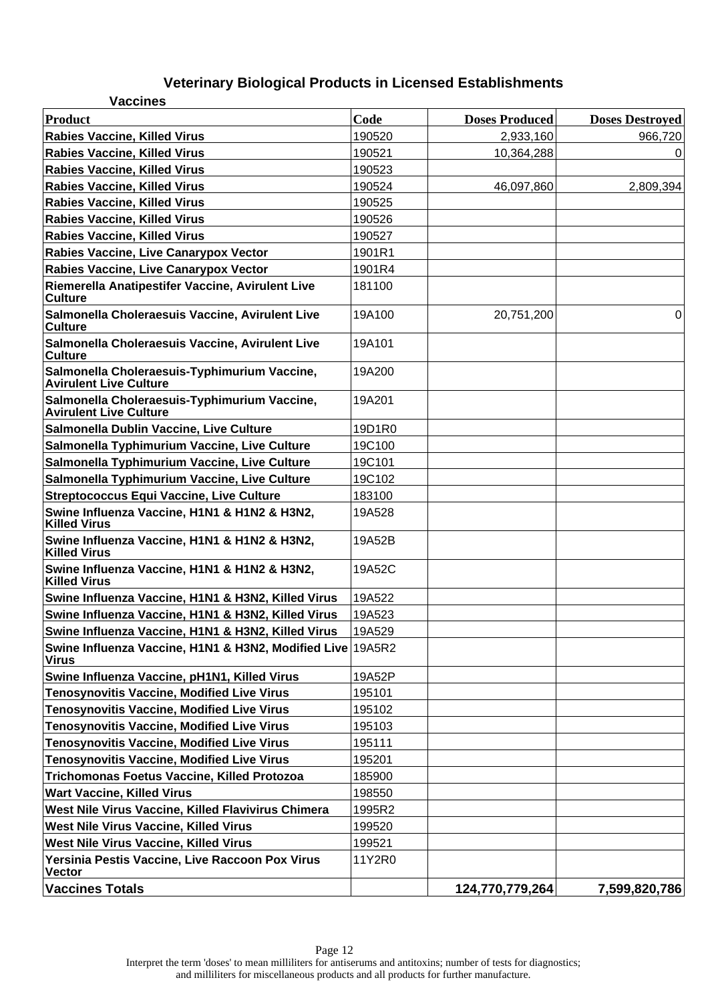| <b>Vaccines</b>                                                               |        |                       |                        |
|-------------------------------------------------------------------------------|--------|-----------------------|------------------------|
| <b>Product</b>                                                                | Code   | <b>Doses Produced</b> | <b>Doses Destroyed</b> |
| <b>Rabies Vaccine, Killed Virus</b>                                           | 190520 | 2,933,160             | 966,720                |
| <b>Rabies Vaccine, Killed Virus</b>                                           | 190521 | 10,364,288            | 0                      |
| <b>Rabies Vaccine, Killed Virus</b>                                           | 190523 |                       |                        |
| <b>Rabies Vaccine, Killed Virus</b>                                           | 190524 | 46,097,860            | 2,809,394              |
| <b>Rabies Vaccine, Killed Virus</b>                                           | 190525 |                       |                        |
| <b>Rabies Vaccine, Killed Virus</b>                                           | 190526 |                       |                        |
| <b>Rabies Vaccine, Killed Virus</b>                                           | 190527 |                       |                        |
| Rabies Vaccine, Live Canarypox Vector                                         | 1901R1 |                       |                        |
| Rabies Vaccine, Live Canarypox Vector                                         | 1901R4 |                       |                        |
| Riemerella Anatipestifer Vaccine, Avirulent Live<br><b>Culture</b>            | 181100 |                       |                        |
| Salmonella Choleraesuis Vaccine, Avirulent Live<br><b>Culture</b>             | 19A100 | 20,751,200            | 0                      |
| Salmonella Choleraesuis Vaccine, Avirulent Live<br><b>Culture</b>             | 19A101 |                       |                        |
| Salmonella Choleraesuis-Typhimurium Vaccine,<br><b>Avirulent Live Culture</b> | 19A200 |                       |                        |
| Salmonella Choleraesuis-Typhimurium Vaccine,<br><b>Avirulent Live Culture</b> | 19A201 |                       |                        |
| Salmonella Dublin Vaccine, Live Culture                                       | 19D1R0 |                       |                        |
| Salmonella Typhimurium Vaccine, Live Culture                                  | 19C100 |                       |                        |
| Salmonella Typhimurium Vaccine, Live Culture                                  | 19C101 |                       |                        |
| Salmonella Typhimurium Vaccine, Live Culture                                  | 19C102 |                       |                        |
| <b>Streptococcus Equi Vaccine, Live Culture</b>                               | 183100 |                       |                        |
| Swine Influenza Vaccine, H1N1 & H1N2 & H3N2,<br><b>Killed Virus</b>           | 19A528 |                       |                        |
| Swine Influenza Vaccine, H1N1 & H1N2 & H3N2,<br><b>Killed Virus</b>           | 19A52B |                       |                        |
| Swine Influenza Vaccine, H1N1 & H1N2 & H3N2,<br><b>Killed Virus</b>           | 19A52C |                       |                        |
| Swine Influenza Vaccine, H1N1 & H3N2, Killed Virus                            | 19A522 |                       |                        |
| Swine Influenza Vaccine, H1N1 & H3N2, Killed Virus                            | 19A523 |                       |                        |
| Swine Influenza Vaccine, H1N1 & H3N2, Killed Virus                            | 19A529 |                       |                        |
| Swine Influenza Vaccine, H1N1 & H3N2, Modified Live 19A5R2<br><b>Virus</b>    |        |                       |                        |
| Swine Influenza Vaccine, pH1N1, Killed Virus                                  | 19A52P |                       |                        |
| <b>Tenosynovitis Vaccine, Modified Live Virus</b>                             | 195101 |                       |                        |
| <b>Tenosynovitis Vaccine, Modified Live Virus</b>                             | 195102 |                       |                        |
| <b>Tenosynovitis Vaccine, Modified Live Virus</b>                             | 195103 |                       |                        |
| <b>Tenosynovitis Vaccine, Modified Live Virus</b>                             | 195111 |                       |                        |
| <b>Tenosynovitis Vaccine, Modified Live Virus</b>                             | 195201 |                       |                        |
| Trichomonas Foetus Vaccine, Killed Protozoa                                   | 185900 |                       |                        |
| <b>Wart Vaccine, Killed Virus</b>                                             | 198550 |                       |                        |
| West Nile Virus Vaccine, Killed Flavivirus Chimera                            | 1995R2 |                       |                        |
| West Nile Virus Vaccine, Killed Virus                                         | 199520 |                       |                        |
| West Nile Virus Vaccine, Killed Virus                                         | 199521 |                       |                        |
| Yersinia Pestis Vaccine, Live Raccoon Pox Virus<br><b>Vector</b>              | 11Y2R0 |                       |                        |
| <b>Vaccines Totals</b>                                                        |        | 124,770,779,264       | 7,599,820,786          |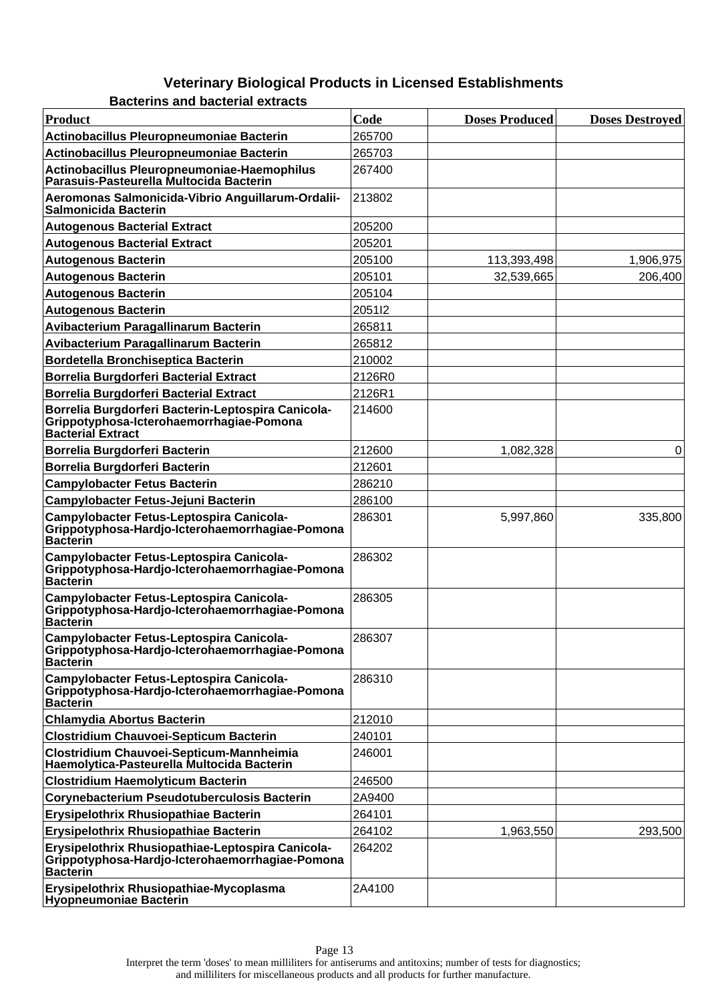|  | <b>Bacterins and bacterial extracts</b> |  |
|--|-----------------------------------------|--|
|--|-----------------------------------------|--|

| <b>Product</b>                                                                                                             | Code   | <b>Doses Produced</b> | <b>Doses Destroyed</b> |
|----------------------------------------------------------------------------------------------------------------------------|--------|-----------------------|------------------------|
| <b>Actinobacillus Pleuropneumoniae Bacterin</b>                                                                            | 265700 |                       |                        |
| <b>Actinobacillus Pleuropneumoniae Bacterin</b>                                                                            | 265703 |                       |                        |
| Actinobacillus Pleuropneumoniae-Haemophilus<br>Parasuis-Pasteurella Multocida Bacterin                                     | 267400 |                       |                        |
| Aeromonas Salmonicida-Vibrio Anguillarum-Ordalii-<br><b>Salmonicida Bacterin</b>                                           | 213802 |                       |                        |
| <b>Autogenous Bacterial Extract</b>                                                                                        | 205200 |                       |                        |
| <b>Autogenous Bacterial Extract</b>                                                                                        | 205201 |                       |                        |
| <b>Autogenous Bacterin</b>                                                                                                 | 205100 | 113,393,498           | 1,906,975              |
| <b>Autogenous Bacterin</b>                                                                                                 | 205101 | 32,539,665            | 206,400                |
| <b>Autogenous Bacterin</b>                                                                                                 | 205104 |                       |                        |
| <b>Autogenous Bacterin</b>                                                                                                 | 205112 |                       |                        |
| Avibacterium Paragallinarum Bacterin                                                                                       | 265811 |                       |                        |
| <b>Avibacterium Paragallinarum Bacterin</b>                                                                                | 265812 |                       |                        |
| <b>Bordetella Bronchiseptica Bacterin</b>                                                                                  | 210002 |                       |                        |
| <b>Borrelia Burgdorferi Bacterial Extract</b>                                                                              | 2126R0 |                       |                        |
| <b>Borrelia Burgdorferi Bacterial Extract</b>                                                                              | 2126R1 |                       |                        |
| Borrelia Burgdorferi Bacterin-Leptospira Canicola-<br>Grippotyphosa-Icterohaemorrhagiae-Pomona<br><b>Bacterial Extract</b> | 214600 |                       |                        |
| Borrelia Burgdorferi Bacterin                                                                                              | 212600 | 1,082,328             | $\mathbf 0$            |
| Borrelia Burgdorferi Bacterin                                                                                              | 212601 |                       |                        |
| <b>Campylobacter Fetus Bacterin</b>                                                                                        | 286210 |                       |                        |
| Campylobacter Fetus-Jejuni Bacterin                                                                                        | 286100 |                       |                        |
| Campylobacter Fetus-Leptospira Canicola-<br>Grippotyphosa-Hardjo-Icterohaemorrhagiae-Pomona<br><b>Bacterin</b>             | 286301 | 5,997,860             | 335,800                |
| Campylobacter Fetus-Leptospira Canicola-<br>Grippotyphosa-Hardjo-Icterohaemorrhagiae-Pomona<br><b>Bacterin</b>             | 286302 |                       |                        |
| Campylobacter Fetus-Leptospira Canicola-<br>Grippotyphosa-Hardjo-Icterohaemorrhagiae-Pomona<br><b>Bacterin</b>             | 286305 |                       |                        |
| Campylobacter Fetus-Leptospira Canicola-<br>Grippotyphosa-Hardjo-Icterohaemorrhagiae-Pomona<br><b>Bacterin</b>             | 286307 |                       |                        |
| Campylobacter Fetus-Leptospira Canicola-<br>Grippotyphosa-Hardjo-Icterohaemorrhagiae-Pomona<br><b>Bacterin</b>             | 286310 |                       |                        |
| <b>Chlamydia Abortus Bacterin</b>                                                                                          | 212010 |                       |                        |
| <b>Clostridium Chauvoei-Septicum Bacterin</b>                                                                              | 240101 |                       |                        |
| Clostridium Chauvoei-Septicum-Mannheimia<br>Haemolytica-Pasteurella Multocida Bacterin                                     | 246001 |                       |                        |
| <b>Clostridium Haemolyticum Bacterin</b>                                                                                   | 246500 |                       |                        |
| <b>Corynebacterium Pseudotuberculosis Bacterin</b>                                                                         | 2A9400 |                       |                        |
| Erysipelothrix Rhusiopathiae Bacterin                                                                                      | 264101 |                       |                        |
| Erysipelothrix Rhusiopathiae Bacterin                                                                                      | 264102 | 1,963,550             | 293,500                |
| Erysipelothrix Rhusiopathiae-Leptospira Canicola-<br>Grippotyphosa-Hardjo-Icterohaemorrhagiae-Pomona<br><b>Bacterin</b>    | 264202 |                       |                        |
| Erysipelothrix Rhusiopathiae-Mycoplasma<br><b>Hyopheumoniae Bacterin</b>                                                   | 2A4100 |                       |                        |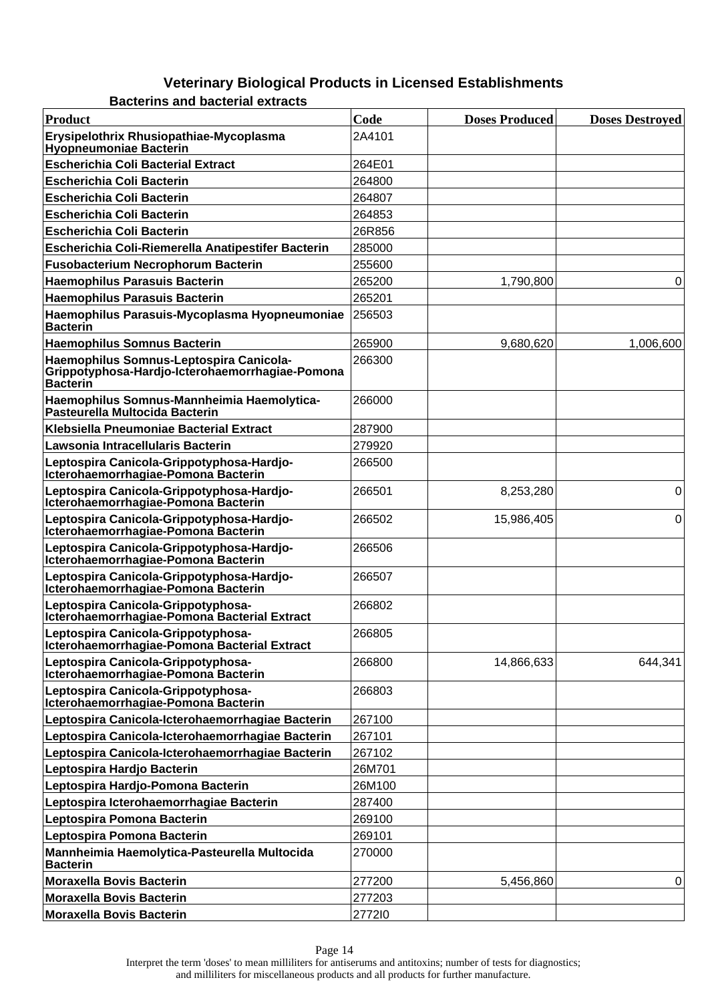**Bacterins and bacterial extracts**

| Product                                                                                                       | Code   | <b>Doses Produced</b> | <b>Doses Destroyed</b> |
|---------------------------------------------------------------------------------------------------------------|--------|-----------------------|------------------------|
| Erysipelothrix Rhusiopathiae-Mycoplasma<br><b>Hyopheumoniae Bacterin</b>                                      | 2A4101 |                       |                        |
| <b>Escherichia Coli Bacterial Extract</b>                                                                     | 264E01 |                       |                        |
| <b>Escherichia Coli Bacterin</b>                                                                              | 264800 |                       |                        |
| <b>Escherichia Coli Bacterin</b>                                                                              | 264807 |                       |                        |
| <b>Escherichia Coli Bacterin</b>                                                                              | 264853 |                       |                        |
| <b>Escherichia Coli Bacterin</b>                                                                              | 26R856 |                       |                        |
| Escherichia Coli-Riemerella Anatipestifer Bacterin                                                            | 285000 |                       |                        |
| <b>Fusobacterium Necrophorum Bacterin</b>                                                                     | 255600 |                       |                        |
| <b>Haemophilus Parasuis Bacterin</b>                                                                          | 265200 | 1,790,800             | 0                      |
| <b>Haemophilus Parasuis Bacterin</b>                                                                          | 265201 |                       |                        |
| Haemophilus Parasuis-Mycoplasma Hyopneumoniae<br><b>Bacterin</b>                                              | 256503 |                       |                        |
| <b>Haemophilus Somnus Bacterin</b>                                                                            | 265900 | 9,680,620             | 1,006,600              |
| Haemophilus Somnus-Leptospira Canicola-<br>Grippotyphosa-Hardjo-Icterohaemorrhagiae-Pomona<br><b>Bacterin</b> | 266300 |                       |                        |
| Haemophilus Somnus-Mannheimia Haemolytica-<br>Pasteurella Multocida Bacterin                                  | 266000 |                       |                        |
| Klebsiella Pneumoniae Bacterial Extract                                                                       | 287900 |                       |                        |
| Lawsonia Intracellularis Bacterin                                                                             | 279920 |                       |                        |
| Leptospira Canicola-Grippotyphosa-Hardjo-<br>Icterohaemorrhagiae-Pomona Bacterin                              | 266500 |                       |                        |
| Leptospira Canicola-Grippotyphosa-Hardjo-<br>Icterohaemorrhagiae-Pomona Bacterin                              | 266501 | 8,253,280             | 0                      |
| Leptospira Canicola-Grippotyphosa-Hardjo-<br>Icterohaemorrhagiae-Pomona Bacterin                              | 266502 | 15,986,405            | 0                      |
| Leptospira Canicola-Grippotyphosa-Hardjo-<br>Icterohaemorrhagiae-Pomona Bacterin                              | 266506 |                       |                        |
| Leptospira Canicola-Grippotyphosa-Hardjo-<br>Icterohaemorrhagiae-Pomona Bacterin                              | 266507 |                       |                        |
| Leptospira Canicola-Grippotyphosa-<br>Icterohaemorrhagiae-Pomona Bacterial Extract                            | 266802 |                       |                        |
| Leptospira Canicola-Grippotyphosa-<br>Icterohaemorrhagiae-Pomona Bacterial Extract                            | 266805 |                       |                        |
| Leptospira Canicola-Grippotyphosa-<br>Icterohaemorrhagiae-Pomona Bacterin                                     | 266800 | 14,866,633            | 644,341                |
| Leptospira Canicola-Grippotyphosa-<br>Icterohaemorrhagiae-Pomona Bacterin                                     | 266803 |                       |                        |
| Leptospira Canicola-Icterohaemorrhagiae Bacterin                                                              | 267100 |                       |                        |
| Leptospira Canicola-Icterohaemorrhagiae Bacterin                                                              | 267101 |                       |                        |
| Leptospira Canicola-Icterohaemorrhagiae Bacterin                                                              | 267102 |                       |                        |
| Leptospira Hardjo Bacterin                                                                                    | 26M701 |                       |                        |
| Leptospira Hardjo-Pomona Bacterin                                                                             | 26M100 |                       |                        |
| Leptospira Icterohaemorrhagiae Bacterin                                                                       | 287400 |                       |                        |
| Leptospira Pomona Bacterin                                                                                    | 269100 |                       |                        |
| Leptospira Pomona Bacterin                                                                                    | 269101 |                       |                        |
| Mannheimia Haemolytica-Pasteurella Multocida<br><b>Bacterin</b>                                               | 270000 |                       |                        |
| <b>Moraxella Bovis Bacterin</b>                                                                               | 277200 | 5,456,860             | 0                      |
| <b>Moraxella Bovis Bacterin</b>                                                                               | 277203 |                       |                        |
| <b>Moraxella Bovis Bacterin</b>                                                                               | 277210 |                       |                        |

Page 14 Interpret the term 'doses' to mean milliliters for antiserums and antitoxins; number of tests for diagnostics; and milliliters for miscellaneous products and all products for further manufacture.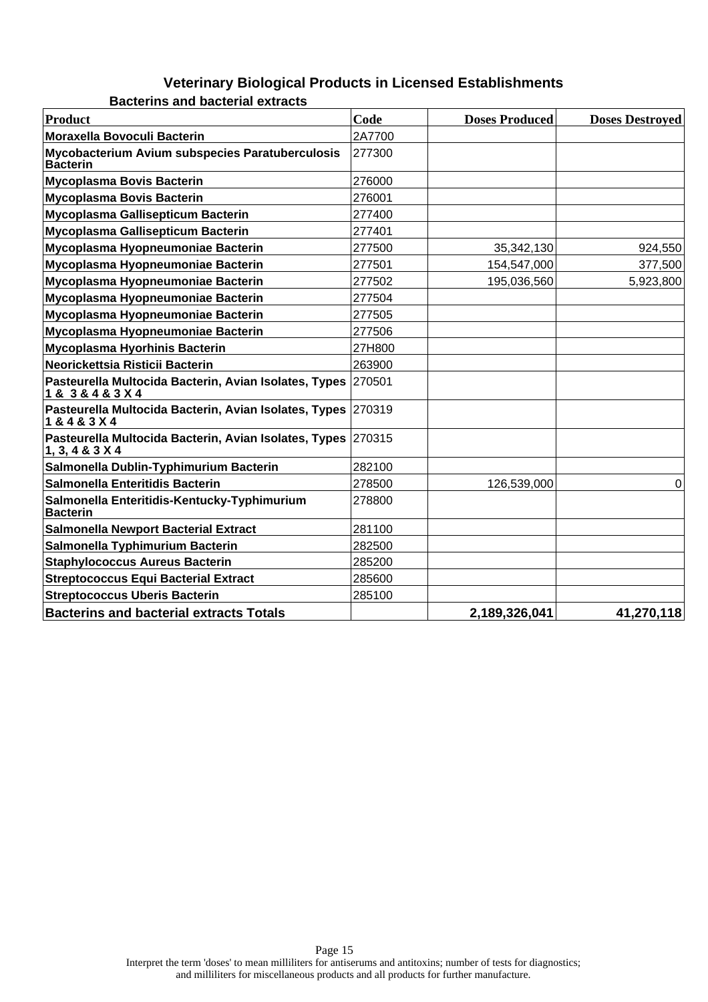| Product                                                                             | Code   | <b>Doses Produced</b> | <b>Doses Destroved</b> |
|-------------------------------------------------------------------------------------|--------|-----------------------|------------------------|
| Moraxella Bovoculi Bacterin                                                         | 2A7700 |                       |                        |
| Mycobacterium Avium subspecies Paratuberculosis<br><b>Bacterin</b>                  | 277300 |                       |                        |
| <b>Mycoplasma Bovis Bacterin</b>                                                    | 276000 |                       |                        |
| <b>Mycoplasma Bovis Bacterin</b>                                                    | 276001 |                       |                        |
| Mycoplasma Gallisepticum Bacterin                                                   | 277400 |                       |                        |
| Mycoplasma Gallisepticum Bacterin                                                   | 277401 |                       |                        |
| Mycoplasma Hyopneumoniae Bacterin                                                   | 277500 | 35,342,130            | 924,550                |
| Mycoplasma Hyopneumoniae Bacterin                                                   | 277501 | 154,547,000           | 377,500                |
| Mycoplasma Hyopneumoniae Bacterin                                                   | 277502 | 195,036,560           | 5,923,800              |
| Mycoplasma Hyopneumoniae Bacterin                                                   | 277504 |                       |                        |
| Mycoplasma Hyopneumoniae Bacterin                                                   | 277505 |                       |                        |
| Mycoplasma Hyopneumoniae Bacterin                                                   | 277506 |                       |                        |
| Mycoplasma Hyorhinis Bacterin                                                       | 27H800 |                       |                        |
| Neorickettsia Risticii Bacterin                                                     | 263900 |                       |                        |
| Pasteurella Multocida Bacterin, Avian Isolates, Types 270501<br>1 & 3 & 4 & 3 X 4   |        |                       |                        |
| Pasteurella Multocida Bacterin, Avian Isolates, Types 270319<br>1 & 4 & 3 X 4       |        |                       |                        |
| Pasteurella Multocida Bacterin, Avian Isolates, Types 270315<br>1, 3, 4 & 3 & 3 & 4 |        |                       |                        |
| Salmonella Dublin-Typhimurium Bacterin                                              | 282100 |                       |                        |
| Salmonella Enteritidis Bacterin                                                     | 278500 | 126,539,000           | 0                      |
| Salmonella Enteritidis-Kentucky-Typhimurium<br><b>Bacterin</b>                      | 278800 |                       |                        |
| <b>Salmonella Newport Bacterial Extract</b>                                         | 281100 |                       |                        |
| Salmonella Typhimurium Bacterin                                                     | 282500 |                       |                        |
| <b>Staphylococcus Aureus Bacterin</b>                                               | 285200 |                       |                        |
| <b>Streptococcus Equi Bacterial Extract</b>                                         | 285600 |                       |                        |
| <b>Streptococcus Uberis Bacterin</b>                                                | 285100 |                       |                        |
| <b>Bacterins and bacterial extracts Totals</b>                                      |        | 2,189,326,041         | 41,270,118             |

**Bacterins and bacterial extracts**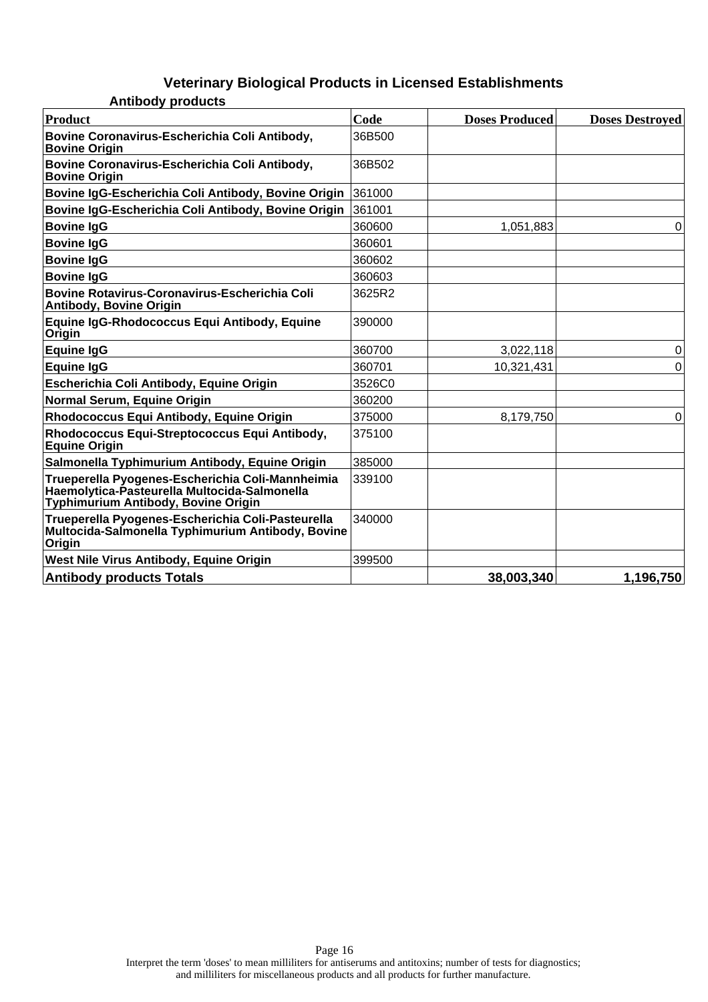| Product                                                                                                                                 | Code   | <b>Doses Produced</b> | <b>Doses Destroved</b> |
|-----------------------------------------------------------------------------------------------------------------------------------------|--------|-----------------------|------------------------|
| Bovine Coronavirus-Escherichia Coli Antibody,<br><b>Bovine Origin</b>                                                                   | 36B500 |                       |                        |
| Bovine Coronavirus-Escherichia Coli Antibody,<br><b>Bovine Origin</b>                                                                   | 36B502 |                       |                        |
| Bovine IgG-Escherichia Coli Antibody, Bovine Origin                                                                                     | 361000 |                       |                        |
| Bovine IgG-Escherichia Coli Antibody, Bovine Origin                                                                                     | 361001 |                       |                        |
| <b>Bovine IgG</b>                                                                                                                       | 360600 | 1,051,883             | 0                      |
| <b>Bovine IgG</b>                                                                                                                       | 360601 |                       |                        |
| <b>Bovine IgG</b>                                                                                                                       | 360602 |                       |                        |
| <b>Bovine IgG</b>                                                                                                                       | 360603 |                       |                        |
| Bovine Rotavirus-Coronavirus-Escherichia Coli<br><b>Antibody, Bovine Origin</b>                                                         | 3625R2 |                       |                        |
| Equine IgG-Rhodococcus Equi Antibody, Equine<br>Origin                                                                                  | 390000 |                       |                        |
| <b>Equine IgG</b>                                                                                                                       | 360700 | 3,022,118             | 0                      |
| <b>Equine IgG</b>                                                                                                                       | 360701 | 10,321,431            | 0                      |
| Escherichia Coli Antibody, Equine Origin                                                                                                | 3526C0 |                       |                        |
| Normal Serum, Equine Origin                                                                                                             | 360200 |                       |                        |
| Rhodococcus Equi Antibody, Equine Origin                                                                                                | 375000 | 8,179,750             | $\Omega$               |
| Rhodococcus Equi-Streptococcus Equi Antibody,<br><b>Equine Origin</b>                                                                   | 375100 |                       |                        |
| Salmonella Typhimurium Antibody, Equine Origin                                                                                          | 385000 |                       |                        |
| Trueperella Pyogenes-Escherichia Coli-Mannheimia<br>Haemolytica-Pasteurella Multocida-Salmonella<br>Typhimurium Antibody, Bovine Origin | 339100 |                       |                        |
| Trueperella Pyogenes-Escherichia Coli-Pasteurella<br>Multocida-Salmonella Typhimurium Antibody, Bovine<br>Origin                        | 340000 |                       |                        |
| West Nile Virus Antibody, Equine Origin                                                                                                 | 399500 |                       |                        |
| <b>Antibody products Totals</b>                                                                                                         |        | 38,003,340            | 1,196,750              |

**Antibody products**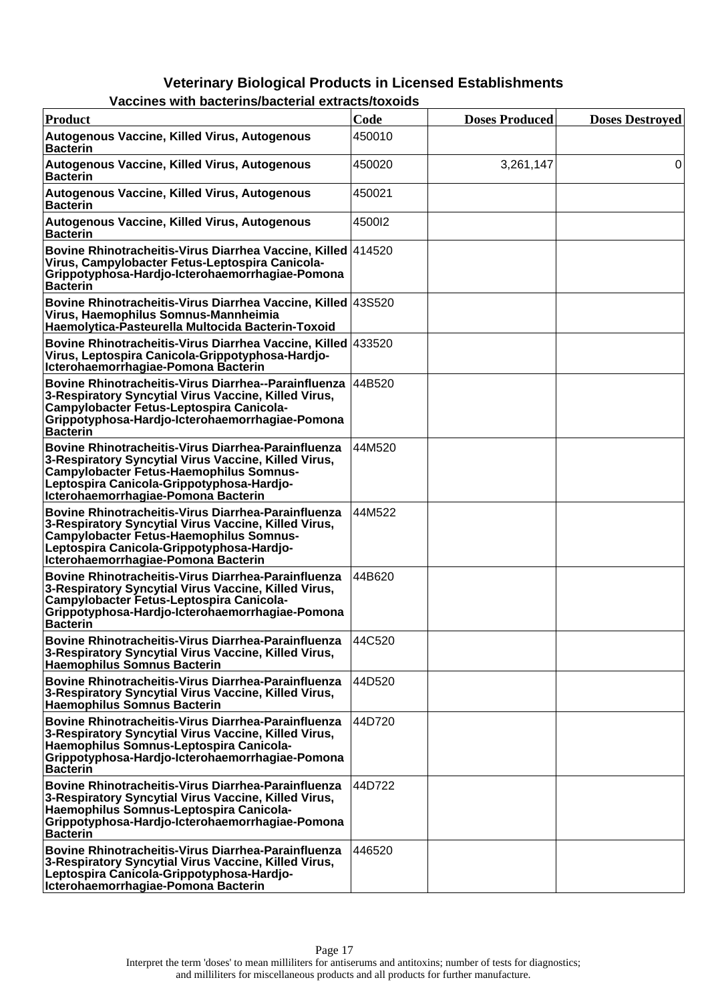| GS WILLI DAGLGI IIIS/DAGLGI IAI GALI AGLS/LOAOIUS                                                                                                                                                                                                        |                    |                       |                        |
|----------------------------------------------------------------------------------------------------------------------------------------------------------------------------------------------------------------------------------------------------------|--------------------|-----------------------|------------------------|
| Product                                                                                                                                                                                                                                                  | Code               | <b>Doses Produced</b> | <b>Doses Destroyed</b> |
| Autogenous Vaccine, Killed Virus, Autogenous<br><b>Bacterin</b>                                                                                                                                                                                          | 450010             |                       |                        |
| Autogenous Vaccine, Killed Virus, Autogenous<br><b>Bacterin</b>                                                                                                                                                                                          | 450020             | 3,261,147             | 0                      |
| Autogenous Vaccine, Killed Virus, Autogenous<br><b>Bacterin</b>                                                                                                                                                                                          | 450021             |                       |                        |
| Autogenous Vaccine, Killed Virus, Autogenous<br><b>Bacterin</b>                                                                                                                                                                                          | 4500 <sub>12</sub> |                       |                        |
| Bovine Rhinotracheitis-Virus Diarrhea Vaccine, Killed 414520<br>Virus, Campylobacter Fetus-Leptospira Canicola-<br>Grippotyphosa-Hardjo-Icterohaemorrhagiae-Pomona<br><b>Bacterin</b>                                                                    |                    |                       |                        |
| Bovine Rhinotracheitis-Virus Diarrhea Vaccine, Killed   43S520<br>Virus, Haemophilus Somnus-Mannheimia<br>Haemolytica-Pasteurella Multocida Bacterin-Toxoid                                                                                              |                    |                       |                        |
| Bovine Rhinotracheitis-Virus Diarrhea Vaccine, Killed 433520<br>Virus, Leptospira Canicola-Grippotyphosa-Hardjo-<br>Icterohaemorrhagiae-Pomona Bacterin                                                                                                  |                    |                       |                        |
| <b>Bovine Rhinotracheitis-Virus Diarrhea--Parainfluenza</b><br>3-Respiratory Syncytial Virus Vaccine, Killed Virus,<br>Campylobacter Fetus-Leptospira Canicola-<br>Grippotyphosa-Hardjo-Icterohaemorrhagiae-Pomona<br><b>Bacterin</b>                    | 44B520             |                       |                        |
| Bovine Rhinotracheitis-Virus Diarrhea-Parainfluenza<br>3-Respiratory Syncytial Virus Vaccine, Killed Virus,<br><b>Campylobacter Fetus-Haemophilus Somnus-</b><br>Leptospira Canicola-Grippotyphosa-Hardjo-<br>Icterohaemorrhagiae-Pomona Bacterin        | 44M520             |                       |                        |
| <b>Bovine Rhinotracheitis-Virus Diarrhea-Parainfluenza</b><br>3-Respiratory Syncytial Virus Vaccine, Killed Virus,<br><b>Campylobacter Fetus-Haemophilus Somnus-</b><br>Leptospira Canicola-Grippotyphosa-Hardjo-<br>Icterohaemorrhagiae-Pomona Bacterin | 44M522             |                       |                        |
| Bovine Rhinotracheitis-Virus Diarrhea-Parainfluenza<br>3-Respiratory Syncytial Virus Vaccine, Killed Virus,<br>Campylobacter Fetus-Leptospira Canicola-<br>Grippotyphosa-Hardjo-Icterohaemorrhagiae-Pomona<br><b>Bacterin</b>                            | 44B620             |                       |                        |
| <b>Bovine Rhinotracheitis-Virus Diarrhea-Parainfluenza</b><br>3-Respiratory Syncytial Virus Vaccine, Killed Virus,<br><b>Haemophilus Somnus Bacterin</b>                                                                                                 | 44C520             |                       |                        |
| <b>Bovine Rhinotracheitis-Virus Diarrhea-Parainfluenza</b><br>3-Respiratory Syncytial Virus Vaccine, Killed Virus,<br><b>Haemophilus Somnus Bacterin</b>                                                                                                 | 44D520             |                       |                        |
| Bovine Rhinotracheitis-Virus Diarrhea-Parainfluenza<br>3-Respiratory Syncytial Virus Vaccine, Killed Virus,<br>Haemophilus Somnus-Leptospira Canicola-<br>Grippotyphosa-Hardjo-Icterohaemorrhagiae-Pomona<br><b>Bacterin</b>                             | 44D720             |                       |                        |
| <b>Bovine Rhinotracheitis-Virus Diarrhea-Parainfluenza</b><br>3-Respiratory Syncytial Virus Vaccine, Killed Virus,<br>Haemophilus Somnus-Leptospira Canicola-<br>Grippotyphosa-Hardjo-Icterohaemorrhagiae-Pomona<br><b>Bacterin</b>                      | 44D722             |                       |                        |
| Bovine Rhinotracheitis-Virus Diarrhea-Parainfluenza<br>3-Respiratory Syncytial Virus Vaccine, Killed Virus,<br>Leptospira Canicola-Grippotyphosa-Hardjo-<br>Icterohaemorrhagiae-Pomona Bacterin                                                          | 446520             |                       |                        |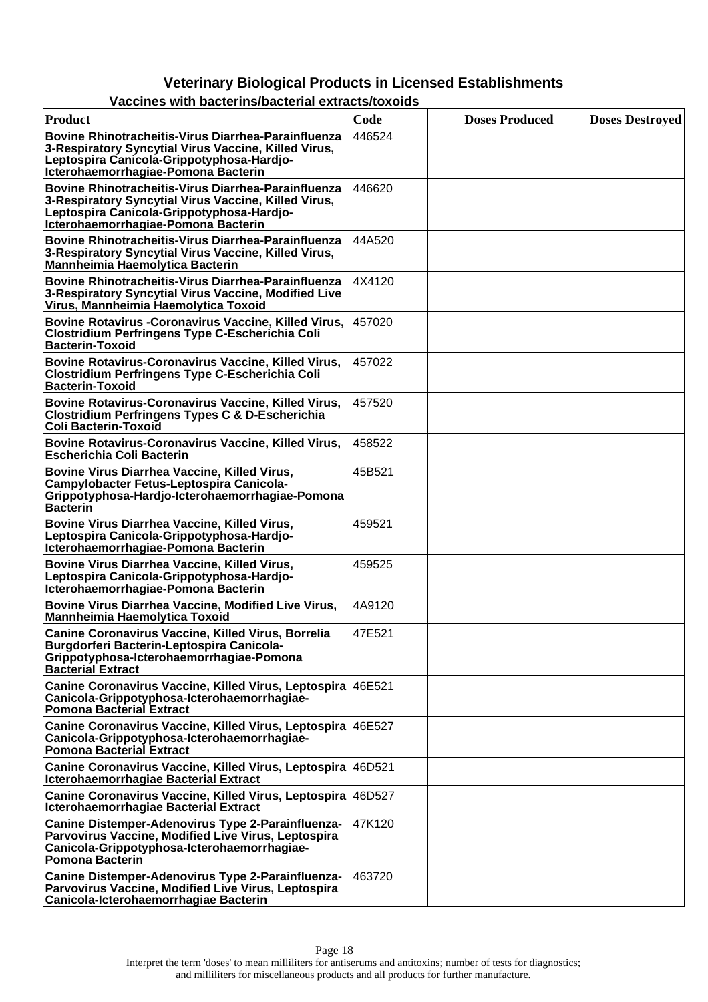| Product                                                                                                                                                                                                | Code   | <b>Doses Produced</b> | <b>Doses Destroyed</b> |
|--------------------------------------------------------------------------------------------------------------------------------------------------------------------------------------------------------|--------|-----------------------|------------------------|
| <b>Bovine Rhinotracheitis-Virus Diarrhea-Parainfluenza</b><br>3-Respiratory Syncytial Virus Vaccine, Killed Virus,<br>Leptospira Canicola-Grippotyphosa-Hardjo-<br>Icterohaemorrhagiae-Pomona Bacterin | 446524 |                       |                        |
| Bovine Rhinotracheitis-Virus Diarrhea-Parainfluenza<br>3-Respiratory Syncytial Virus Vaccine, Killed Virus,<br>Leptospira Canicola-Grippotyphosa-Hardjo-<br>Icterohaemorrhagiae-Pomona Bacterin        | 446620 |                       |                        |
| Bovine Rhinotracheitis-Virus Diarrhea-Parainfluenza<br>3-Respiratory Syncytial Virus Vaccine, Killed Virus,<br><b>Mannheimia Haemolytica Bacterin</b>                                                  | 44A520 |                       |                        |
| Bovine Rhinotracheitis-Virus Diarrhea-Parainfluenza<br>3-Respiratory Syncytial Virus Vaccine, Modified Live<br>Virus, Mannheimia Haemolytica Toxoid                                                    | 4X4120 |                       |                        |
| Bovine Rotavirus - Coronavirus Vaccine, Killed Virus,<br><b>Clostridium Perfringens Type C-Escherichia Coli</b><br><b>Bacterin-Toxoid</b>                                                              | 457020 |                       |                        |
| Bovine Rotavirus-Coronavirus Vaccine, Killed Virus,<br><b>Clostridium Perfringens Type C-Escherichia Coli</b><br><b>Bacterin-Toxoid</b>                                                                | 457022 |                       |                        |
| Bovine Rotavirus-Coronavirus Vaccine, Killed Virus,<br><b>Clostridium Perfringens Types C &amp; D-Escherichia</b><br><b>Coli Bacterin-Toxoid</b>                                                       | 457520 |                       |                        |
| Bovine Rotavirus-Coronavirus Vaccine, Killed Virus,<br><b>Escherichia Coli Bacterin</b>                                                                                                                | 458522 |                       |                        |
| Bovine Virus Diarrhea Vaccine, Killed Virus,<br>Campylobacter Fetus-Leptospira Canicola-<br>Grippotyphosa-Hardjo-Icterohaemorrhagiae-Pomona<br><b>Bacterin</b>                                         | 45B521 |                       |                        |
| Bovine Virus Diarrhea Vaccine, Killed Virus,<br>Leptospira Canicola-Grippotyphosa-Hardjo-<br>Icterohaemorrhagiae-Pomona Bacterin                                                                       | 459521 |                       |                        |
| Bovine Virus Diarrhea Vaccine, Killed Virus,<br>Leptospira Canicola-Grippotyphosa-Hardjo-<br>Icterohaemorrhagiae-Pomona Bacterin                                                                       | 459525 |                       |                        |
| Bovine Virus Diarrhea Vaccine, Modified Live Virus,<br><b>Mannheimia Haemolytica Toxoid</b>                                                                                                            | 4A9120 |                       |                        |
| Canine Coronavirus Vaccine, Killed Virus, Borrelia<br>Burgdorferi Bacterin-Leptospira Canicola-<br>Grippotyphosa-Icterohaemorrhagiae-Pomona<br><b>Bacterial Extract</b>                                | 47E521 |                       |                        |
| Canine Coronavirus Vaccine, Killed Virus, Leptospira   46E521<br>Canicola-Grippotyphosa-Icterohaemorrhagiae-<br>Pomona Bacterial Extract                                                               |        |                       |                        |
| Canine Coronavirus Vaccine, Killed Virus, Leptospira 46E527<br>Canicola-Grippotyphosa-Icterohaemorrhagiae-<br><b>Pomona Bacterial Extract</b>                                                          |        |                       |                        |
| Canine Coronavirus Vaccine, Killed Virus, Leptospira 46D521<br><b>Icterohaemorrhagiae Bacterial Extract</b>                                                                                            |        |                       |                        |
| Canine Coronavirus Vaccine, Killed Virus, Leptospira 46D527<br><b>Icterohaemorrhagiae Bacterial Extract</b>                                                                                            |        |                       |                        |
| Canine Distemper-Adenovirus Type 2-Parainfluenza-<br>Parvovirus Vaccine, Modified Live Virus, Leptospira<br>Canicola-Grippotyphosa-Icterohaemorrhagiae-<br>Pomona Bacterin                             | 47K120 |                       |                        |
| Canine Distemper-Adenovirus Type 2-Parainfluenza-<br>Parvovirus Vaccine, Modified Live Virus, Leptospira<br>Canicola-Icterohaemorrhagiae Bacterin                                                      | 463720 |                       |                        |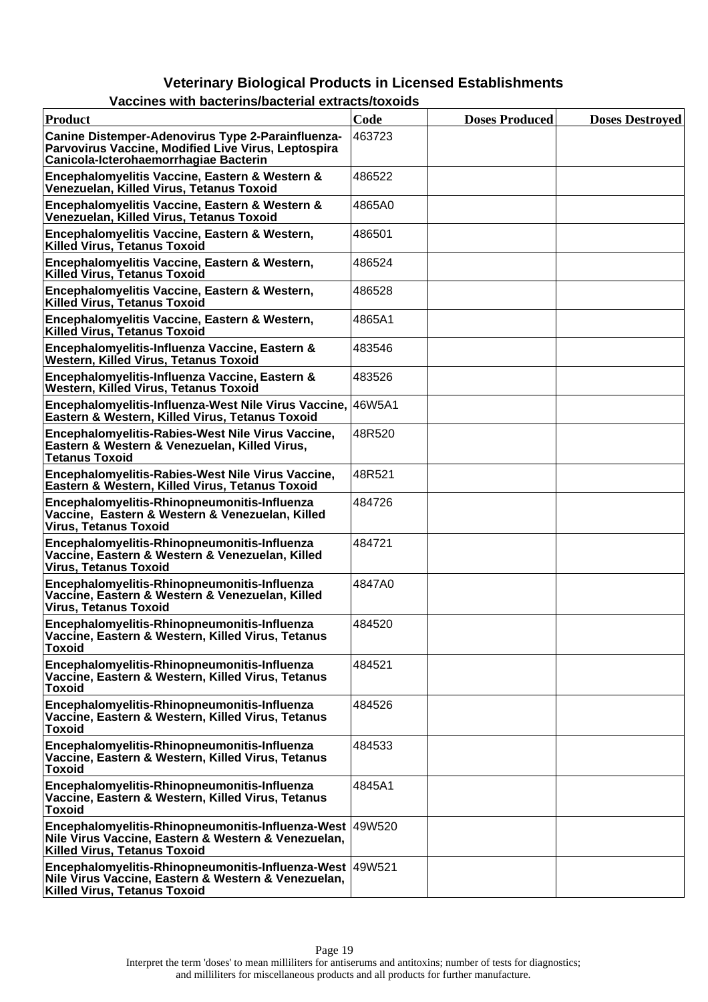| <b>Product</b>                                                                                                                                         | Code   | <b>Doses Produced</b> | <b>Doses Destroyed</b> |
|--------------------------------------------------------------------------------------------------------------------------------------------------------|--------|-----------------------|------------------------|
| Canine Distemper-Adenovirus Type 2-Parainfluenza-<br>Parvovirus Vaccine, Modified Live Virus, Leptospira<br>Canicola-Icterohaemorrhagiae Bacterin      | 463723 |                       |                        |
| Encephalomyelitis Vaccine, Eastern & Western &<br>Venezuelan, Killed Virus, Tetanus Toxoid                                                             | 486522 |                       |                        |
| Encephalomyelitis Vaccine, Eastern & Western &<br>Venezuelan, Killed Virus, Tetanus Toxoid                                                             | 4865A0 |                       |                        |
| Encephalomyelitis Vaccine, Eastern & Western,<br><b>Killed Virus, Tetanus Toxoid</b>                                                                   | 486501 |                       |                        |
| Encephalomyelitis Vaccine, Eastern & Western,<br>Killed Virus, Tetanus Toxoid                                                                          | 486524 |                       |                        |
| Encephalomyelitis Vaccine, Eastern & Western,<br>Killed Virus, Tetanus Toxoid                                                                          | 486528 |                       |                        |
| Encephalomyelitis Vaccine, Eastern & Western,<br>Killed Virus, Tetanus Toxoid                                                                          | 4865A1 |                       |                        |
| Encephalomyelitis-Influenza Vaccine, Eastern &<br>Western, Killed Virus, Tetanus Toxoid                                                                | 483546 |                       |                        |
| Encephalomyelitis-Influenza Vaccine, Eastern &<br><b>Western, Killed Virus, Tetanus Toxoid</b>                                                         | 483526 |                       |                        |
| Encephalomyelitis-Influenza-West Nile Virus Vaccine, 46W5A1<br>Eastern & Western, Killed Virus, Tetanus Toxoid                                         |        |                       |                        |
| Encephalomyelitis-Rabies-West Nile Virus Vaccine,<br>Eastern & Western & Venezuelan, Killed Virus,<br><b>Tetanus Toxoid</b>                            | 48R520 |                       |                        |
| Encephalomyelitis-Rabies-West Nile Virus Vaccine,<br>Eastern & Western, Killed Virus, Tetanus Toxoid                                                   | 48R521 |                       |                        |
| Encephalomyelitis-Rhinopneumonitis-Influenza<br>Vaccine, Eastern & Western & Venezuelan, Killed<br><b>Virus, Tetanus Toxoid</b>                        | 484726 |                       |                        |
| Encephalomyelitis-Rhinopneumonitis-Influenza<br>Vaccine, Eastern & Western & Venezuelan, Killed<br><b>Virus, Tetanus Toxoid</b>                        | 484721 |                       |                        |
| Encephalomyelitis-Rhinopneumonitis-Influenza<br>Vaccine, Eastern & Western & Venezuelan, Killed<br><b>Virus, Tetanus Toxoid</b>                        | 4847A0 |                       |                        |
| Encephalomyelitis-Rhinopneumonitis-Influenza<br>Vaccine, Eastern & Western, Killed Virus, Tetanus<br><b>Toxoid</b>                                     | 484520 |                       |                        |
| Encephalomyelitis-Rhinopneumonitis-Influenza<br>Vaccine, Eastern & Western, Killed Virus, Tetanus<br><b>Toxoid</b>                                     | 484521 |                       |                        |
| Encephalomyelitis-Rhinopneumonitis-Influenza<br>Vaccine, Eastern & Western, Killed Virus, Tetanus<br><b>Toxoid</b>                                     | 484526 |                       |                        |
| Encephalomyelitis-Rhinopneumonitis-Influenza<br>Vaccine, Eastern & Western, Killed Virus, Tetanus<br><b>Toxoid</b>                                     | 484533 |                       |                        |
| Encephalomyelitis-Rhinopneumonitis-Influenza<br>Vaccine, Eastern & Western, Killed Virus, Tetanus<br><b>Toxoid</b>                                     | 4845A1 |                       |                        |
| Encephalomyelitis-Rhinopneumonitis-Influenza-West 49W520<br>Nile Virus Vaccine, Eastern & Western & Venezuelan,<br><b>Killed Virus, Tetanus Toxoid</b> |        |                       |                        |
| Encephalomyelitis-Rhinopneumonitis-Influenza-West 49W521<br>Nile Virus Vaccine, Eastern & Western & Venezuelan,<br><b>Killed Virus, Tetanus Toxoid</b> |        |                       |                        |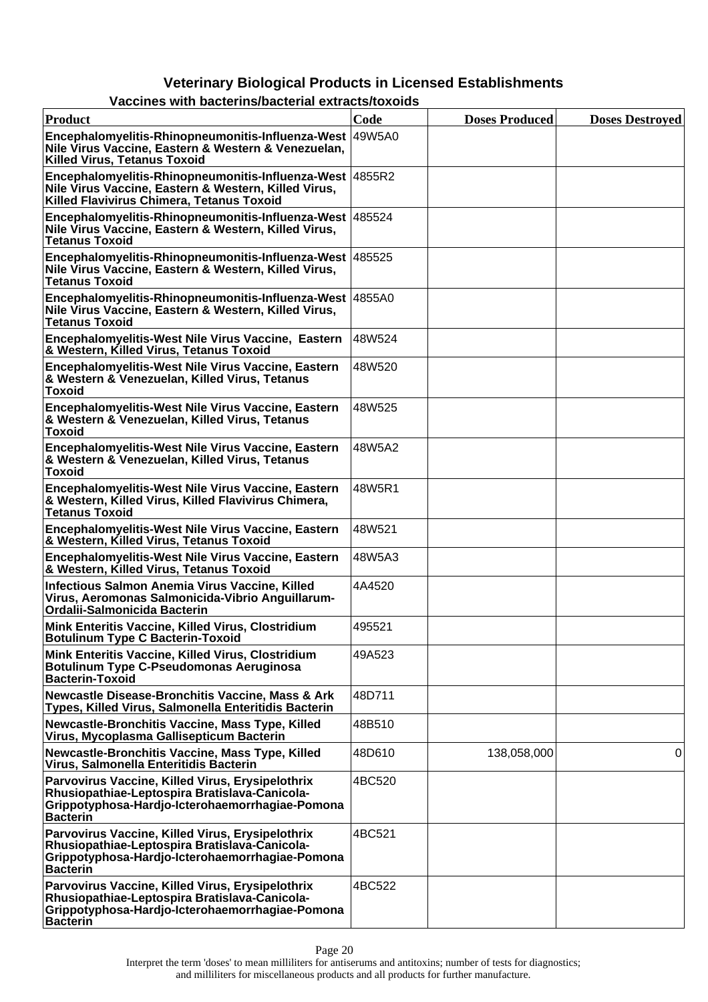| Product                                                                                                                                                                 | Code   | <b>Doses Produced</b> | <b>Doses Destroyed</b> |
|-------------------------------------------------------------------------------------------------------------------------------------------------------------------------|--------|-----------------------|------------------------|
| Encephalomyelitis-Rhinopneumonitis-Influenza-West 49W5A0<br>Nile Virus Vaccine, Eastern & Western & Venezuelan,<br><b>Killed Virus, Tetanus Toxoid</b>                  |        |                       |                        |
| Encephalomyelitis-Rhinopneumonitis-Influenza-West 4855R2<br>Nile Virus Vaccine, Eastern & Western, Killed Virus,<br>Killed Flavivirus Chimera, Tetanus Toxoid           |        |                       |                        |
| Encephalomyelitis-Rhinopneumonitis-Influenza-West 485524<br>Nile Virus Vaccine, Eastern & Western, Killed Virus,<br><b>Tetanus Toxoid</b>                               |        |                       |                        |
| Encephalomyelitis-Rhinopneumonitis-Influenza-West 485525<br>Nile Virus Vaccine, Eastern & Western, Killed Virus,<br><b>Tetanus Toxoid</b>                               |        |                       |                        |
| Encephalomyelitis-Rhinopneumonitis-Influenza-West   4855A0<br>Nile Virus Vaccine, Eastern & Western, Killed Virus,<br><b>Tetanus Toxoid</b>                             |        |                       |                        |
| Encephalomyelitis-West Nile Virus Vaccine, Eastern<br>& Western, Killed Virus, Tetanus Toxoid                                                                           | 48W524 |                       |                        |
| Encephalomyelitis-West Nile Virus Vaccine, Eastern<br>& Western & Venezuelan, Killed Virus, Tetanus<br><b>Toxoid</b>                                                    | 48W520 |                       |                        |
| Encephalomyelitis-West Nile Virus Vaccine, Eastern<br>& Western & Venezuelan, Killed Virus, Tetanus<br><b>Toxoid</b>                                                    | 48W525 |                       |                        |
| Encephalomyelitis-West Nile Virus Vaccine, Eastern<br>& Western & Venezuelan, Killed Virus, Tetanus<br><b>Toxoid</b>                                                    | 48W5A2 |                       |                        |
| Encephalomyelitis-West Nile Virus Vaccine, Eastern<br>& Western, Killed Virus, Killed Flavivirus Chimera,<br><b>Tetanus Toxoid</b>                                      | 48W5R1 |                       |                        |
| Encephalomyelitis-West Nile Virus Vaccine, Eastern<br>& Western, Killed Virus, Tetanus Toxoid                                                                           | 48W521 |                       |                        |
| Encephalomyelitis-West Nile Virus Vaccine, Eastern<br>& Western, Killed Virus, Tetanus Toxoid                                                                           | 48W5A3 |                       |                        |
| Infectious Salmon Anemia Virus Vaccine, Killed<br>Virus, Aeromonas Salmonicida-Vibrio Anguillarum-<br>Ordalii-Salmonicida Bacterin                                      | 4A4520 |                       |                        |
| Mink Enteritis Vaccine, Killed Virus, Clostridium<br><b>Botulinum Type C Bacterin-Toxoid</b>                                                                            | 495521 |                       |                        |
| Mink Enteritis Vaccine, Killed Virus, Clostridium<br><b>Botulinum Type C-Pseudomonas Aeruginosa</b><br><b>Bacterin-Toxoid</b>                                           | 49A523 |                       |                        |
| <b>Newcastle Disease-Bronchitis Vaccine, Mass &amp; Ark</b><br>Types, Killed Virus, Salmonella Enteritidis Bacterin                                                     | 48D711 |                       |                        |
| Newcastle-Bronchitis Vaccine, Mass Type, Killed<br>Virus, Mycoplasma Gallisepticum Bacterin                                                                             | 48B510 |                       |                        |
| Newcastle-Bronchitis Vaccine, Mass Type, Killed<br>Virus, Salmonella Enteritidis Bacterin                                                                               | 48D610 | 138,058,000           | 0                      |
| Parvovirus Vaccine, Killed Virus, Erysipelothrix<br>Rhusiopathiae-Leptospira Bratislava-Canicola-<br>Grippotyphosa-Hardjo-Icterohaemorrhagiae-Pomona<br><b>Bacterin</b> | 4BC520 |                       |                        |
| Parvovirus Vaccine, Killed Virus, Erysipelothrix<br>Rhusiopathiae-Leptospira Bratislava-Canicola-<br>Grippotyphosa-Hardjo-Icterohaemorrhagiae-Pomona<br><b>Bacterin</b> | 4BC521 |                       |                        |
| Parvovirus Vaccine, Killed Virus, Erysipelothrix<br>Rhusiopathiae-Leptospira Bratislava-Canicola-<br>Grippotyphosa-Hardjo-Icterohaemorrhagiae-Pomona<br><b>Bacterin</b> | 4BC522 |                       |                        |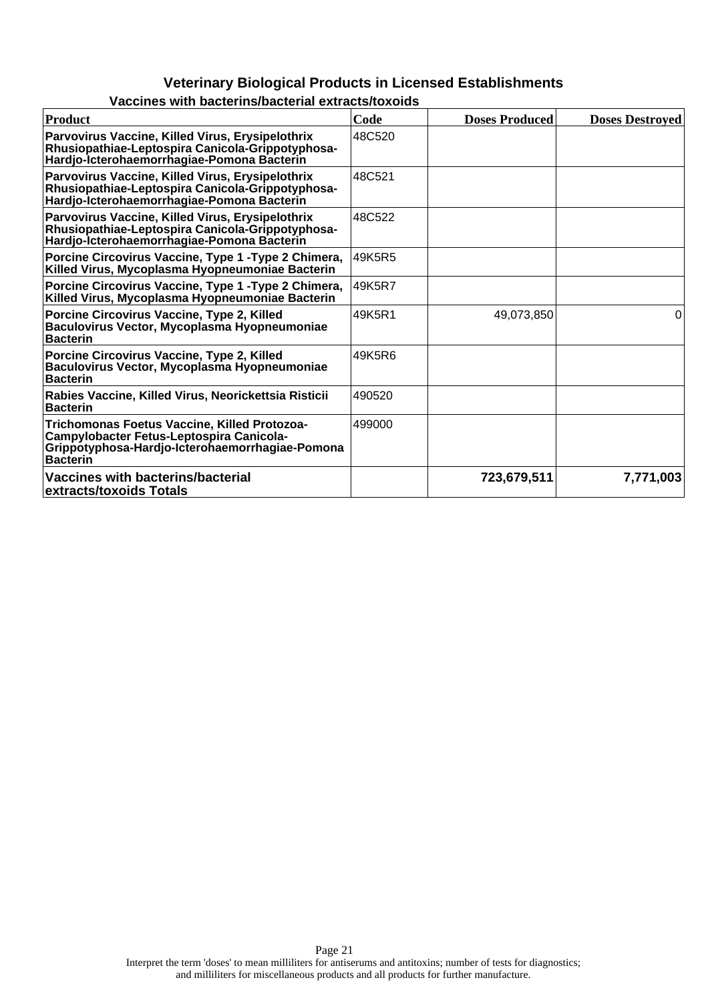| Product                                                                                                                                                        | Code    | <b>Doses Produced</b> | <b>Doses Destroyed</b> |
|----------------------------------------------------------------------------------------------------------------------------------------------------------------|---------|-----------------------|------------------------|
| Parvovirus Vaccine, Killed Virus, Erysipelothrix<br>Rhusiopathiae-Leptospira Canicola-Grippotyphosa-<br>Hardjo-Icterohaemorrhagiae-Pomona Bacterin             | 48C520  |                       |                        |
| Parvovirus Vaccine, Killed Virus, Erysipelothrix<br>Rhusiopathiae-Leptospira Canicola-Grippotyphosa-<br>Hardjo-Icterohaemorrhagiae-Pomona Bacterin             | 48C521  |                       |                        |
| Parvovirus Vaccine, Killed Virus, Erysipelothrix<br>Rhusiopathiae-Leptospira Canicola-Grippotyphosa-<br>Hardjo-Icterohaemorrhagiae-Pomona Bacterin             | 48C522  |                       |                        |
| Porcine Circovirus Vaccine, Type 1 - Type 2 Chimera,<br>Killed Virus, Mycoplasma Hyopneumoniae Bacterin                                                        | 49K5R5  |                       |                        |
| Porcine Circovirus Vaccine, Type 1 - Type 2 Chimera,<br>Killed Virus, Mycoplasma Hyopneumoniae Bacterin                                                        | 149K5R7 |                       |                        |
| Porcine Circovirus Vaccine, Type 2, Killed<br>Baculovirus Vector, Mycoplasma Hyopneumoniae<br><b>Bacterin</b>                                                  | 49K5R1  | 49,073,850            | $\Omega$               |
| Porcine Circovirus Vaccine, Type 2, Killed<br>Baculovirus Vector, Mycoplasma Hyopneumoniae<br><b>Bacterin</b>                                                  | 49K5R6  |                       |                        |
| Rabies Vaccine, Killed Virus, Neorickettsia Risticii<br><b>Bacterin</b>                                                                                        | 490520  |                       |                        |
| Trichomonas Foetus Vaccine, Killed Protozoa-<br>Campylobacter Fetus-Leptospira Canicola-<br>Grippotyphosa-Hardjo-Icterohaemorrhagiae-Pomona<br><b>Bacterin</b> | 499000  |                       |                        |
| Vaccines with bacterins/bacterial<br>extracts/toxoids Totals                                                                                                   |         | 723,679,511           | 7,771,003              |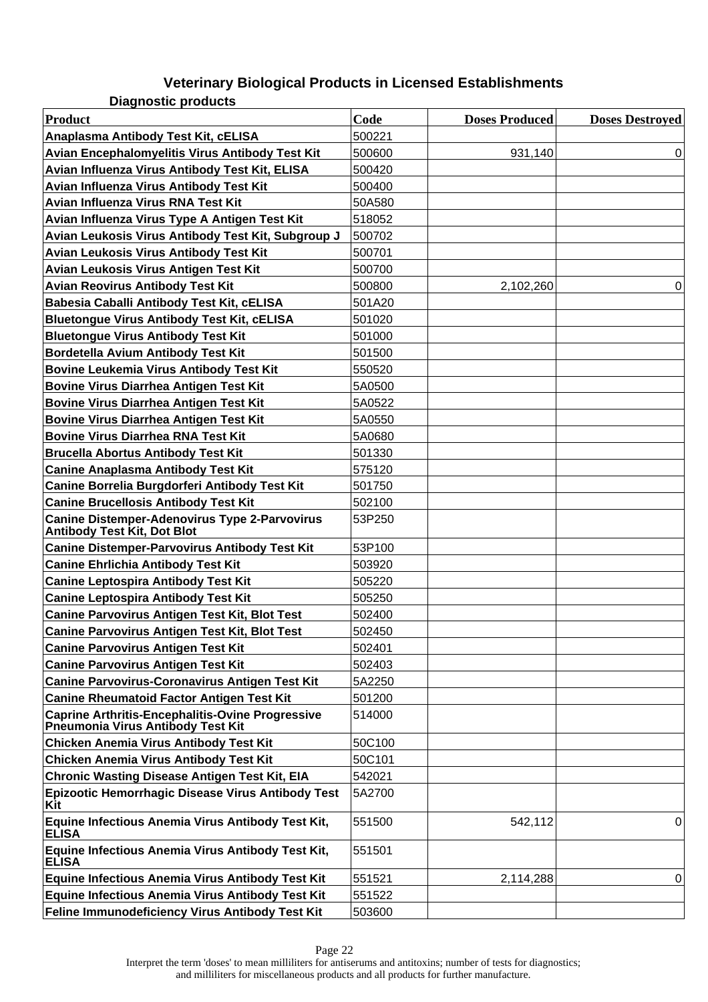**Diagnostic products**

| <b>Product</b>                                                                               | Code   | <b>Doses Produced</b> | <b>Doses Destroyed</b> |
|----------------------------------------------------------------------------------------------|--------|-----------------------|------------------------|
| Anaplasma Antibody Test Kit, cELISA                                                          | 500221 |                       |                        |
| Avian Encephalomyelitis Virus Antibody Test Kit                                              | 500600 | 931,140               | 0                      |
| Avian Influenza Virus Antibody Test Kit, ELISA                                               | 500420 |                       |                        |
| Avian Influenza Virus Antibody Test Kit                                                      | 500400 |                       |                        |
| Avian Influenza Virus RNA Test Kit                                                           | 50A580 |                       |                        |
| Avian Influenza Virus Type A Antigen Test Kit                                                | 518052 |                       |                        |
| Avian Leukosis Virus Antibody Test Kit, Subgroup J                                           | 500702 |                       |                        |
| Avian Leukosis Virus Antibody Test Kit                                                       | 500701 |                       |                        |
| Avian Leukosis Virus Antigen Test Kit                                                        | 500700 |                       |                        |
| <b>Avian Reovirus Antibody Test Kit</b>                                                      | 500800 | 2,102,260             | 0                      |
| Babesia Caballi Antibody Test Kit, cELISA                                                    | 501A20 |                       |                        |
| <b>Bluetongue Virus Antibody Test Kit, cELISA</b>                                            | 501020 |                       |                        |
| <b>Bluetongue Virus Antibody Test Kit</b>                                                    | 501000 |                       |                        |
| <b>Bordetella Avium Antibody Test Kit</b>                                                    | 501500 |                       |                        |
| <b>Bovine Leukemia Virus Antibody Test Kit</b>                                               | 550520 |                       |                        |
| <b>Bovine Virus Diarrhea Antigen Test Kit</b>                                                | 5A0500 |                       |                        |
| <b>Bovine Virus Diarrhea Antigen Test Kit</b>                                                | 5A0522 |                       |                        |
| <b>Bovine Virus Diarrhea Antigen Test Kit</b>                                                | 5A0550 |                       |                        |
| <b>Bovine Virus Diarrhea RNA Test Kit</b>                                                    | 5A0680 |                       |                        |
| <b>Brucella Abortus Antibody Test Kit</b>                                                    | 501330 |                       |                        |
| <b>Canine Anaplasma Antibody Test Kit</b>                                                    | 575120 |                       |                        |
| Canine Borrelia Burgdorferi Antibody Test Kit                                                | 501750 |                       |                        |
| <b>Canine Brucellosis Antibody Test Kit</b>                                                  | 502100 |                       |                        |
| <b>Canine Distemper-Adenovirus Type 2-Parvovirus</b><br><b>Antibody Test Kit, Dot Blot</b>   | 53P250 |                       |                        |
| <b>Canine Distemper-Parvovirus Antibody Test Kit</b>                                         | 53P100 |                       |                        |
| <b>Canine Ehrlichia Antibody Test Kit</b>                                                    | 503920 |                       |                        |
| <b>Canine Leptospira Antibody Test Kit</b>                                                   | 505220 |                       |                        |
| <b>Canine Leptospira Antibody Test Kit</b>                                                   | 505250 |                       |                        |
| <b>Canine Parvovirus Antigen Test Kit, Blot Test</b>                                         | 502400 |                       |                        |
| <b>Canine Parvovirus Antigen Test Kit, Blot Test</b>                                         | 502450 |                       |                        |
| <b>Canine Parvovirus Antigen Test Kit</b>                                                    | 502401 |                       |                        |
| <b>Canine Parvovirus Antigen Test Kit</b>                                                    | 502403 |                       |                        |
| <b>Canine Parvovirus-Coronavirus Antigen Test Kit</b>                                        | 5A2250 |                       |                        |
| <b>Canine Rheumatoid Factor Antigen Test Kit</b>                                             | 501200 |                       |                        |
| <b>Caprine Arthritis-Encephalitis-Ovine Progressive</b><br>Pneumonia Virus Antibody Test Kit | 514000 |                       |                        |
| <b>Chicken Anemia Virus Antibody Test Kit</b>                                                | 50C100 |                       |                        |
| <b>Chicken Anemia Virus Antibody Test Kit</b>                                                | 50C101 |                       |                        |
| <b>Chronic Wasting Disease Antigen Test Kit, EIA</b>                                         | 542021 |                       |                        |
| Epizootic Hemorrhagic Disease Virus Antibody Test<br>Kit                                     | 5A2700 |                       |                        |
| Equine Infectious Anemia Virus Antibody Test Kit,<br><b>ELISA</b>                            | 551500 | 542,112               | 0                      |
| Equine Infectious Anemia Virus Antibody Test Kit,<br><b>ELISA</b>                            | 551501 |                       |                        |
| <b>Equine Infectious Anemia Virus Antibody Test Kit</b>                                      | 551521 | 2,114,288             | 0                      |
| <b>Equine Infectious Anemia Virus Antibody Test Kit</b>                                      | 551522 |                       |                        |
| Feline Immunodeficiency Virus Antibody Test Kit                                              | 503600 |                       |                        |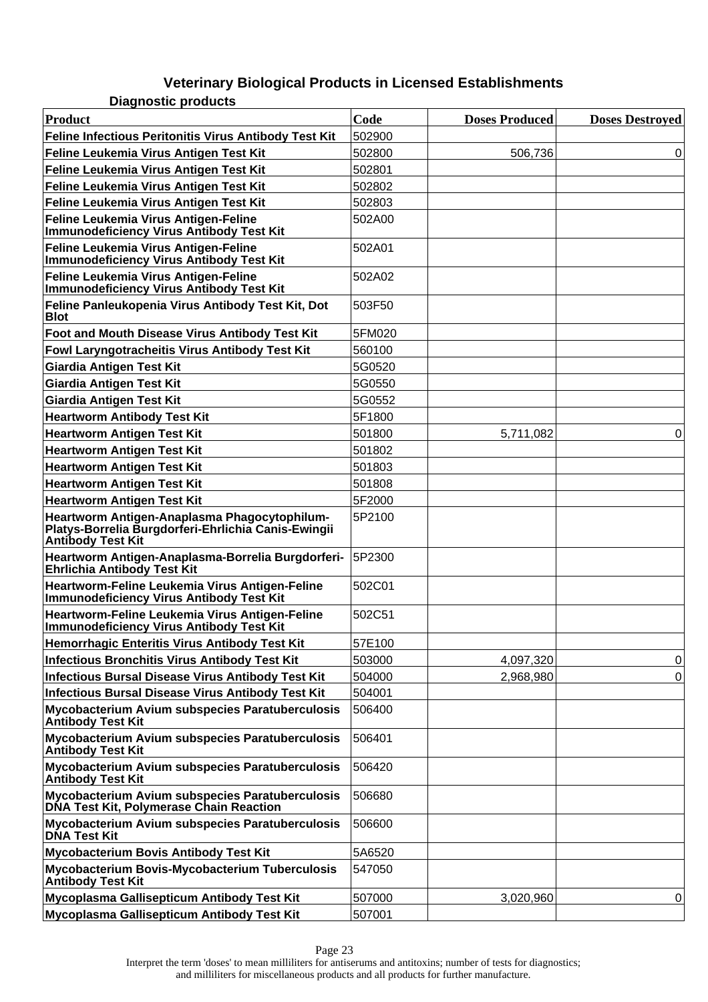| <b>Diagnostic products</b>                                                                                                      |        |                       |                        |
|---------------------------------------------------------------------------------------------------------------------------------|--------|-----------------------|------------------------|
| Product                                                                                                                         | Code   | <b>Doses Produced</b> | <b>Doses Destroyed</b> |
| Feline Infectious Peritonitis Virus Antibody Test Kit                                                                           | 502900 |                       |                        |
| Feline Leukemia Virus Antigen Test Kit                                                                                          | 502800 | 506,736               | 0                      |
| Feline Leukemia Virus Antigen Test Kit                                                                                          | 502801 |                       |                        |
| Feline Leukemia Virus Antigen Test Kit                                                                                          | 502802 |                       |                        |
| Feline Leukemia Virus Antigen Test Kit                                                                                          | 502803 |                       |                        |
| Feline Leukemia Virus Antigen-Feline<br>Immunodeficiency Virus Antibody Test Kit                                                | 502A00 |                       |                        |
| Feline Leukemia Virus Antigen-Feline<br>Immunodeficiency Virus Antibody Test Kit                                                | 502A01 |                       |                        |
| Feline Leukemia Virus Antigen-Feline<br>Immunodeficiency Virus Antibody Test Kit                                                | 502A02 |                       |                        |
| Feline Panleukopenia Virus Antibody Test Kit, Dot<br><b>Blot</b>                                                                | 503F50 |                       |                        |
| Foot and Mouth Disease Virus Antibody Test Kit                                                                                  | 5FM020 |                       |                        |
| Fowl Laryngotracheitis Virus Antibody Test Kit                                                                                  | 560100 |                       |                        |
| <b>Giardia Antigen Test Kit</b>                                                                                                 | 5G0520 |                       |                        |
| Giardia Antigen Test Kit                                                                                                        | 5G0550 |                       |                        |
| Giardia Antigen Test Kit                                                                                                        | 5G0552 |                       |                        |
| <b>Heartworm Antibody Test Kit</b>                                                                                              | 5F1800 |                       |                        |
| <b>Heartworm Antigen Test Kit</b>                                                                                               | 501800 | 5,711,082             | 0                      |
| Heartworm Antigen Test Kit                                                                                                      | 501802 |                       |                        |
| Heartworm Antigen Test Kit                                                                                                      | 501803 |                       |                        |
| <b>Heartworm Antigen Test Kit</b>                                                                                               | 501808 |                       |                        |
| <b>Heartworm Antigen Test Kit</b>                                                                                               | 5F2000 |                       |                        |
| Heartworm Antigen-Anaplasma Phagocytophilum-<br>Platys-Borrelia Burgdorferi-Ehrlichia Canis-Ewingii<br><b>Antibody Test Kit</b> | 5P2100 |                       |                        |
| Heartworm Antigen-Anaplasma-Borrelia Burgdorferi-<br>Ehrlichia Antibody Test Kit                                                | 5P2300 |                       |                        |
| Heartworm-Feline Leukemia Virus Antigen-Feline<br>Immunodeficiency Virus Antibody Test Kit                                      | 502C01 |                       |                        |
| Heartworm-Feline Leukemia Virus Antigen-Feline<br><b>Immunodeficiency Virus Antibody Test Kit</b>                               | 502C51 |                       |                        |
| Hemorrhagic Enteritis Virus Antibody Test Kit                                                                                   | 57E100 |                       |                        |
| Infectious Bronchitis Virus Antibody Test Kit                                                                                   | 503000 | 4,097,320             | 0                      |
| Infectious Bursal Disease Virus Antibody Test Kit                                                                               | 504000 | 2,968,980             | 0                      |
| Infectious Bursal Disease Virus Antibody Test Kit                                                                               | 504001 |                       |                        |
| Mycobacterium Avium subspecies Paratuberculosis<br><b>Antibody Test Kit</b>                                                     | 506400 |                       |                        |
| Mycobacterium Avium subspecies Paratuberculosis<br><b>Antibody Test Kit</b>                                                     | 506401 |                       |                        |
| Mycobacterium Avium subspecies Paratuberculosis<br><b>Antibody Test Kit</b>                                                     | 506420 |                       |                        |
| Mycobacterium Avium subspecies Paratuberculosis<br>DNA Test Kit, Polymerase Chain Reaction                                      | 506680 |                       |                        |
| Mycobacterium Avium subspecies Paratuberculosis<br><b>DNA Test Kit</b>                                                          | 506600 |                       |                        |
| Mycobacterium Bovis Antibody Test Kit                                                                                           | 5A6520 |                       |                        |
| Mycobacterium Bovis-Mycobacterium Tuberculosis<br><b>Antibody Test Kit</b>                                                      | 547050 |                       |                        |
| Mycoplasma Gallisepticum Antibody Test Kit                                                                                      | 507000 | 3,020,960             | 0                      |
| Mycoplasma Gallisepticum Antibody Test Kit                                                                                      | 507001 |                       |                        |

Interpret the term 'doses' to mean milliliters for antiserums and antitoxins; number of tests for diagnostics; and milliliters for miscellaneous products and all products for further manufacture.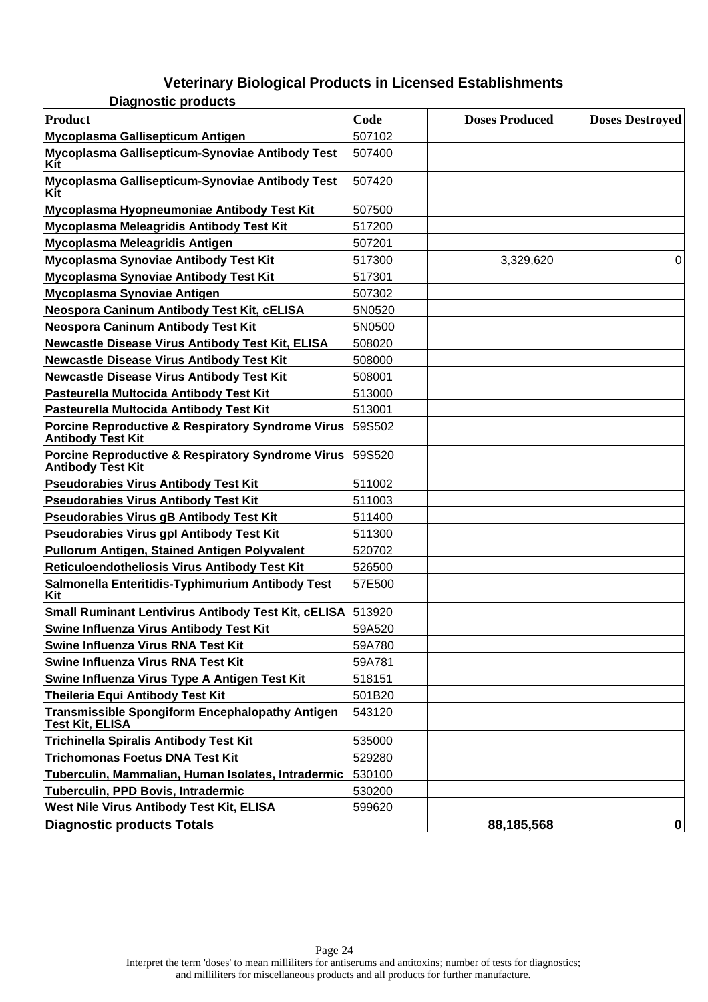**Diagnostic products**

| <b>Product</b>                                                                           | Code   | <b>Doses Produced</b> | <b>Doses Destroyed</b> |
|------------------------------------------------------------------------------------------|--------|-----------------------|------------------------|
| Mycoplasma Gallisepticum Antigen                                                         | 507102 |                       |                        |
| Mycoplasma Gallisepticum-Synoviae Antibody Test<br>Kit                                   | 507400 |                       |                        |
| Mycoplasma Gallisepticum-Synoviae Antibody Test<br>Kit                                   | 507420 |                       |                        |
| Mycoplasma Hyopneumoniae Antibody Test Kit                                               | 507500 |                       |                        |
| Mycoplasma Meleagridis Antibody Test Kit                                                 | 517200 |                       |                        |
| Mycoplasma Meleagridis Antigen                                                           | 507201 |                       |                        |
| Mycoplasma Synoviae Antibody Test Kit                                                    | 517300 | 3,329,620             | 0                      |
| Mycoplasma Synoviae Antibody Test Kit                                                    | 517301 |                       |                        |
| Mycoplasma Synoviae Antigen                                                              | 507302 |                       |                        |
| Neospora Caninum Antibody Test Kit, cELISA                                               | 5N0520 |                       |                        |
| Neospora Caninum Antibody Test Kit                                                       | 5N0500 |                       |                        |
| Newcastle Disease Virus Antibody Test Kit, ELISA                                         | 508020 |                       |                        |
| <b>Newcastle Disease Virus Antibody Test Kit</b>                                         | 508000 |                       |                        |
| <b>Newcastle Disease Virus Antibody Test Kit</b>                                         | 508001 |                       |                        |
| Pasteurella Multocida Antibody Test Kit                                                  | 513000 |                       |                        |
| Pasteurella Multocida Antibody Test Kit                                                  | 513001 |                       |                        |
| <b>Porcine Reproductive &amp; Respiratory Syndrome Virus</b><br><b>Antibody Test Kit</b> | 59S502 |                       |                        |
| <b>Porcine Reproductive &amp; Respiratory Syndrome Virus</b><br><b>Antibody Test Kit</b> | 59S520 |                       |                        |
| <b>Pseudorabies Virus Antibody Test Kit</b>                                              | 511002 |                       |                        |
| <b>Pseudorabies Virus Antibody Test Kit</b>                                              | 511003 |                       |                        |
| <b>Pseudorabies Virus gB Antibody Test Kit</b>                                           | 511400 |                       |                        |
| <b>Pseudorabies Virus gpl Antibody Test Kit</b>                                          | 511300 |                       |                        |
| Pullorum Antigen, Stained Antigen Polyvalent                                             | 520702 |                       |                        |
| Reticuloendotheliosis Virus Antibody Test Kit                                            | 526500 |                       |                        |
| Salmonella Enteritidis-Typhimurium Antibody Test<br>Kit                                  | 57E500 |                       |                        |
| <b>Small Ruminant Lentivirus Antibody Test Kit, cELISA</b>                               | 513920 |                       |                        |
| Swine Influenza Virus Antibody Test Kit                                                  | 59A520 |                       |                        |
| Swine Influenza Virus RNA Test Kit                                                       | 59A780 |                       |                        |
| Swine Influenza Virus RNA Test Kit                                                       | 59A781 |                       |                        |
| Swine Influenza Virus Type A Antigen Test Kit                                            | 518151 |                       |                        |
| Theileria Equi Antibody Test Kit                                                         | 501B20 |                       |                        |
| <b>Transmissible Spongiform Encephalopathy Antigen</b><br><b>Test Kit, ELISA</b>         | 543120 |                       |                        |
| <b>Trichinella Spiralis Antibody Test Kit</b>                                            | 535000 |                       |                        |
| <b>Trichomonas Foetus DNA Test Kit</b>                                                   | 529280 |                       |                        |
| Tuberculin, Mammalian, Human Isolates, Intradermic                                       | 530100 |                       |                        |
| Tuberculin, PPD Bovis, Intradermic                                                       | 530200 |                       |                        |
| West Nile Virus Antibody Test Kit, ELISA                                                 | 599620 |                       |                        |
| <b>Diagnostic products Totals</b>                                                        |        | 88,185,568            | 0                      |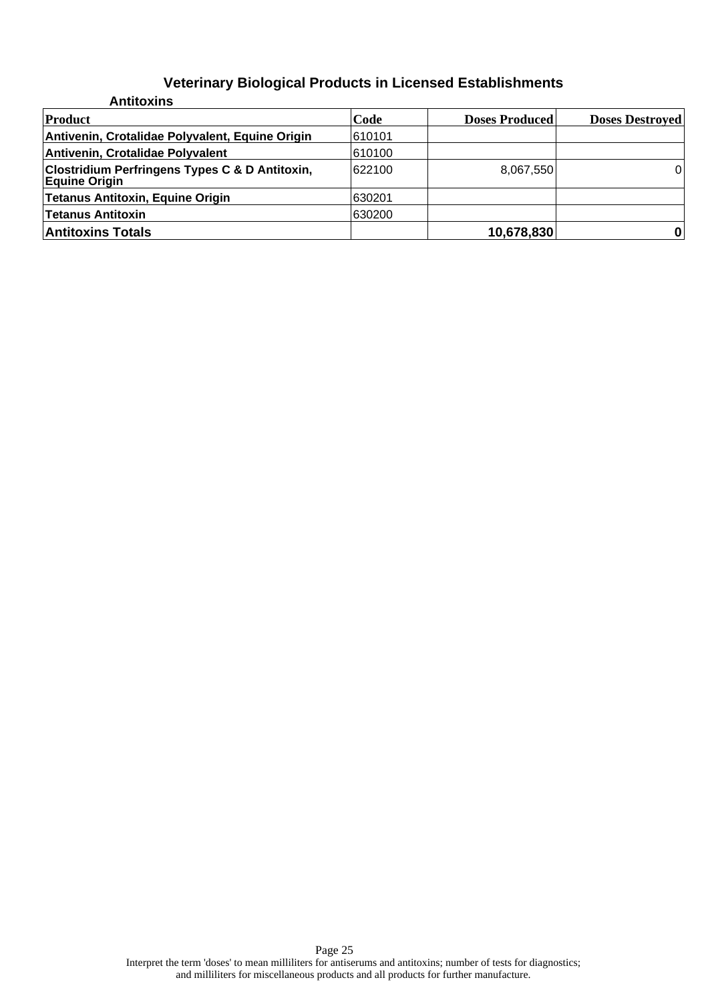| <b>Antitoxins</b>                                                                 |        |                       |                        |
|-----------------------------------------------------------------------------------|--------|-----------------------|------------------------|
| Product                                                                           | Code   | <b>Doses Produced</b> | <b>Doses Destroyed</b> |
| Antivenin, Crotalidae Polyvalent, Equine Origin                                   | 610101 |                       |                        |
| Antivenin, Crotalidae Polyvalent                                                  | 610100 |                       |                        |
| <b>Clostridium Perfringens Types C &amp; D Antitoxin,</b><br><b>Equine Origin</b> | 622100 | 8,067,550             | 0                      |
| <b>Tetanus Antitoxin, Equine Origin</b>                                           | 630201 |                       |                        |
| <b>Tetanus Antitoxin</b>                                                          | 630200 |                       |                        |
| <b>Antitoxins Totals</b>                                                          |        | 10,678,830            |                        |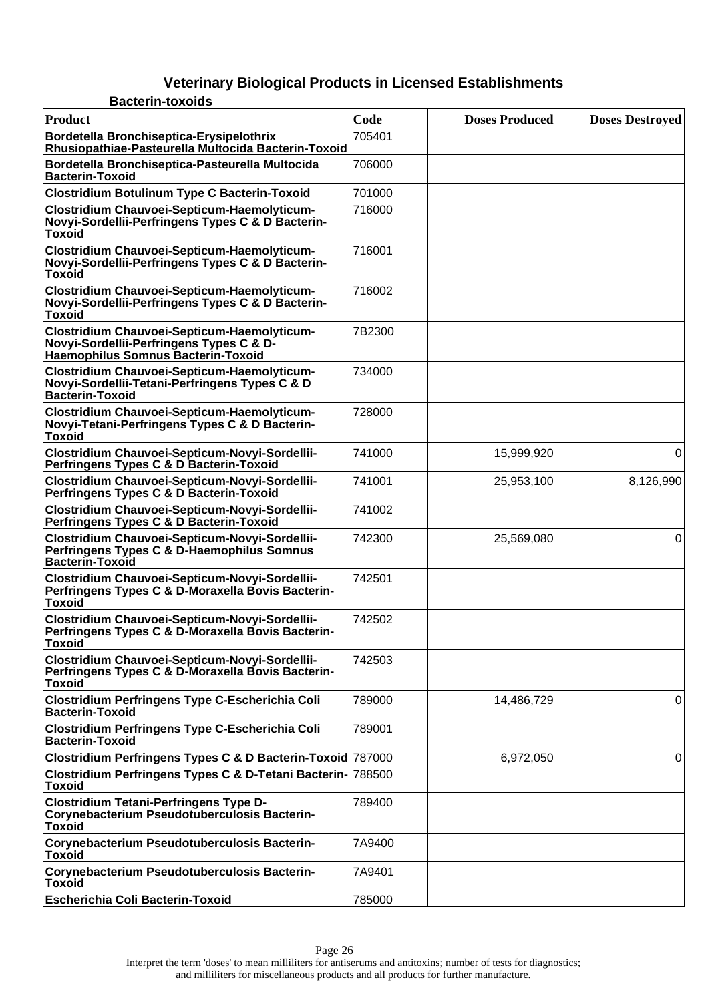| <b>Bacterin-toxoids</b>                                                                                                              |        |                       |                        |
|--------------------------------------------------------------------------------------------------------------------------------------|--------|-----------------------|------------------------|
| Product                                                                                                                              | Code   | <b>Doses Produced</b> | <b>Doses Destroyed</b> |
| Bordetella Bronchiseptica-Erysipelothrix<br>Rhusiopathiae-Pasteurella Multocida Bacterin-Toxoid                                      | 705401 |                       |                        |
| Bordetella Bronchiseptica-Pasteurella Multocida<br><b>Bacterin-Toxoid</b>                                                            | 706000 |                       |                        |
| <b>Clostridium Botulinum Type C Bacterin-Toxoid</b>                                                                                  | 701000 |                       |                        |
| Clostridium Chauvoei-Septicum-Haemolyticum-<br>Novyi-Sordellii-Perfringens Types C & D Bacterin-<br><b>Toxoid</b>                    | 716000 |                       |                        |
| Clostridium Chauvoei-Septicum-Haemolyticum-<br>Novyi-Sordellii-Perfringens Types C & D Bacterin-<br><b>Toxoid</b>                    | 716001 |                       |                        |
| Clostridium Chauvoei-Septicum-Haemolyticum-<br>Novyi-Sordellii-Perfringens Types C & D Bacterin-<br><b>Toxoid</b>                    | 716002 |                       |                        |
| Clostridium Chauvoei-Septicum-Haemolyticum-<br>Novyi-Sordellii-Perfringens Types C & D-<br><b>Haemophilus Somnus Bacterin-Toxoid</b> | 7B2300 |                       |                        |
| Clostridium Chauvoei-Septicum-Haemolyticum-<br>Novyi-Sordellii-Tetani-Perfringens Types C & D<br><b>Bacterin-Toxoid</b>              | 734000 |                       |                        |
| Clostridium Chauvoei-Septicum-Haemolyticum-<br>Novyi-Tetani-Perfringens Types C & D Bacterin-<br><b>Toxoid</b>                       | 728000 |                       |                        |
| Clostridium Chauvoei-Septicum-Novyi-Sordellii-<br>Perfringens Types C & D Bacterin-Toxoid                                            | 741000 | 15,999,920            | 0                      |
| Clostridium Chauvoei-Septicum-Novyi-Sordellii-<br>Perfringens Types C & D Bacterin-Toxoid                                            | 741001 | 25,953,100            | 8,126,990              |
| Clostridium Chauvoei-Septicum-Novyi-Sordellii-<br>Perfringens Types C & D Bacterin-Toxoid                                            | 741002 |                       |                        |
| Clostridium Chauvoei-Septicum-Novyi-Sordellii-<br>Perfringens Types C & D-Haemophilus Somnus<br><b>Bacterin-Toxoid</b>               | 742300 | 25,569,080            | 0                      |
| Clostridium Chauvoei-Septicum-Novyi-Sordellii-<br>Perfringens Types C & D-Moraxella Bovis Bacterin-<br><b>Toxoid</b>                 | 742501 |                       |                        |
| Clostridium Chauvoei-Septicum-Novyi-Sordellii-<br>Perfringens Types C & D-Moraxella Bovis Bacterin-<br><b>Toxoid</b>                 | 742502 |                       |                        |
| Clostridium Chauvoei-Septicum-Novyi-Sordellii-<br>Perfringens Types C & D-Moraxella Bovis Bacterin-<br><b>Toxoid</b>                 | 742503 |                       |                        |
| <b>Clostridium Perfringens Type C-Escherichia Coli</b><br><b>Bacterin-Toxoid</b>                                                     | 789000 | 14,486,729            | 0                      |
| <b>Clostridium Perfringens Type C-Escherichia Coli</b><br><b>Bacterin-Toxoid</b>                                                     | 789001 |                       |                        |
| Clostridium Perfringens Types C & D Bacterin-Toxoid 787000                                                                           |        | 6,972,050             | 0                      |
| Clostridium Perfringens Types C & D-Tetani Bacterin- 788500<br><b>Toxoid</b>                                                         |        |                       |                        |
| <b>Clostridium Tetani-Perfringens Type D-</b><br>Corynebacterium Pseudotuberculosis Bacterin-<br><b>Toxoid</b>                       | 789400 |                       |                        |
| Corynebacterium Pseudotuberculosis Bacterin-<br><b>Toxoid</b>                                                                        | 7A9400 |                       |                        |
| Corynebacterium Pseudotuberculosis Bacterin-<br><b>Toxoid</b>                                                                        | 7A9401 |                       |                        |
| <b>Escherichia Coli Bacterin-Toxoid</b>                                                                                              | 785000 |                       |                        |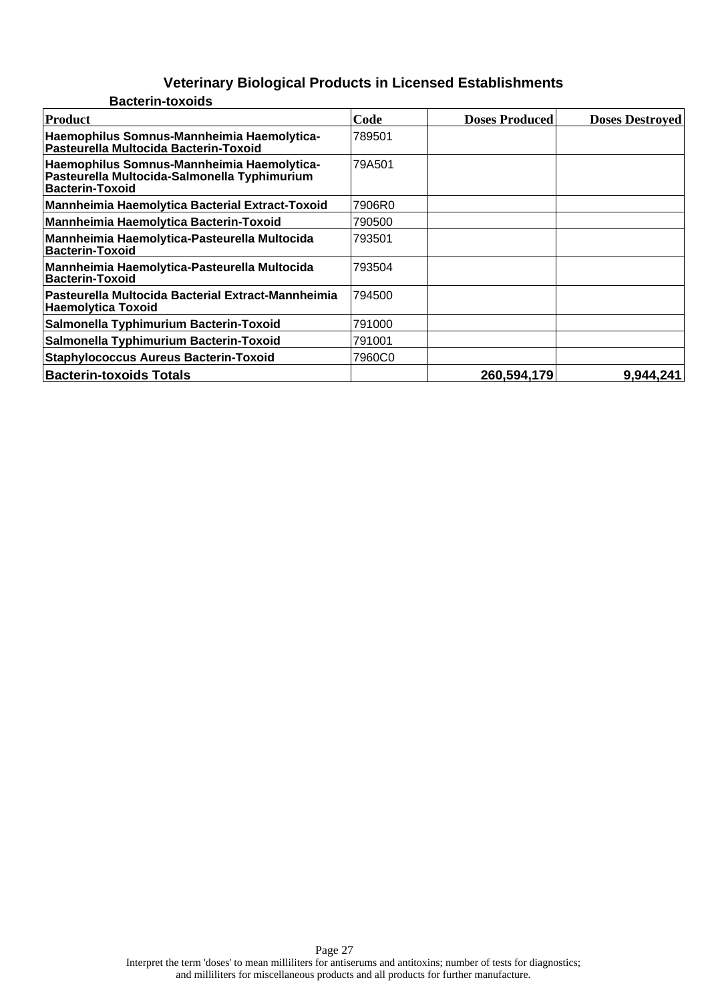| <b>Bacterin-toxoids</b>                                                                                              |        |                       |                        |
|----------------------------------------------------------------------------------------------------------------------|--------|-----------------------|------------------------|
| Product                                                                                                              | Code   | <b>Doses Produced</b> | <b>Doses Destroyed</b> |
| Haemophilus Somnus-Mannheimia Haemolytica-<br>Pasteurella Multocida Bacterin-Toxoid                                  | 789501 |                       |                        |
| Haemophilus Somnus-Mannheimia Haemolytica-<br>Pasteurella Multocida-Salmonella Typhimurium<br><b>Bacterin-Toxoid</b> | 79A501 |                       |                        |
| Mannheimia Haemolytica Bacterial Extract-Toxoid                                                                      | 7906R0 |                       |                        |
| Mannheimia Haemolytica Bacterin-Toxoid                                                                               | 790500 |                       |                        |
| Mannheimia Haemolytica-Pasteurella Multocida<br>Bacterin-Toxoid                                                      | 793501 |                       |                        |
| Mannheimia Haemolytica-Pasteurella Multocida<br>Bacterin-Toxoid                                                      | 793504 |                       |                        |
| Pasteurella Multocida Bacterial Extract-Mannheimia<br> Haemolytica Toxoid                                            | 794500 |                       |                        |
| Salmonella Typhimurium Bacterin-Toxoid                                                                               | 791000 |                       |                        |
| Salmonella Typhimurium Bacterin-Toxoid                                                                               | 791001 |                       |                        |
| <b>Staphylococcus Aureus Bacterin-Toxoid</b>                                                                         | 7960C0 |                       |                        |
| <b>Bacterin-toxoids Totals</b>                                                                                       |        | 260,594,179           | 9,944,241              |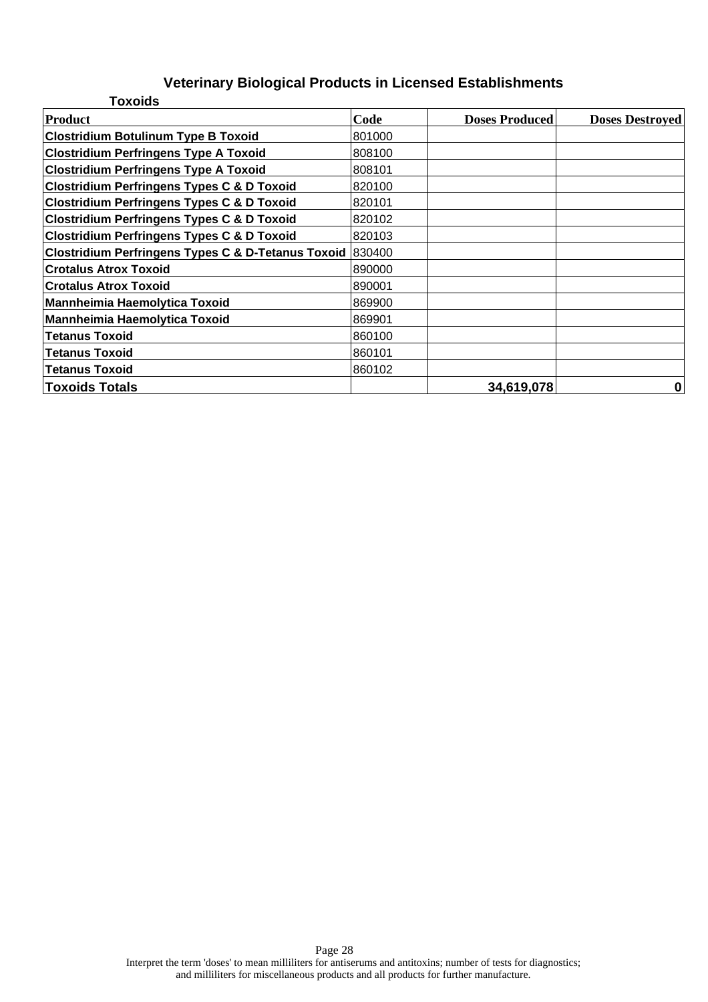| <b>Toxoids</b>                                            |        |                       |                        |
|-----------------------------------------------------------|--------|-----------------------|------------------------|
| Product                                                   | Code   | <b>Doses Produced</b> | <b>Doses Destroyed</b> |
| <b>Clostridium Botulinum Type B Toxoid</b>                | 801000 |                       |                        |
| <b>Clostridium Perfringens Type A Toxoid</b>              | 808100 |                       |                        |
| <b>Clostridium Perfringens Type A Toxoid</b>              | 808101 |                       |                        |
| <b>Clostridium Perfringens Types C &amp; D Toxoid</b>     | 820100 |                       |                        |
| <b>Clostridium Perfringens Types C &amp; D Toxoid</b>     | 820101 |                       |                        |
| <b>Clostridium Perfringens Types C &amp; D Toxoid</b>     | 820102 |                       |                        |
| <b>Clostridium Perfringens Types C &amp; D Toxoid</b>     | 820103 |                       |                        |
| Clostridium Perfringens Types C & D-Tetanus Toxoid 830400 |        |                       |                        |
| <b>Crotalus Atrox Toxoid</b>                              | 890000 |                       |                        |
| <b>Crotalus Atrox Toxoid</b>                              | 890001 |                       |                        |
| <b>Mannheimia Haemolytica Toxoid</b>                      | 869900 |                       |                        |
| Mannheimia Haemolytica Toxoid                             | 869901 |                       |                        |
| <b>Tetanus Toxoid</b>                                     | 860100 |                       |                        |
| <b>Tetanus Toxoid</b>                                     | 860101 |                       |                        |
| <b>Tetanus Toxoid</b>                                     | 860102 |                       |                        |
| Toxoids Totals                                            |        | 34,619,078            | 0                      |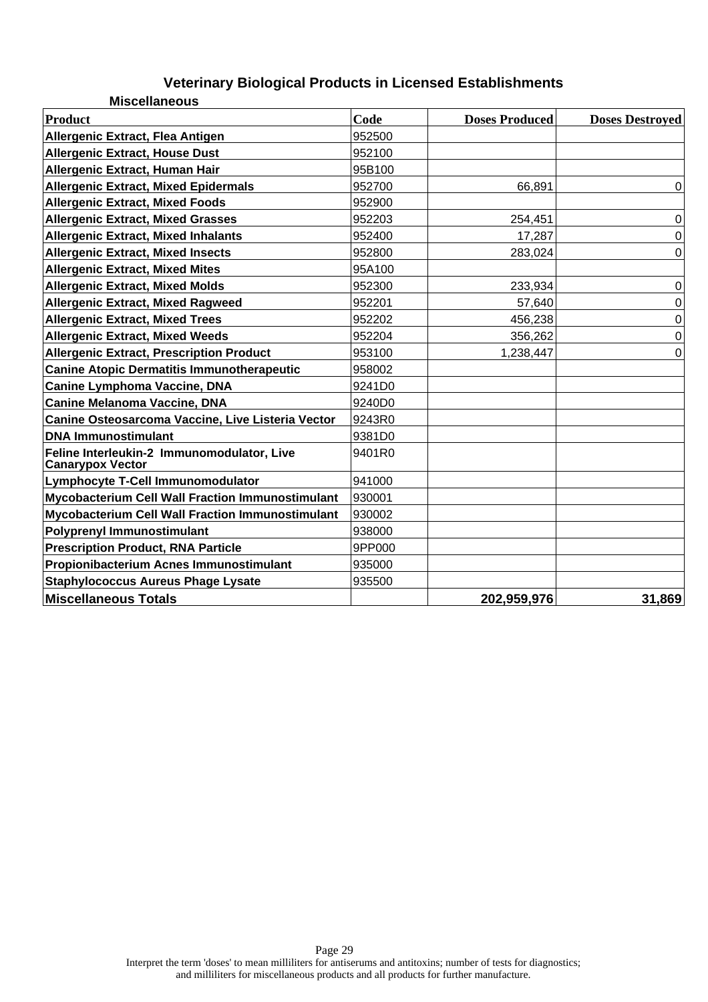| <b>Miscellaneous</b>                                                  |        |                       |                        |
|-----------------------------------------------------------------------|--------|-----------------------|------------------------|
| <b>Product</b>                                                        | Code   | <b>Doses Produced</b> | <b>Doses Destroyed</b> |
| Allergenic Extract, Flea Antigen                                      | 952500 |                       |                        |
| <b>Allergenic Extract, House Dust</b>                                 | 952100 |                       |                        |
| Allergenic Extract, Human Hair                                        | 95B100 |                       |                        |
| <b>Allergenic Extract, Mixed Epidermals</b>                           | 952700 | 66,891                | 0                      |
| <b>Allergenic Extract, Mixed Foods</b>                                | 952900 |                       |                        |
| <b>Allergenic Extract, Mixed Grasses</b>                              | 952203 | 254,451               | $\mathbf 0$            |
| <b>Allergenic Extract, Mixed Inhalants</b>                            | 952400 | 17,287                | 0                      |
| <b>Allergenic Extract, Mixed Insects</b>                              | 952800 | 283,024               | $\Omega$               |
| <b>Allergenic Extract, Mixed Mites</b>                                | 95A100 |                       |                        |
| <b>Allergenic Extract, Mixed Molds</b>                                | 952300 | 233,934               | 0                      |
| <b>Allergenic Extract, Mixed Ragweed</b>                              | 952201 | 57,640                | 0                      |
| <b>Allergenic Extract, Mixed Trees</b>                                | 952202 | 456,238               | 0                      |
| <b>Allergenic Extract, Mixed Weeds</b>                                | 952204 | 356,262               | 0                      |
| <b>Allergenic Extract, Prescription Product</b>                       | 953100 | 1,238,447             | $\Omega$               |
| <b>Canine Atopic Dermatitis Immunotherapeutic</b>                     | 958002 |                       |                        |
| <b>Canine Lymphoma Vaccine, DNA</b>                                   | 9241D0 |                       |                        |
| <b>Canine Melanoma Vaccine, DNA</b>                                   | 9240D0 |                       |                        |
| Canine Osteosarcoma Vaccine, Live Listeria Vector                     | 9243R0 |                       |                        |
| <b>DNA Immunostimulant</b>                                            | 9381D0 |                       |                        |
| Feline Interleukin-2 Immunomodulator, Live<br><b>Canarypox Vector</b> | 9401R0 |                       |                        |
| Lymphocyte T-Cell Immunomodulator                                     | 941000 |                       |                        |
| <b>Mycobacterium Cell Wall Fraction Immunostimulant</b>               | 930001 |                       |                        |
| <b>Mycobacterium Cell Wall Fraction Immunostimulant</b>               | 930002 |                       |                        |
| <b>Polyprenyl Immunostimulant</b>                                     | 938000 |                       |                        |
| <b>Prescription Product, RNA Particle</b>                             | 9PP000 |                       |                        |
| Propionibacterium Acnes Immunostimulant                               | 935000 |                       |                        |
| <b>Staphylococcus Aureus Phage Lysate</b>                             | 935500 |                       |                        |
| <b>Miscellaneous Totals</b>                                           |        | 202,959,976           | 31,869                 |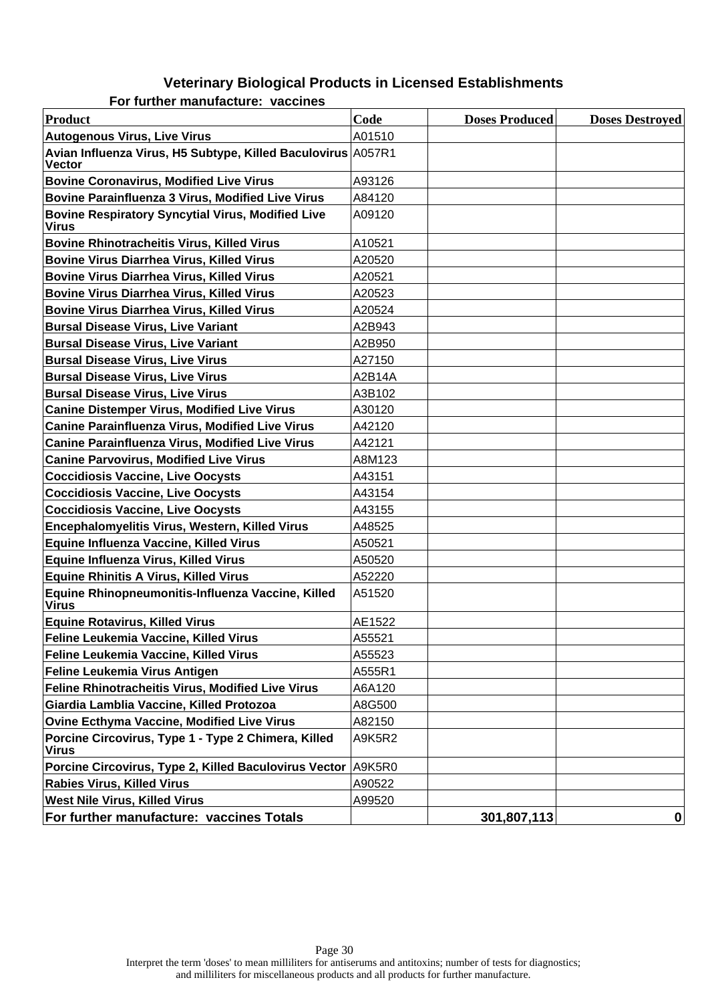| Product                                                                       | Code   | <b>Doses Produced</b> | <b>Doses Destroyed</b> |
|-------------------------------------------------------------------------------|--------|-----------------------|------------------------|
| <b>Autogenous Virus, Live Virus</b>                                           | A01510 |                       |                        |
| Avian Influenza Virus, H5 Subtype, Killed Baculovirus A057R1<br><b>Vector</b> |        |                       |                        |
| <b>Bovine Coronavirus, Modified Live Virus</b>                                | A93126 |                       |                        |
| <b>Bovine Parainfluenza 3 Virus, Modified Live Virus</b>                      | A84120 |                       |                        |
| <b>Bovine Respiratory Syncytial Virus, Modified Live</b><br><b>Virus</b>      | A09120 |                       |                        |
| <b>Bovine Rhinotracheitis Virus, Killed Virus</b>                             | A10521 |                       |                        |
| <b>Bovine Virus Diarrhea Virus, Killed Virus</b>                              | A20520 |                       |                        |
| <b>Bovine Virus Diarrhea Virus, Killed Virus</b>                              | A20521 |                       |                        |
| <b>Bovine Virus Diarrhea Virus, Killed Virus</b>                              | A20523 |                       |                        |
| <b>Bovine Virus Diarrhea Virus, Killed Virus</b>                              | A20524 |                       |                        |
| <b>Bursal Disease Virus, Live Variant</b>                                     | A2B943 |                       |                        |
| <b>Bursal Disease Virus, Live Variant</b>                                     | A2B950 |                       |                        |
| <b>Bursal Disease Virus, Live Virus</b>                                       | A27150 |                       |                        |
| <b>Bursal Disease Virus, Live Virus</b>                                       | A2B14A |                       |                        |
| <b>Bursal Disease Virus, Live Virus</b>                                       | A3B102 |                       |                        |
| <b>Canine Distemper Virus, Modified Live Virus</b>                            | A30120 |                       |                        |
| <b>Canine Parainfluenza Virus, Modified Live Virus</b>                        | A42120 |                       |                        |
| Canine Parainfluenza Virus, Modified Live Virus                               | A42121 |                       |                        |
| <b>Canine Parvovirus, Modified Live Virus</b>                                 | A8M123 |                       |                        |
| <b>Coccidiosis Vaccine, Live Oocysts</b>                                      | A43151 |                       |                        |
| <b>Coccidiosis Vaccine, Live Oocysts</b>                                      | A43154 |                       |                        |
| <b>Coccidiosis Vaccine, Live Oocysts</b>                                      | A43155 |                       |                        |
| Encephalomyelitis Virus, Western, Killed Virus                                | A48525 |                       |                        |
| Equine Influenza Vaccine, Killed Virus                                        | A50521 |                       |                        |
| <b>Equine Influenza Virus, Killed Virus</b>                                   | A50520 |                       |                        |
| <b>Equine Rhinitis A Virus, Killed Virus</b>                                  | A52220 |                       |                        |
| Equine Rhinopneumonitis-Influenza Vaccine, Killed<br><b>Virus</b>             | A51520 |                       |                        |
| <b>Equine Rotavirus, Killed Virus</b>                                         | AE1522 |                       |                        |
| Feline Leukemia Vaccine, Killed Virus                                         | A55521 |                       |                        |
| Feline Leukemia Vaccine, Killed Virus                                         | A55523 |                       |                        |
| Feline Leukemia Virus Antigen                                                 | A555R1 |                       |                        |
| Feline Rhinotracheitis Virus, Modified Live Virus                             | A6A120 |                       |                        |
| Giardia Lamblia Vaccine, Killed Protozoa                                      | A8G500 |                       |                        |
| <b>Ovine Ecthyma Vaccine, Modified Live Virus</b>                             | A82150 |                       |                        |
| Porcine Circovirus, Type 1 - Type 2 Chimera, Killed<br><b>Virus</b>           | A9K5R2 |                       |                        |
| Porcine Circovirus, Type 2, Killed Baculovirus Vector A9K5R0                  |        |                       |                        |
| <b>Rabies Virus, Killed Virus</b>                                             | A90522 |                       |                        |
| <b>West Nile Virus, Killed Virus</b>                                          | A99520 |                       |                        |
| For further manufacture: vaccines Totals                                      |        | 301,807,113           | $\mathbf 0$            |

**For further manufacture: vaccines**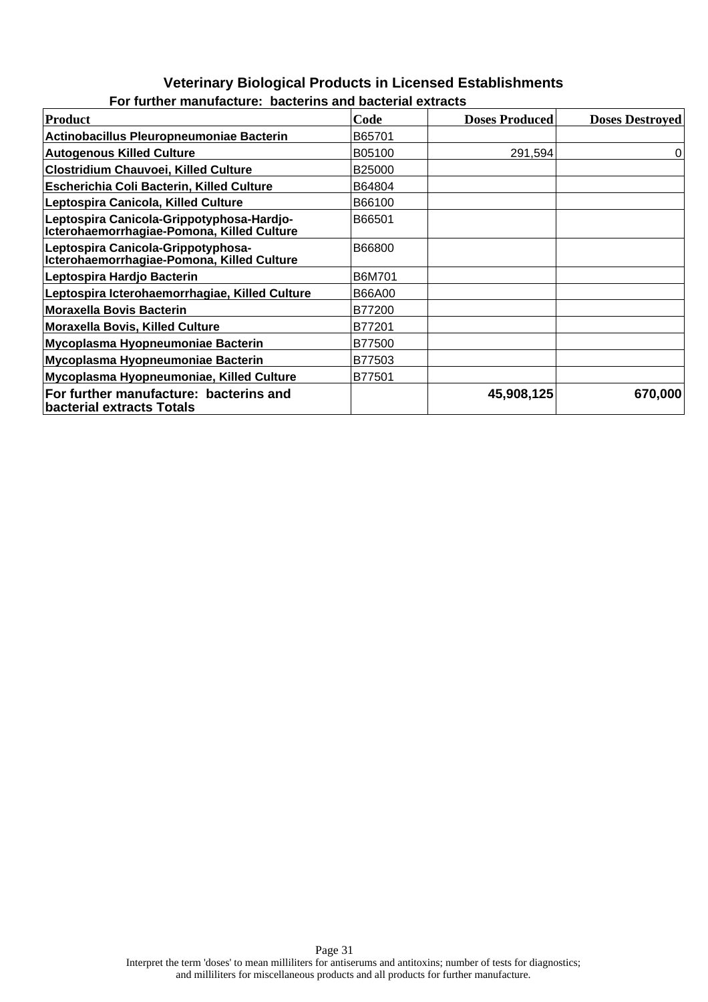| <b>Product</b>                                                                          | Code               | <b>Doses Produced</b> | <b>Doses Destroyed</b> |
|-----------------------------------------------------------------------------------------|--------------------|-----------------------|------------------------|
| <b>Actinobacillus Pleuropneumoniae Bacterin</b>                                         | B65701             |                       |                        |
| <b>Autogenous Killed Culture</b>                                                        | B05100             | 291,594               | 0                      |
| <b>Clostridium Chauvoei, Killed Culture</b>                                             | B <sub>25000</sub> |                       |                        |
| Escherichia Coli Bacterin, Killed Culture                                               | B64804             |                       |                        |
| Leptospira Canicola, Killed Culture                                                     | B66100             |                       |                        |
| Leptospira Canicola-Grippotyphosa-Hardjo-<br>Icterohaemorrhagiae-Pomona, Killed Culture | B66501             |                       |                        |
| Leptospira Canicola-Grippotyphosa-<br>Icterohaemorrhagiae-Pomona, Killed Culture        | B66800             |                       |                        |
| Leptospira Hardjo Bacterin                                                              | B6M701             |                       |                        |
| Leptospira Icterohaemorrhagiae, Killed Culture                                          | B66A00             |                       |                        |
| <b>Moraxella Bovis Bacterin</b>                                                         | B77200             |                       |                        |
| <b>Moraxella Bovis, Killed Culture</b>                                                  | B77201             |                       |                        |
| Mycoplasma Hyopneumoniae Bacterin                                                       | B77500             |                       |                        |
| Mycoplasma Hyopneumoniae Bacterin                                                       | B77503             |                       |                        |
| Mycoplasma Hyopneumoniae, Killed Culture                                                | B77501             |                       |                        |
| For further manufacture: bacterins and<br>bacterial extracts Totals                     |                    | 45,908,125            | 670,000                |

#### **For further manufacture: bacterins and bacterial extracts**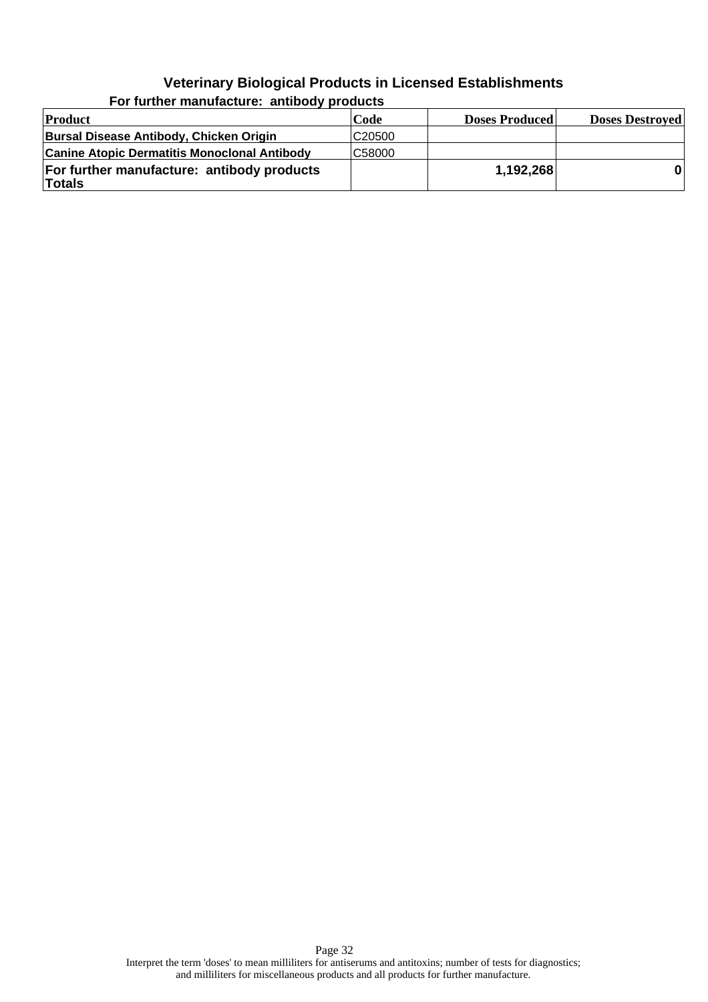| Product                                              | Code               | <b>Doses Produced</b> | <b>Doses Destroyed</b> |
|------------------------------------------------------|--------------------|-----------------------|------------------------|
| Bursal Disease Antibody, Chicken Origin              | C <sub>20500</sub> |                       |                        |
| <b>Canine Atopic Dermatitis Monoclonal Antibody</b>  | C58000             |                       |                        |
| For further manufacture: antibody products<br>Totals |                    | 1,192,268             |                        |

**For further manufacture: antibody products**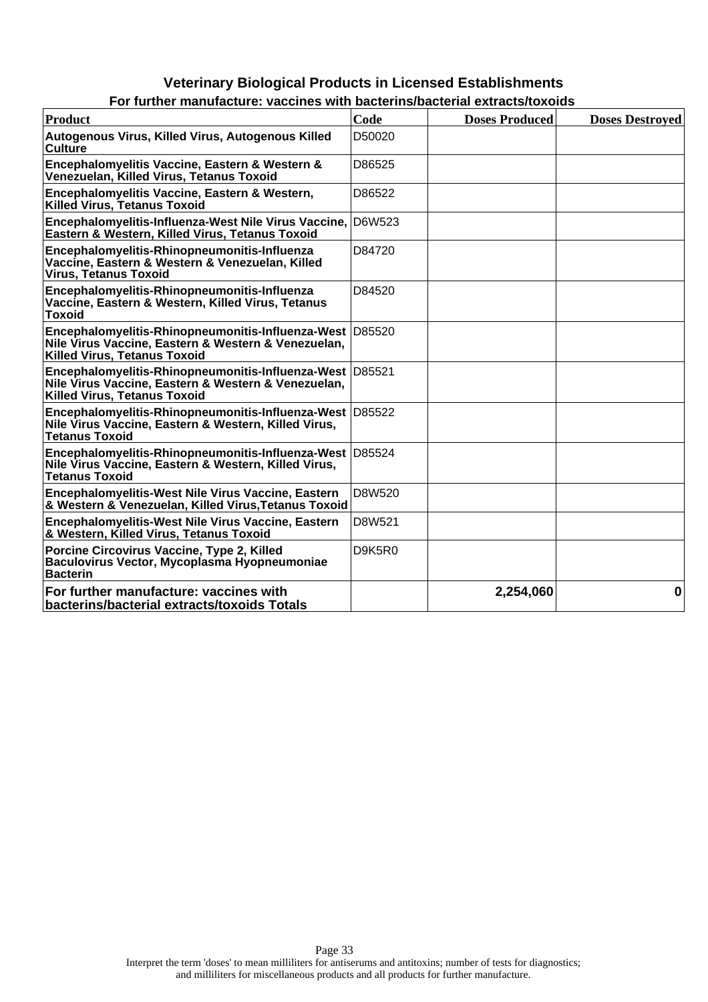| FUI TULUIEI MANUJALUIE. VALLINES WIIN DALIEIMS/DALIENAI EXIIALIS/IUXUIUS                                                                               |        |                       |                        |
|--------------------------------------------------------------------------------------------------------------------------------------------------------|--------|-----------------------|------------------------|
| <b>Product</b>                                                                                                                                         | Code   | <b>Doses Produced</b> | <b>Doses Destroved</b> |
| Autogenous Virus, Killed Virus, Autogenous Killed<br>Culture                                                                                           | D50020 |                       |                        |
| Encephalomyelitis Vaccine, Eastern & Western &<br>Venezuelan, Killed Virus, Tetanus Toxoid                                                             | D86525 |                       |                        |
| Encephalomyelitis Vaccine, Eastern & Western,<br>Killed Virus, Tetanus Toxoid                                                                          | D86522 |                       |                        |
| Encephalomyelitis-Influenza-West Nile Virus Vaccine,<br>Eastern & Western, Killed Virus, Tetanus Toxoid                                                | D6W523 |                       |                        |
| Encephalomyelitis-Rhinopneumonitis-Influenza<br>Vaccine, Eastern & Western & Venezuelan, Killed<br><b>Virus, Tetanus Toxoid</b>                        | D84720 |                       |                        |
| Encephalomyelitis-Rhinopneumonitis-Influenza<br>Vaccine, Eastern & Western, Killed Virus, Tetanus<br>Toxoid                                            | D84520 |                       |                        |
| Encephalomyelitis-Rhinopneumonitis-Influenza-West D85520<br>Nile Virus Vaccine, Eastern & Western & Venezuelan,<br><b>Killed Virus, Tetanus Toxoid</b> |        |                       |                        |
| Encephalomyelitis-Rhinopneumonitis-Influenza-West D85521<br>Nile Virus Vaccine, Eastern & Western & Venezuelan,<br><b>Killed Virus, Tetanus Toxoid</b> |        |                       |                        |
| Encephalomyelitis-Rhinopneumonitis-Influenza-West D85522<br>Nile Virus Vaccine, Eastern & Western, Killed Virus,<br><b>Tetanus Toxoid</b>              |        |                       |                        |
| Encephalomyelitis-Rhinopneumonitis-Influenza-West D85524<br>Nile Virus Vaccine, Eastern & Western, Killed Virus,<br><b>Tetanus Toxoid</b>              |        |                       |                        |
| Encephalomyelitis-West Nile Virus Vaccine, Eastern<br>& Western & Venezuelan, Killed Virus, Tetanus Toxoid                                             | D8W520 |                       |                        |
| Encephalomyelitis-West Nile Virus Vaccine, Eastern<br>& Western, Killed Virus, Tetanus Toxoid                                                          | D8W521 |                       |                        |
| Porcine Circovirus Vaccine, Type 2, Killed<br>Baculovirus Vector, Mycoplasma Hyopneumoniae<br><b>Bacterin</b>                                          | D9K5R0 |                       |                        |
| For further manufacture: vaccines with<br>bacterins/bacterial extracts/toxoids Totals                                                                  |        | 2,254,060             | $\mathbf 0$            |

| For further manufacture: vaccines with bacterins/bacterial extracts/toxoids |  |  |  |
|-----------------------------------------------------------------------------|--|--|--|
|                                                                             |  |  |  |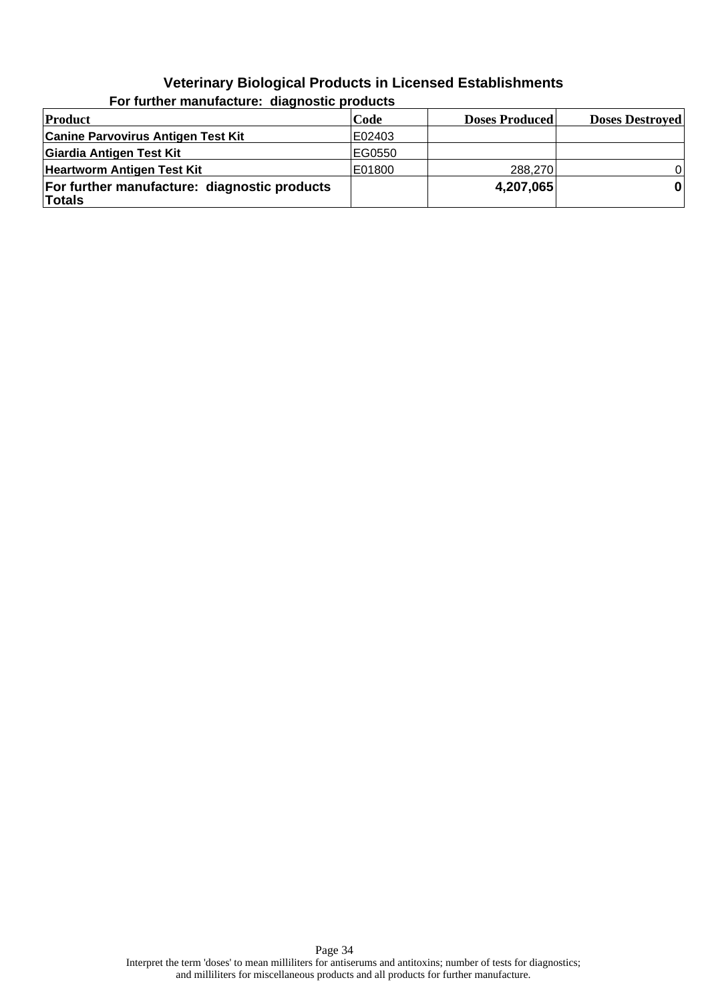| Product                                                       | Code   | <b>Doses Produced</b> | <b>Doses Destroyed</b> |
|---------------------------------------------------------------|--------|-----------------------|------------------------|
| <b>Canine Parvovirus Antigen Test Kit</b>                     | E02403 |                       |                        |
| Giardia Antigen Test Kit                                      | EG0550 |                       |                        |
| <b>Heartworm Antigen Test Kit</b>                             | E01800 | 288,270               | $\Omega$               |
| For further manufacture: diagnostic products<br><b>Totals</b> |        | 4,207,065             | $\mathbf{0}$           |

**For further manufacture: diagnostic products**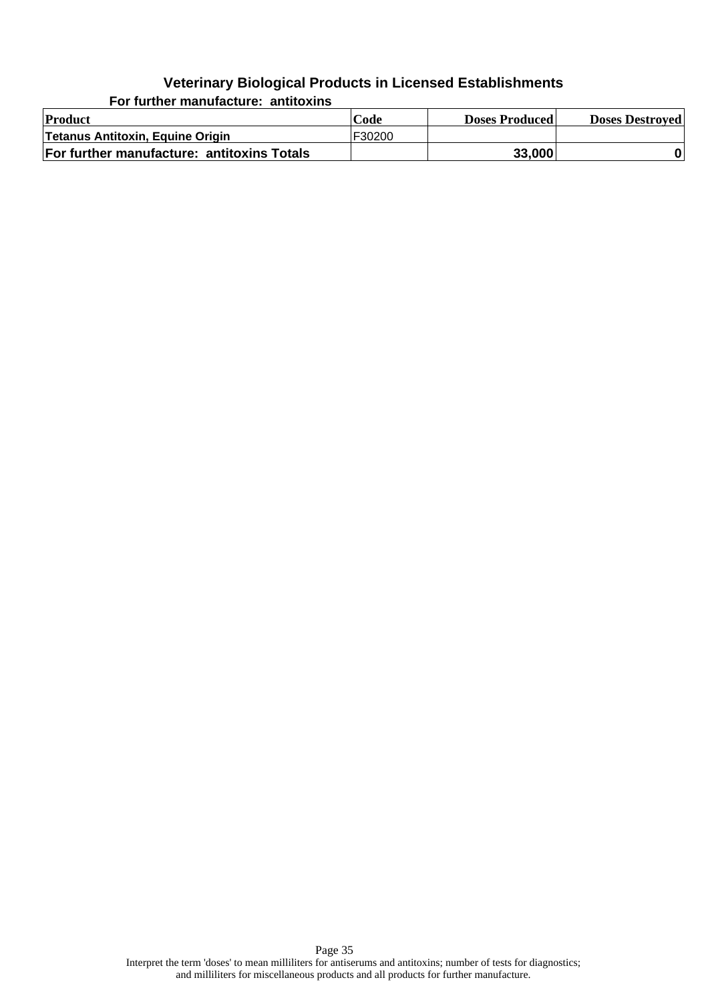**For further manufacture: antitoxins**

| Product                                    | Code   | <b>Doses Produced</b> | <b>Doses Destroyed</b> |
|--------------------------------------------|--------|-----------------------|------------------------|
| Tetanus Antitoxin, Equine Origin           | F30200 |                       |                        |
| For further manufacture: antitoxins Totals |        | 33,000                |                        |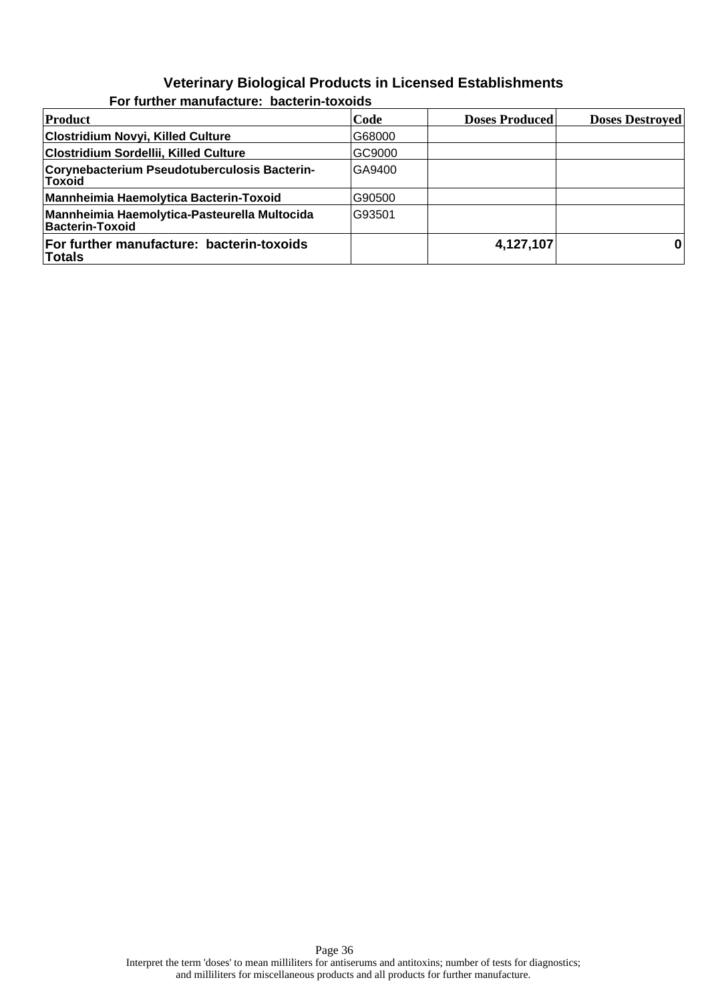| Product                                                                | Code   | <b>Doses Produced</b> | <b>Doses Destroyed</b> |
|------------------------------------------------------------------------|--------|-----------------------|------------------------|
| <b>Clostridium Novyi, Killed Culture</b>                               | G68000 |                       |                        |
| Clostridium Sordellii, Killed Culture                                  | GC9000 |                       |                        |
| Corynebacterium Pseudotuberculosis Bacterin-<br> Toxoid                | GA9400 |                       |                        |
| Mannheimia Haemolytica Bacterin-Toxoid                                 | G90500 |                       |                        |
| Mannheimia Haemolytica-Pasteurella Multocida<br><b>Bacterin-Toxoid</b> | G93501 |                       |                        |
| For further manufacture: bacterin-toxoids<br>Totals                    |        | 4,127,107             |                        |

**For further manufacture: bacterin-toxoids**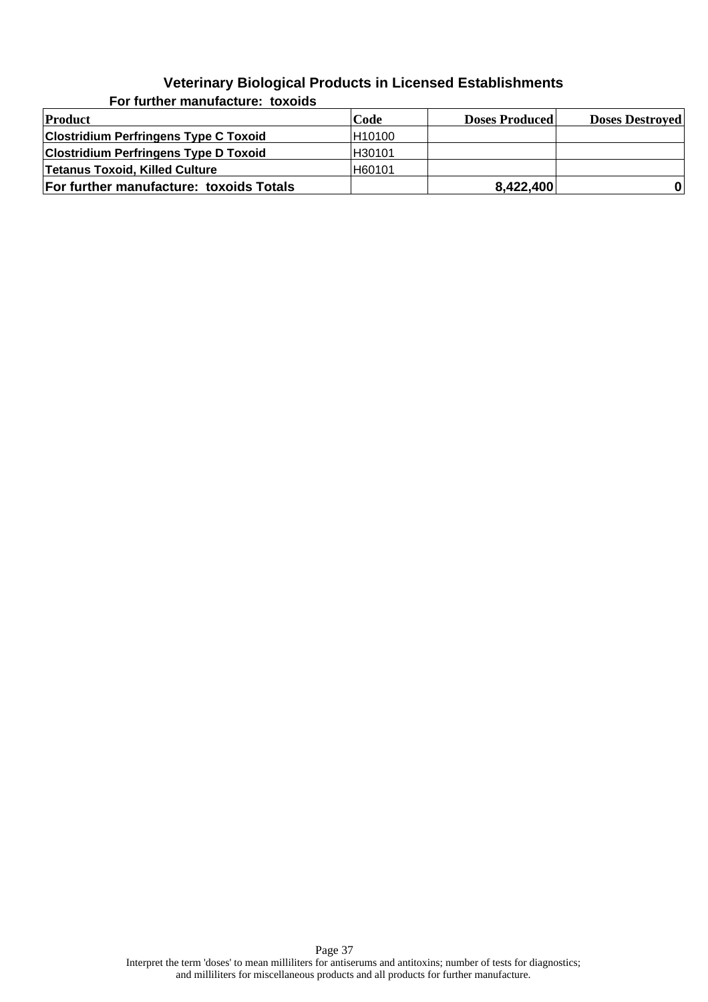| <b>Product</b>                               | Code    | <b>Doses Produced</b> | <b>Doses Destroyed</b> |
|----------------------------------------------|---------|-----------------------|------------------------|
| <b>Clostridium Perfringens Type C Toxoid</b> | H10100  |                       |                        |
| <b>Clostridium Perfringens Type D Toxoid</b> | IH30101 |                       |                        |
| Tetanus Toxoid, Killed Culture               | H60101  |                       |                        |
| For further manufacture: toxoids Totals      |         | 8,422,400             |                        |

**For further manufacture: toxoids**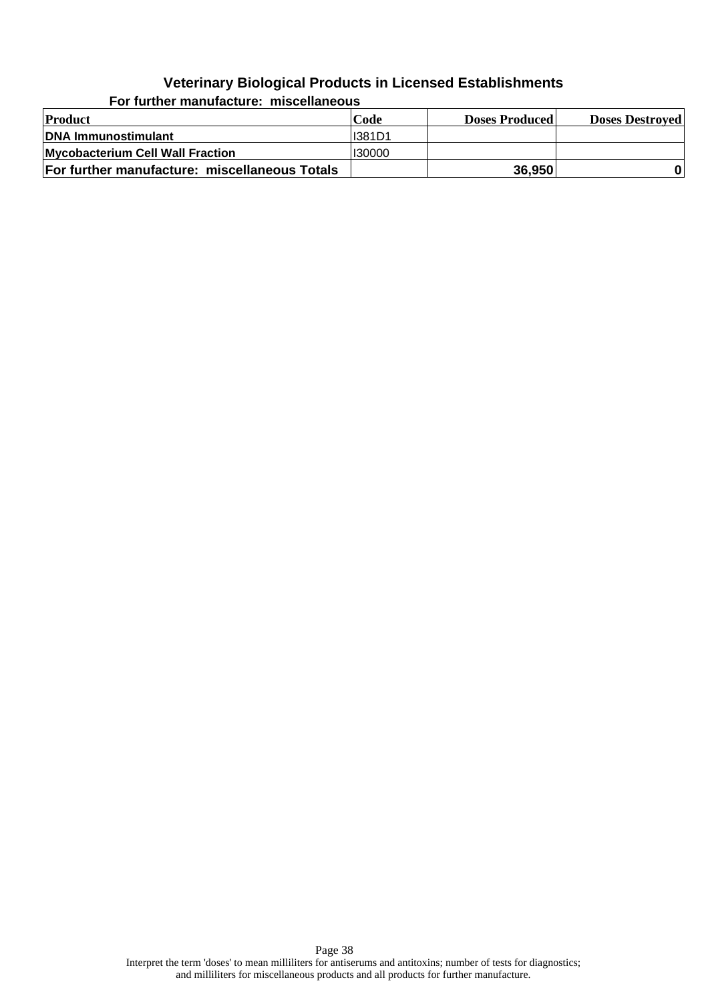| <b>Product</b>                                | Code          | <b>Doses Produced</b> | <b>Doses Destroyed</b> |  |
|-----------------------------------------------|---------------|-----------------------|------------------------|--|
| DNA Immunostimulant                           | <b>I381D1</b> |                       |                        |  |
| Mycobacterium Cell Wall Fraction              | 130000        |                       |                        |  |
| For further manufacture: miscellaneous Totals |               | 36,950                |                        |  |

**For further manufacture: miscellaneous**